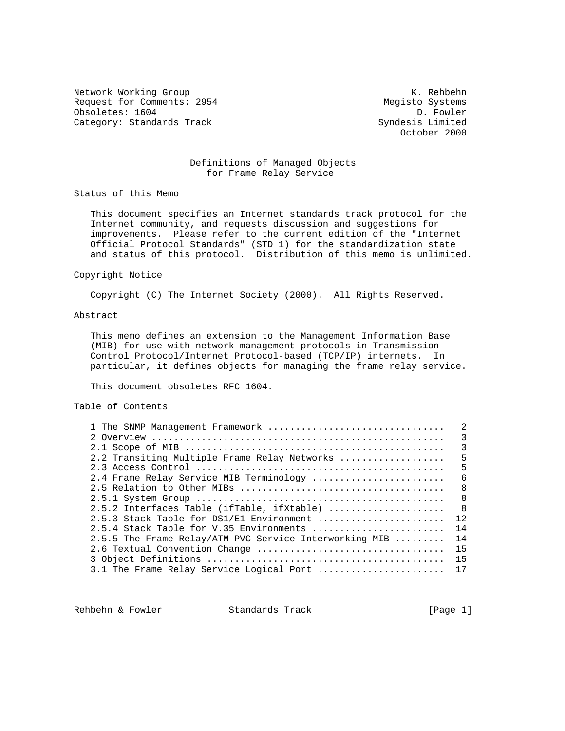Network Working Group Network Alexander Management Alexander Management Alexander Management Alexander Management A Request for Comments: 2954 Megisto Systems Obsoletes: 1604 D. Fowler<br>Category: Standards Track Category: Standards Track Category: Standards Track

October 2000

## Definitions of Managed Objects for Frame Relay Service

Status of this Memo

 This document specifies an Internet standards track protocol for the Internet community, and requests discussion and suggestions for improvements. Please refer to the current edition of the "Internet Official Protocol Standards" (STD 1) for the standardization state and status of this protocol. Distribution of this memo is unlimited.

## Copyright Notice

Copyright (C) The Internet Society (2000). All Rights Reserved.

# Abstract

 This memo defines an extension to the Management Information Base (MIB) for use with network management protocols in Transmission Control Protocol/Internet Protocol-based (TCP/IP) internets. In particular, it defines objects for managing the frame relay service.

This document obsoletes RFC 1604.

### Table of Contents

| 1 The SNMP Management Framework                        | 2             |
|--------------------------------------------------------|---------------|
|                                                        | $\mathcal{E}$ |
|                                                        | 3             |
| 2.2 Transiting Multiple Frame Relay Networks           | 5             |
|                                                        | 5             |
| 2.4 Frame Relay Service MIB Terminology                | 6             |
|                                                        | $\mathsf{R}$  |
|                                                        | 8             |
| 2.5.2 Interfaces Table (ifTable, ifXtable)             | 8             |
| 2.5.3 Stack Table for DS1/E1 Environment               | 12            |
| $2.5.4$ Stack Table for V.35 Environments              | 14            |
| 2.5.5 The Frame Relay/ATM PVC Service Interworking MIB | 14            |
|                                                        | 15            |
|                                                        |               |
| 3.1 The Frame Relay Service Logical Port  17           |               |

Rehbehn & Fowler Standards Track [Page 1]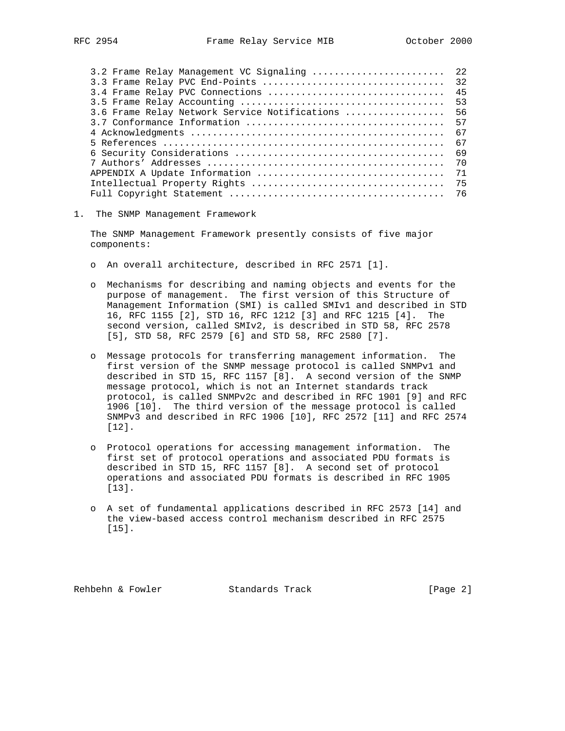| 3.2 Frame Relay Management VC Signaling  22   |    |
|-----------------------------------------------|----|
| 3.3 Frame Relay PVC End-Points                | 32 |
| 3.4 Frame Relay PVC Connections               | 45 |
|                                               | 53 |
| 3.6 Frame Relay Network Service Notifications | 56 |
|                                               | 57 |
|                                               | 67 |
|                                               | 67 |
|                                               | 69 |
|                                               | 70 |
|                                               | 71 |
|                                               | 75 |
|                                               |    |
|                                               |    |

1. The SNMP Management Framework

 The SNMP Management Framework presently consists of five major components:

- o An overall architecture, described in RFC 2571 [1].
- o Mechanisms for describing and naming objects and events for the purpose of management. The first version of this Structure of Management Information (SMI) is called SMIv1 and described in STD 16, RFC 1155 [2], STD 16, RFC 1212 [3] and RFC 1215 [4]. The second version, called SMIv2, is described in STD 58, RFC 2578 [5], STD 58, RFC 2579 [6] and STD 58, RFC 2580 [7].
- o Message protocols for transferring management information. The first version of the SNMP message protocol is called SNMPv1 and described in STD 15, RFC 1157 [8]. A second version of the SNMP message protocol, which is not an Internet standards track protocol, is called SNMPv2c and described in RFC 1901 [9] and RFC 1906 [10]. The third version of the message protocol is called SNMPv3 and described in RFC 1906 [10], RFC 2572 [11] and RFC 2574 [12].
- o Protocol operations for accessing management information. The first set of protocol operations and associated PDU formats is described in STD 15, RFC 1157 [8]. A second set of protocol operations and associated PDU formats is described in RFC 1905 [13].
- o A set of fundamental applications described in RFC 2573 [14] and the view-based access control mechanism described in RFC 2575 [15].

Rehbehn & Fowler Standards Track [Page 2]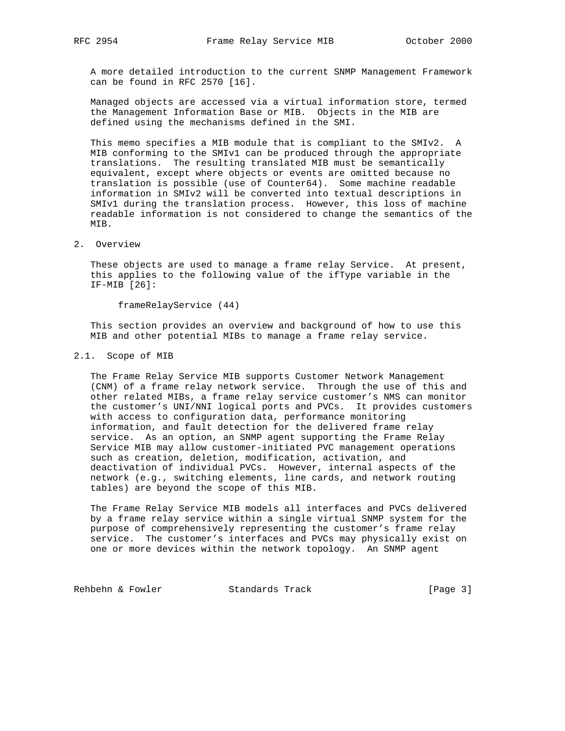A more detailed introduction to the current SNMP Management Framework can be found in RFC 2570 [16].

 Managed objects are accessed via a virtual information store, termed the Management Information Base or MIB. Objects in the MIB are defined using the mechanisms defined in the SMI.

 This memo specifies a MIB module that is compliant to the SMIv2. A MIB conforming to the SMIv1 can be produced through the appropriate translations. The resulting translated MIB must be semantically equivalent, except where objects or events are omitted because no translation is possible (use of Counter64). Some machine readable information in SMIv2 will be converted into textual descriptions in SMIv1 during the translation process. However, this loss of machine readable information is not considered to change the semantics of the MIB.

### 2. Overview

 These objects are used to manage a frame relay Service. At present, this applies to the following value of the ifType variable in the IF-MIB [26]:

frameRelayService (44)

 This section provides an overview and background of how to use this MIB and other potential MIBs to manage a frame relay service.

## 2.1. Scope of MIB

 The Frame Relay Service MIB supports Customer Network Management (CNM) of a frame relay network service. Through the use of this and other related MIBs, a frame relay service customer's NMS can monitor the customer's UNI/NNI logical ports and PVCs. It provides customers with access to configuration data, performance monitoring information, and fault detection for the delivered frame relay service. As an option, an SNMP agent supporting the Frame Relay Service MIB may allow customer-initiated PVC management operations such as creation, deletion, modification, activation, and deactivation of individual PVCs. However, internal aspects of the network (e.g., switching elements, line cards, and network routing tables) are beyond the scope of this MIB.

 The Frame Relay Service MIB models all interfaces and PVCs delivered by a frame relay service within a single virtual SNMP system for the purpose of comprehensively representing the customer's frame relay service. The customer's interfaces and PVCs may physically exist on one or more devices within the network topology. An SNMP agent

Rehbehn & Fowler Standards Track [Page 3]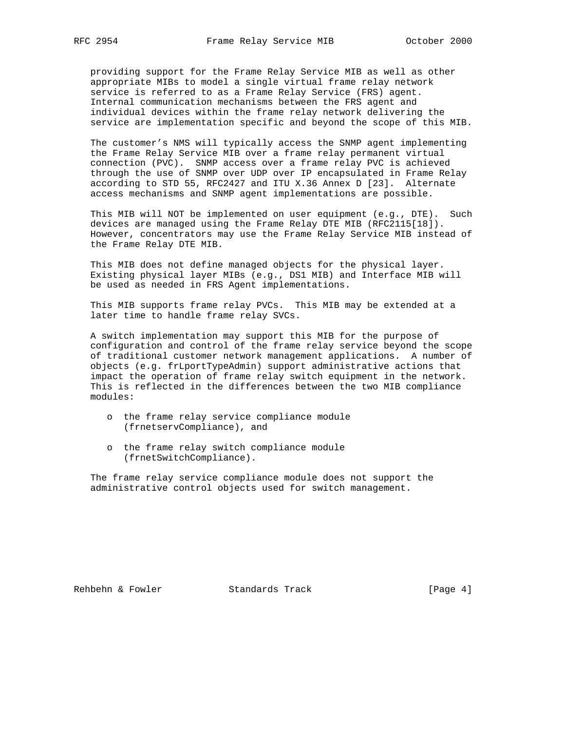providing support for the Frame Relay Service MIB as well as other appropriate MIBs to model a single virtual frame relay network service is referred to as a Frame Relay Service (FRS) agent. Internal communication mechanisms between the FRS agent and individual devices within the frame relay network delivering the service are implementation specific and beyond the scope of this MIB.

 The customer's NMS will typically access the SNMP agent implementing the Frame Relay Service MIB over a frame relay permanent virtual connection (PVC). SNMP access over a frame relay PVC is achieved through the use of SNMP over UDP over IP encapsulated in Frame Relay according to STD 55, RFC2427 and ITU X.36 Annex D [23]. Alternate access mechanisms and SNMP agent implementations are possible.

 This MIB will NOT be implemented on user equipment (e.g., DTE). Such devices are managed using the Frame Relay DTE MIB (RFC2115[18]). However, concentrators may use the Frame Relay Service MIB instead of the Frame Relay DTE MIB.

 This MIB does not define managed objects for the physical layer. Existing physical layer MIBs (e.g., DS1 MIB) and Interface MIB will be used as needed in FRS Agent implementations.

 This MIB supports frame relay PVCs. This MIB may be extended at a later time to handle frame relay SVCs.

 A switch implementation may support this MIB for the purpose of configuration and control of the frame relay service beyond the scope of traditional customer network management applications. A number of objects (e.g. frLportTypeAdmin) support administrative actions that impact the operation of frame relay switch equipment in the network. This is reflected in the differences between the two MIB compliance modules:

- o the frame relay service compliance module (frnetservCompliance), and
- o the frame relay switch compliance module (frnetSwitchCompliance).

 The frame relay service compliance module does not support the administrative control objects used for switch management.

Rehbehn & Fowler Standards Track [Page 4]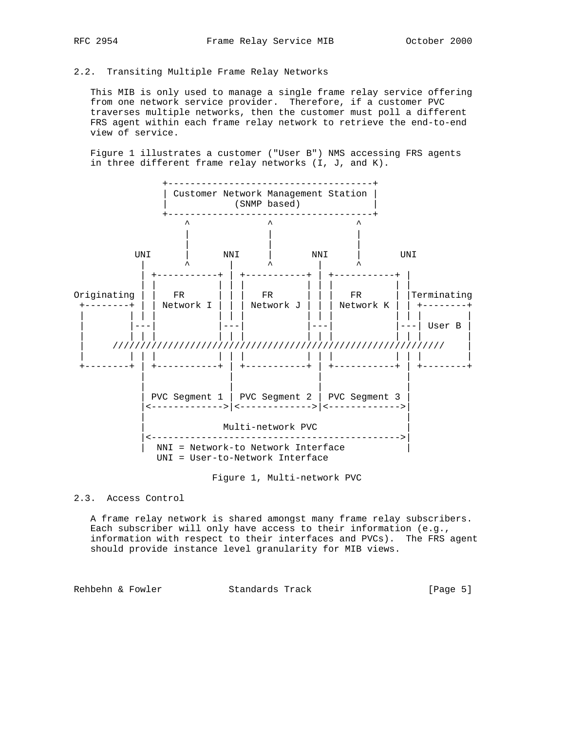# 2.2. Transiting Multiple Frame Relay Networks

 This MIB is only used to manage a single frame relay service offering from one network service provider. Therefore, if a customer PVC traverses multiple networks, then the customer must poll a different FRS agent within each frame relay network to retrieve the end-to-end view of service.

 Figure 1 illustrates a customer ("User B") NMS accessing FRS agents in three different frame relay networks (I, J, and K).



### Figure 1, Multi-network PVC

# 2.3. Access Control

 A frame relay network is shared amongst many frame relay subscribers. Each subscriber will only have access to their information (e.g., information with respect to their interfaces and PVCs). The FRS agent should provide instance level granularity for MIB views.

Rehbehn & Fowler Standards Track [Page 5]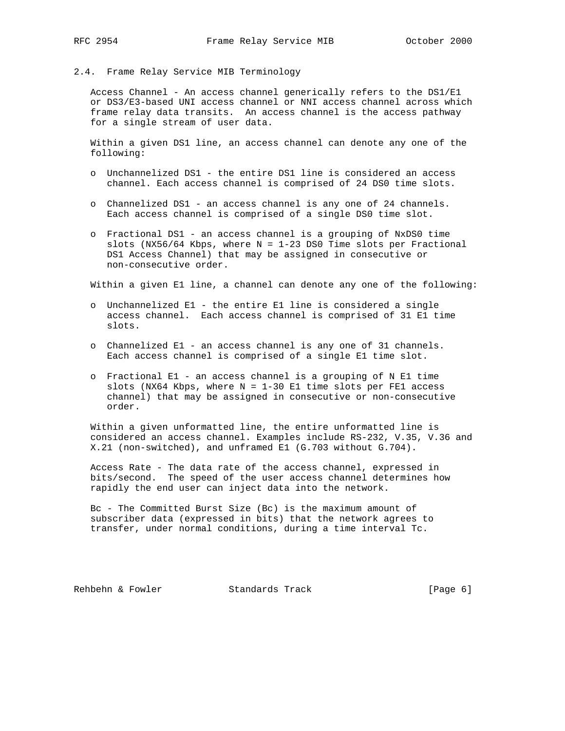## 2.4. Frame Relay Service MIB Terminology

 Access Channel - An access channel generically refers to the DS1/E1 or DS3/E3-based UNI access channel or NNI access channel across which frame relay data transits. An access channel is the access pathway for a single stream of user data.

 Within a given DS1 line, an access channel can denote any one of the following:

- o Unchannelized DS1 the entire DS1 line is considered an access channel. Each access channel is comprised of 24 DS0 time slots.
- o Channelized DS1 an access channel is any one of 24 channels. Each access channel is comprised of a single DS0 time slot.
- o Fractional DS1 an access channel is a grouping of NxDS0 time slots (NX56/64 Kbps, where  $N = 1-23$  DS0 Time slots per Fractional DS1 Access Channel) that may be assigned in consecutive or non-consecutive order.

Within a given E1 line, a channel can denote any one of the following:

- o Unchannelized E1 the entire E1 line is considered a single access channel. Each access channel is comprised of 31 E1 time slots.
- o Channelized E1 an access channel is any one of 31 channels. Each access channel is comprised of a single E1 time slot.
- o Fractional E1 an access channel is a grouping of N E1 time slots (NX64 Kbps, where  $N = 1-30$  E1 time slots per FE1 access channel) that may be assigned in consecutive or non-consecutive order.

 Within a given unformatted line, the entire unformatted line is considered an access channel. Examples include RS-232, V.35, V.36 and X.21 (non-switched), and unframed E1 (G.703 without G.704).

 Access Rate - The data rate of the access channel, expressed in bits/second. The speed of the user access channel determines how rapidly the end user can inject data into the network.

 Bc - The Committed Burst Size (Bc) is the maximum amount of subscriber data (expressed in bits) that the network agrees to transfer, under normal conditions, during a time interval Tc.

Rehbehn & Fowler Standards Track [Page 6]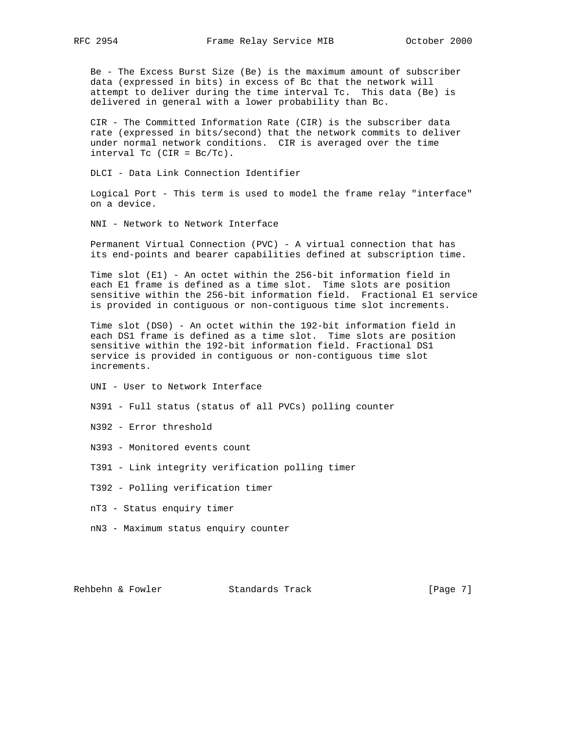Be - The Excess Burst Size (Be) is the maximum amount of subscriber data (expressed in bits) in excess of Bc that the network will attempt to deliver during the time interval Tc. This data (Be) is delivered in general with a lower probability than Bc.

 CIR - The Committed Information Rate (CIR) is the subscriber data rate (expressed in bits/second) that the network commits to deliver under normal network conditions. CIR is averaged over the time interval Tc (CIR = Bc/Tc).

DLCI - Data Link Connection Identifier

 Logical Port - This term is used to model the frame relay "interface" on a device.

NNI - Network to Network Interface

 Permanent Virtual Connection (PVC) - A virtual connection that has its end-points and bearer capabilities defined at subscription time.

 Time slot (E1) - An octet within the 256-bit information field in each E1 frame is defined as a time slot. Time slots are position sensitive within the 256-bit information field. Fractional E1 service is provided in contiguous or non-contiguous time slot increments.

 Time slot (DS0) - An octet within the 192-bit information field in each DS1 frame is defined as a time slot. Time slots are position sensitive within the 192-bit information field. Fractional DS1 service is provided in contiguous or non-contiguous time slot increments.

UNI - User to Network Interface

N391 - Full status (status of all PVCs) polling counter

N392 - Error threshold

N393 - Monitored events count

T391 - Link integrity verification polling timer

T392 - Polling verification timer

nT3 - Status enquiry timer

nN3 - Maximum status enquiry counter

Rehbehn & Fowler Standards Track [Page 7]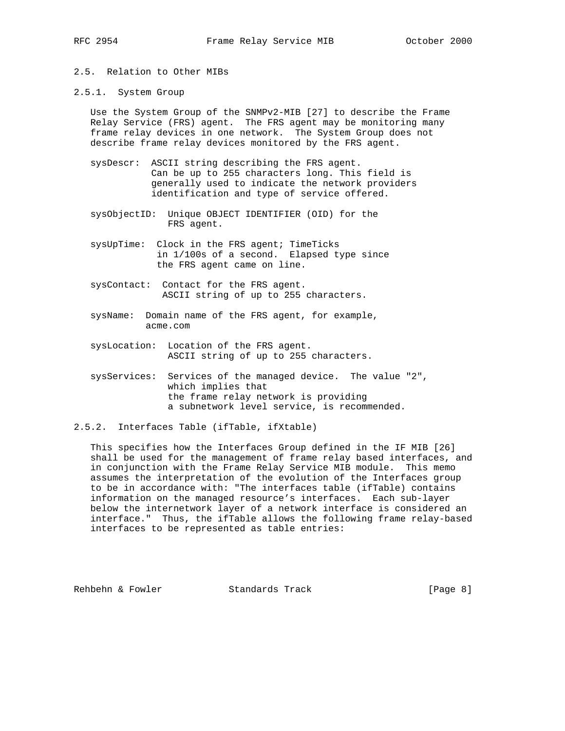- 2.5. Relation to Other MIBs
- 2.5.1. System Group

 Use the System Group of the SNMPv2-MIB [27] to describe the Frame Relay Service (FRS) agent. The FRS agent may be monitoring many frame relay devices in one network. The System Group does not describe frame relay devices monitored by the FRS agent.

- sysDescr: ASCII string describing the FRS agent. Can be up to 255 characters long. This field is generally used to indicate the network providers identification and type of service offered.
- sysObjectID: Unique OBJECT IDENTIFIER (OID) for the FRS agent.
- sysUpTime: Clock in the FRS agent; TimeTicks in 1/100s of a second. Elapsed type since the FRS agent came on line.
- sysContact: Contact for the FRS agent. ASCII string of up to 255 characters.
- sysName: Domain name of the FRS agent, for example, acme.com
- sysLocation: Location of the FRS agent. ASCII string of up to 255 characters.
- sysServices: Services of the managed device. The value "2", which implies that the frame relay network is providing a subnetwork level service, is recommended.
- 2.5.2. Interfaces Table (ifTable, ifXtable)

 This specifies how the Interfaces Group defined in the IF MIB [26] shall be used for the management of frame relay based interfaces, and in conjunction with the Frame Relay Service MIB module. This memo assumes the interpretation of the evolution of the Interfaces group to be in accordance with: "The interfaces table (ifTable) contains information on the managed resource's interfaces. Each sub-layer below the internetwork layer of a network interface is considered an interface." Thus, the ifTable allows the following frame relay-based interfaces to be represented as table entries:

Rehbehn & Fowler Standards Track [Page 8]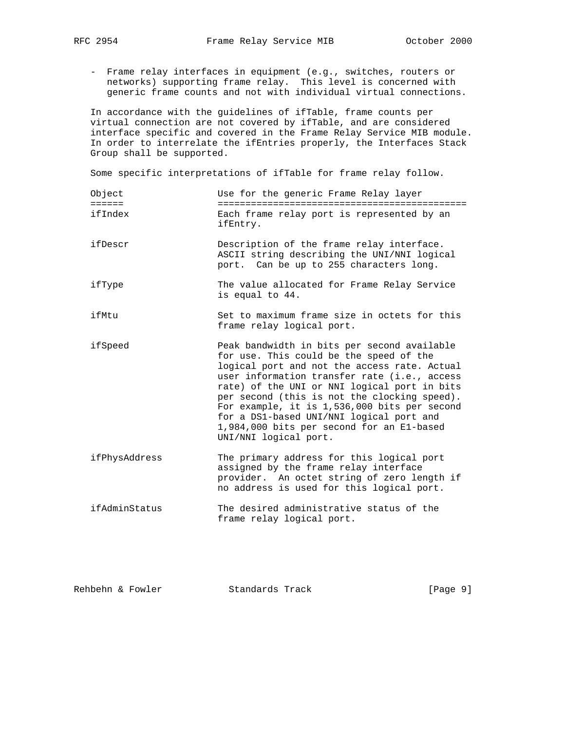- - Frame relay interfaces in equipment (e.g., switches, routers or networks) supporting frame relay. This level is concerned with generic frame counts and not with individual virtual connections.

 In accordance with the guidelines of ifTable, frame counts per virtual connection are not covered by ifTable, and are considered interface specific and covered in the Frame Relay Service MIB module. In order to interrelate the ifEntries properly, the Interfaces Stack Group shall be supported.

Some specific interpretations of ifTable for frame relay follow.

- Object Use for the generic Frame Relay layer ====== ============================================= ifIndex Each frame relay port is represented by an ifEntry.
- ifDescr Description of the frame relay interface. ASCII string describing the UNI/NNI logical port. Can be up to 255 characters long.
- ifType The value allocated for Frame Relay Service is equal to 44.
- ifMtu Set to maximum frame size in octets for this frame relay logical port.
- ifSpeed Peak bandwidth in bits per second available for use. This could be the speed of the logical port and not the access rate. Actual user information transfer rate (i.e., access rate) of the UNI or NNI logical port in bits per second (this is not the clocking speed). For example, it is 1,536,000 bits per second for a DS1-based UNI/NNI logical port and 1,984,000 bits per second for an E1-based UNI/NNI logical port.
- ifPhysAddress The primary address for this logical port assigned by the frame relay interface provider. An octet string of zero length if no address is used for this logical port.
- ifAdminStatus The desired administrative status of the frame relay logical port.

| Rehbehn & Fowler | Standards Track | [Page 9] |
|------------------|-----------------|----------|
|                  |                 |          |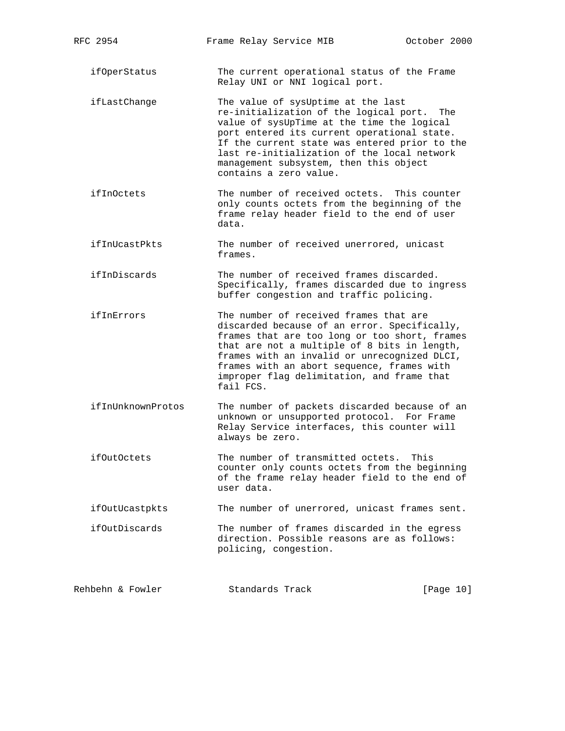ifOperStatus The current operational status of the Frame Relay UNI or NNI logical port.

- ifLastChange The value of sysUptime at the last re-initialization of the logical port. The value of sysUpTime at the time the logical port entered its current operational state. If the current state was entered prior to the last re-initialization of the local network management subsystem, then this object contains a zero value.
- ifInOctets The number of received octets. This counter only counts octets from the beginning of the frame relay header field to the end of user data.
- ifInUcastPkts The number of received unerrored, unicast frames.
- ifInDiscards The number of received frames discarded. Specifically, frames discarded due to ingress buffer congestion and traffic policing.
- ifInErrors The number of received frames that are discarded because of an error. Specifically, frames that are too long or too short, frames that are not a multiple of 8 bits in length, frames with an invalid or unrecognized DLCI, frames with an abort sequence, frames with improper flag delimitation, and frame that fail FCS.
- ifInUnknownProtos The number of packets discarded because of an unknown or unsupported protocol. For Frame Relay Service interfaces, this counter will always be zero.
- ifOutOctets The number of transmitted octets. This counter only counts octets from the beginning of the frame relay header field to the end of user data.

ifOutUcastpkts The number of unerrored, unicast frames sent.

 ifOutDiscards The number of frames discarded in the egress direction. Possible reasons are as follows: policing, congestion.

| Rehbehn & Fowler<br>Standards Track | [Page 10] |  |  |  |
|-------------------------------------|-----------|--|--|--|
|-------------------------------------|-----------|--|--|--|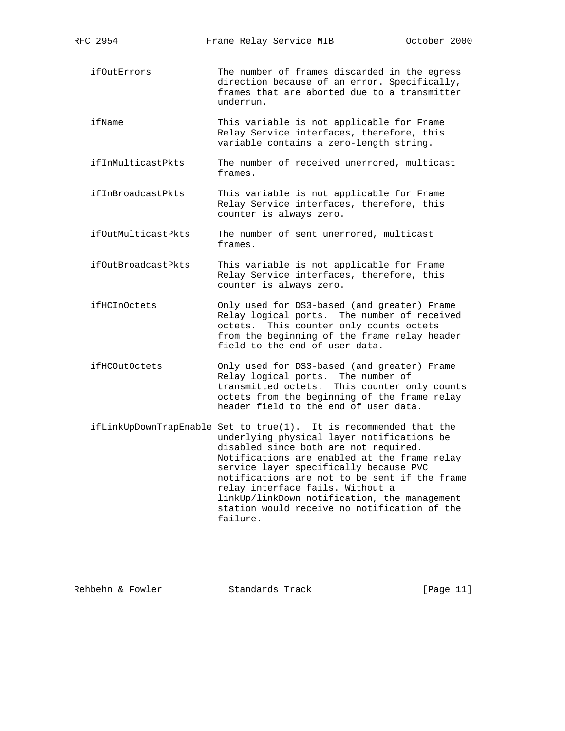| RFC 2954             | Frame Relay Service MIB                                                                                                                                                                                                                                                                                                                                                                                                                             | October 2000 |
|----------------------|-----------------------------------------------------------------------------------------------------------------------------------------------------------------------------------------------------------------------------------------------------------------------------------------------------------------------------------------------------------------------------------------------------------------------------------------------------|--------------|
| ifOutErrors          | The number of frames discarded in the egress<br>direction because of an error. Specifically,<br>frames that are aborted due to a transmitter<br>underrun.                                                                                                                                                                                                                                                                                           |              |
| ifName               | This variable is not applicable for Frame<br>Relay Service interfaces, therefore, this<br>variable contains a zero-length string.                                                                                                                                                                                                                                                                                                                   |              |
| ifInMulticastPkts    | The number of received unerrored, multicast<br>frames.                                                                                                                                                                                                                                                                                                                                                                                              |              |
| ifInBroadcastPkts    | This variable is not applicable for Frame<br>Relay Service interfaces, therefore, this<br>counter is always zero.                                                                                                                                                                                                                                                                                                                                   |              |
| ifOutMulticastPkts   | The number of sent unerrored, multicast<br>frames.                                                                                                                                                                                                                                                                                                                                                                                                  |              |
| ifOutBroadcastPkts   | This variable is not applicable for Frame<br>Relay Service interfaces, therefore, this<br>counter is always zero.                                                                                                                                                                                                                                                                                                                                   |              |
| ifHCInOctets         | Only used for DS3-based (and greater) Frame<br>Relay logical ports. The number of received<br>octets. This counter only counts octets<br>from the beginning of the frame relay header<br>field to the end of user data.                                                                                                                                                                                                                             |              |
| <i>ifHCOutOctets</i> | Only used for DS3-based (and greater) Frame<br>Relay logical ports. The number of<br>transmitted octets. This counter only counts<br>octets from the beginning of the frame relay<br>header field to the end of user data.                                                                                                                                                                                                                          |              |
|                      | ifLinkUpDownTrapEnable Set to true(1). It is recommended that the<br>underlying physical layer notifications be<br>disabled since both are not required.<br>Notifications are enabled at the frame relay<br>service layer specifically because PVC<br>notifications are not to be sent if the frame<br>relay interface fails. Without a<br>linkUp/linkDown notification, the management<br>station would receive no notification of the<br>failure. |              |
|                      |                                                                                                                                                                                                                                                                                                                                                                                                                                                     |              |

Rehbehn & Fowler Standards Track [Page 11]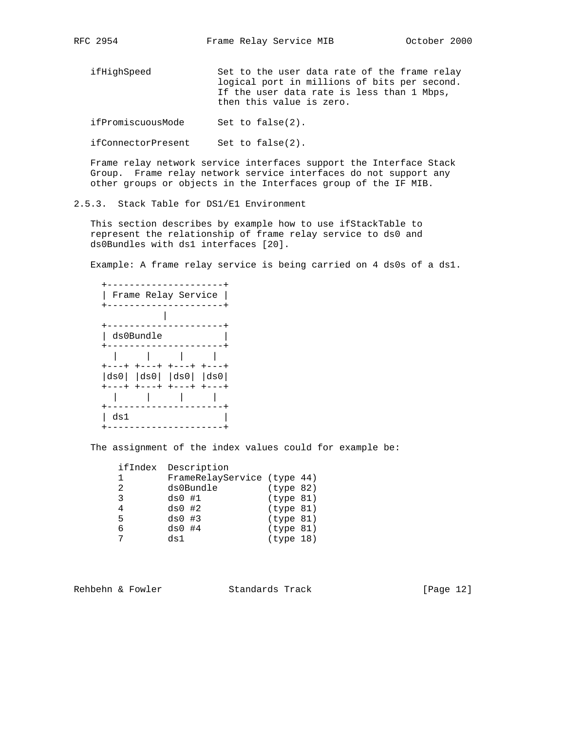| ifHighSpeed       | Set to the user data rate of the frame relay<br>logical port in millions of bits per second.<br>If the user data rate is less than 1 Mbps,<br>then this value is zero. |
|-------------------|------------------------------------------------------------------------------------------------------------------------------------------------------------------------|
| ifPromiscuousMode | Set to $false(2)$ .                                                                                                                                                    |

ifConnectorPresent Set to false(2).

 Frame relay network service interfaces support the Interface Stack Group. Frame relay network service interfaces do not support any other groups or objects in the Interfaces group of the IF MIB.

2.5.3. Stack Table for DS1/E1 Environment

 This section describes by example how to use ifStackTable to represent the relationship of frame relay service to ds0 and ds0Bundles with ds1 interfaces [20].

Example: A frame relay service is being carried on 4 ds0s of a ds1.

|      | Frame Relay Service                           |           |
|------|-----------------------------------------------|-----------|
|      |                                               |           |
|      |                                               |           |
|      | ds0Bundle                                     |           |
|      |                                               |           |
| ---+ | ナーーーナーナーーー<br>$ ds0 $ $ ds0 $ $ ds0 $ $ ds0 $ | $+ - - -$ |
|      | ---+ +---+ +---+                              | $+---+$   |
|      |                                               |           |
| ds1  |                                               |           |

The assignment of the index values could for example be:

|    | ifIndex Description         |           |  |
|----|-----------------------------|-----------|--|
| 1. | FrameRelayService (type 44) |           |  |
| 2  | ds0Bundle                   | (type 82) |  |
| 3  | $ds0$ #1                    | (type 81) |  |
| 4  | $ds0$ #2                    | (type 81) |  |
| 5  | $ds0$ #3                    | (type 81) |  |
| 6  | $ds0$ #4                    | (type 81) |  |
|    | ds1                         | (type 18) |  |
|    |                             |           |  |

Rehbehn & Fowler Standards Track [Page 12]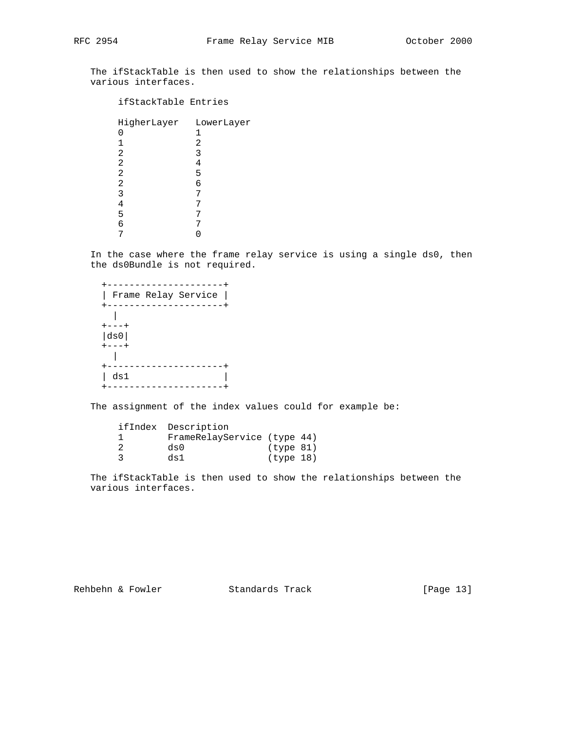The ifStackTable is then used to show the relationships between the various interfaces.

## ifStackTable Entries

| HigherLayer | LowerLayer |
|-------------|------------|
|             | 1          |
| 1           | 2          |
| 2           | 3          |
| 2           | 4          |
| 2           | 5          |
| 2           | 6          |
| 3           | 7          |
|             |            |
| 5           |            |
| б           |            |
|             |            |

 In the case where the frame relay service is using a single ds0, then the ds0Bundle is not required.

| Frame Relay Service |  |
|---------------------|--|
|                     |  |
|                     |  |
|                     |  |
| ds0                 |  |
|                     |  |
|                     |  |
|                     |  |
| ds1                 |  |
|                     |  |

The assignment of the index values could for example be:

| ifIndex Description         |           |  |
|-----------------------------|-----------|--|
| FrameRelayService (type 44) |           |  |
| ds0                         | (type 81) |  |
| ds1                         | (type 18) |  |

 The ifStackTable is then used to show the relationships between the various interfaces.

Rehbehn & Fowler Standards Track [Page 13]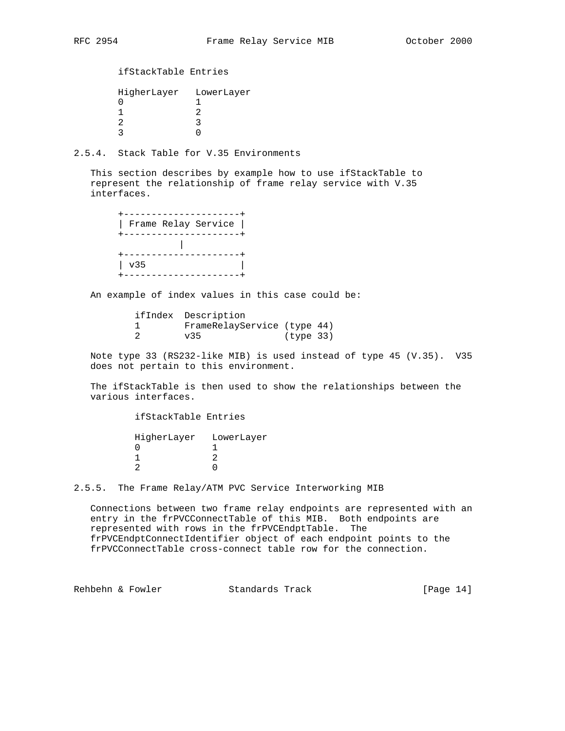ifStackTable Entries

| HigherLayer LowerLayer |
|------------------------|
|                        |
|                        |
|                        |
|                        |

2.5.4. Stack Table for V.35 Environments

 This section describes by example how to use ifStackTable to represent the relationship of frame relay service with V.35 interfaces.

|     | Frame Relay Service |  |
|-----|---------------------|--|
|     |                     |  |
| v35 |                     |  |

An example of index values in this case could be:

|  | ifIndex Description         |           |  |
|--|-----------------------------|-----------|--|
|  | FrameRelayService (type 44) |           |  |
|  | V35                         | (type 33) |  |

 Note type 33 (RS232-like MIB) is used instead of type 45 (V.35). V35 does not pertain to this environment.

 The ifStackTable is then used to show the relationships between the various interfaces.

 ifStackTable Entries HigherLayer LowerLayer 0 1 1 2

2 0

2.5.5. The Frame Relay/ATM PVC Service Interworking MIB

 Connections between two frame relay endpoints are represented with an entry in the frPVCConnectTable of this MIB. Both endpoints are represented with rows in the frPVCEndptTable. The frPVCEndptConnectIdentifier object of each endpoint points to the frPVCConnectTable cross-connect table row for the connection.

Rehbehn & Fowler Standards Track [Page 14]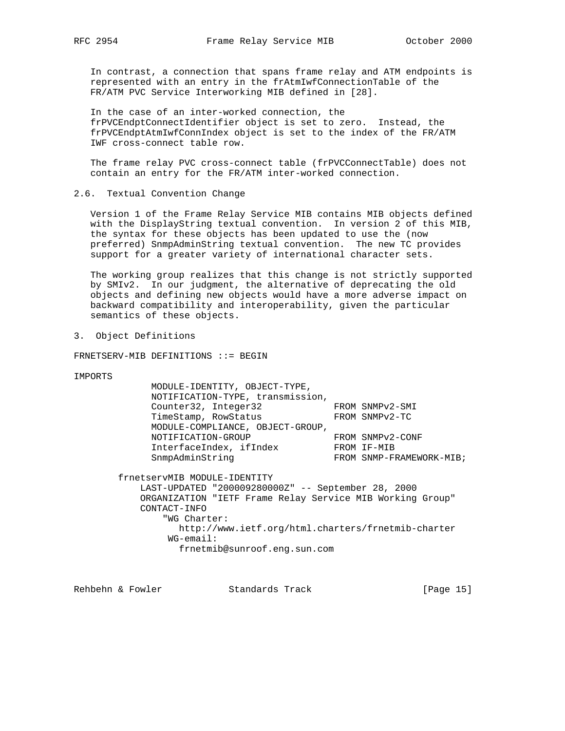In contrast, a connection that spans frame relay and ATM endpoints is represented with an entry in the frAtmIwfConnectionTable of the FR/ATM PVC Service Interworking MIB defined in [28].

 In the case of an inter-worked connection, the frPVCEndptConnectIdentifier object is set to zero. Instead, the frPVCEndptAtmIwfConnIndex object is set to the index of the FR/ATM IWF cross-connect table row.

 The frame relay PVC cross-connect table (frPVCConnectTable) does not contain an entry for the FR/ATM inter-worked connection.

2.6. Textual Convention Change

 Version 1 of the Frame Relay Service MIB contains MIB objects defined with the DisplayString textual convention. In version 2 of this MIB, the syntax for these objects has been updated to use the (now preferred) SnmpAdminString textual convention. The new TC provides support for a greater variety of international character sets.

 The working group realizes that this change is not strictly supported by SMIv2. In our judgment, the alternative of deprecating the old objects and defining new objects would have a more adverse impact on backward compatibility and interoperability, given the particular semantics of these objects.

3. Object Definitions

FRNETSERV-MIB DEFINITIONS ::= BEGIN

IMPORTS

| MODULE-IDENTITY, OBJECT-TYPE,    |                          |
|----------------------------------|--------------------------|
| NOTIFICATION-TYPE, transmission, |                          |
| Counter32, Integer32             | FROM SNMPv2-SMI          |
| TimeStamp, RowStatus             | FROM SNMPv2-TC           |
| MODULE-COMPLIANCE, OBJECT-GROUP, |                          |
| NOTIFICATION-GROUP               | FROM SNMPv2-CONF         |
| InterfaceIndex, ifIndex          | FROM IF-MIB              |
| SnmpAdminString                  | FROM SNMP-FRAMEWORK-MIB; |
|                                  |                          |

 frnetservMIB MODULE-IDENTITY LAST-UPDATED "200009280000Z" -- September 28, 2000 ORGANIZATION "IETF Frame Relay Service MIB Working Group" CONTACT-INFO "WG Charter: http://www.ietf.org/html.charters/frnetmib-charter WG-email: frnetmib@sunroof.eng.sun.com

Rehbehn & Fowler Standards Track [Page 15]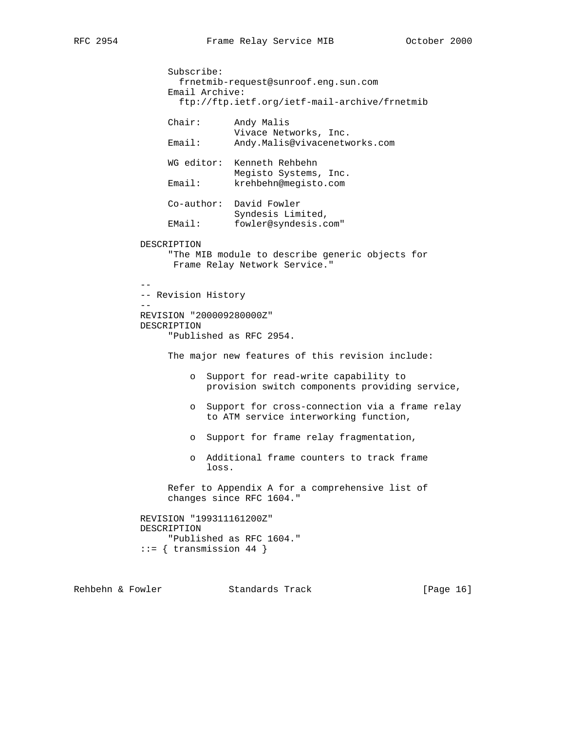```
 Subscribe:
                   frnetmib-request@sunroof.eng.sun.com
                 Email Archive:
                   ftp://ftp.ietf.org/ietf-mail-archive/frnetmib
                 Chair: Andy Malis
                             Vivace Networks, Inc.
                 Email: Andy.Malis@vivacenetworks.com
                 WG editor: Kenneth Rehbehn
                             Megisto Systems, Inc.
                 Email: krehbehn@megisto.com
                 Co-author: David Fowler
                             Syndesis Limited,
                 EMail: fowler@syndesis.com"
            DESCRIPTION
                 "The MIB module to describe generic objects for
                  Frame Relay Network Service."
 --
            -- Revision History
 --
            REVISION "200009280000Z"
            DESCRIPTION
                 "Published as RFC 2954.
                 The major new features of this revision include:
                     o Support for read-write capability to
                        provision switch components providing service,
                     o Support for cross-connection via a frame relay
                        to ATM service interworking function,
                     o Support for frame relay fragmentation,
                     o Additional frame counters to track frame
                        loss.
                 Refer to Appendix A for a comprehensive list of
                 changes since RFC 1604."
            REVISION "199311161200Z"
            DESCRIPTION
                 "Published as RFC 1604."
            ::= { transmission 44 }
```
Rehbehn & Fowler Standards Track [Page 16]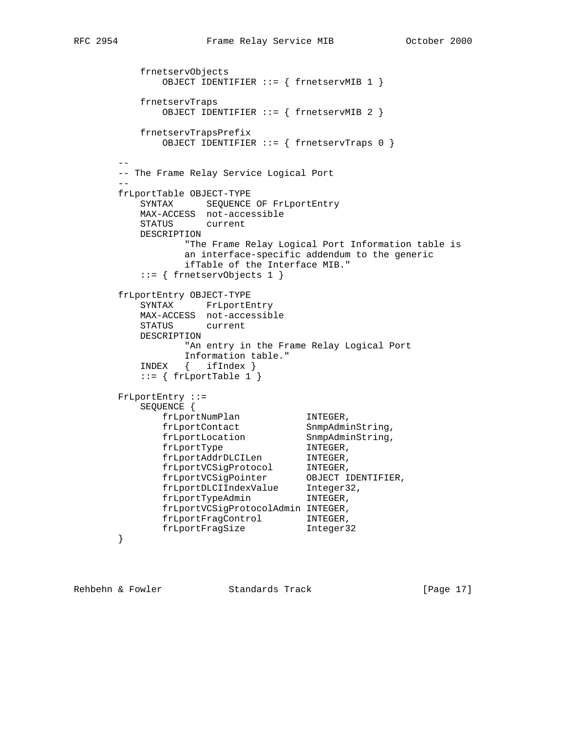```
 frnetservObjects
             OBJECT IDENTIFIER ::= { frnetservMIB 1 }
          frnetservTraps
             OBJECT IDENTIFIER ::= { frnetservMIB 2 }
          frnetservTrapsPrefix
             OBJECT IDENTIFIER ::= { frnetservTraps 0 }
 --
       -- The Frame Relay Service Logical Port
 --
       frLportTable OBJECT-TYPE
         SYNTAX SEQUENCE OF FrLportEntry
          MAX-ACCESS not-accessible
          STATUS current
          DESCRIPTION
                "The Frame Relay Logical Port Information table is
                an interface-specific addendum to the generic
                ifTable of the Interface MIB."
          ::= { frnetservObjects 1 }
       frLportEntry OBJECT-TYPE
          SYNTAX FrLportEntry
          MAX-ACCESS not-accessible
          STATUS current
          DESCRIPTION
                "An entry in the Frame Relay Logical Port
                Information table."
          INDEX { ifIndex }
         ::= { frLportTable 1 }
       FrLportEntry ::=
          SEQUENCE {
frLportNumPlan INTEGER,
frLportContact SnmpAdminString,
frLportLocation SnmpAdminString,
frLportType INTEGER,
 frLportAddrDLCILen INTEGER,
frLportVCSigProtocol INTEGER,
 frLportVCSigPointer OBJECT IDENTIFIER,
 frLportDLCIIndexValue Integer32,
frLportTypeAdmin INTEGER,
             frLportVCSigProtocolAdmin INTEGER,
 frLportFragControl INTEGER,
 frLportFragSize Integer32
       }
```
Rehbehn & Fowler Standards Track [Page 17]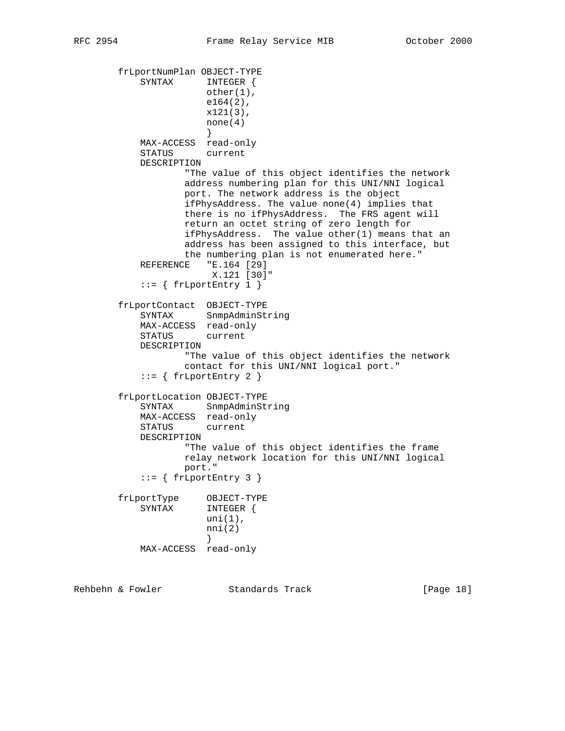```
 frLportNumPlan OBJECT-TYPE
            SYNTAX INTEGER {
                       other(1),
                       e164(2),
                       x121(3),
                       none(4)
 }
            MAX-ACCESS read-only
            STATUS current
            DESCRIPTION
                    "The value of this object identifies the network
                    address numbering plan for this UNI/NNI logical
                    port. The network address is the object
                    ifPhysAddress. The value none(4) implies that
                    there is no ifPhysAddress. The FRS agent will
                    return an octet string of zero length for
                    ifPhysAddress. The value other(1) means that an
                    address has been assigned to this interface, but
                    the numbering plan is not enumerated here."
            REFERENCE "E.164 [29]
                        X.121 [30]"
           ::= \{ frLportEntry 1 \} frLportContact OBJECT-TYPE
            SYNTAX SnmpAdminString
            MAX-ACCESS read-only
            STATUS current
            DESCRIPTION
                    "The value of this object identifies the network
                    contact for this UNI/NNI logical port."
           ::= { frLportEntry 2 }
        frLportLocation OBJECT-TYPE
            SYNTAX SnmpAdminString
            MAX-ACCESS read-only
            STATUS current
            DESCRIPTION
                    "The value of this object identifies the frame
                    relay network location for this UNI/NNI logical
                    port."
           ::= \{ frfLportEntry 3 \} frLportType OBJECT-TYPE
            SYNTAX INTEGER {
                       uni(1),
                      nni(2) }
            MAX-ACCESS read-only
```
Rehbehn & Fowler Standards Track [Page 18]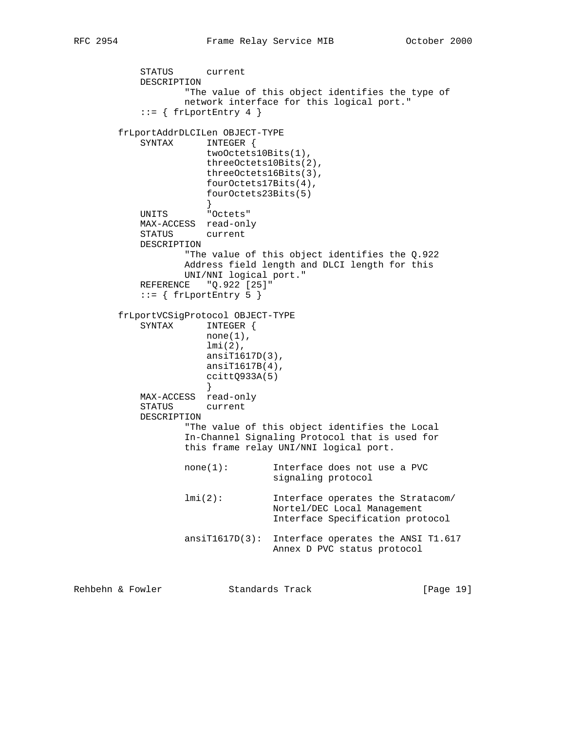STATUS current DESCRIPTION "The value of this object identifies the type of network interface for this logical port."  $::= \{ frfportEntry 4 \}$  frLportAddrDLCILen OBJECT-TYPE SYNTAX INTEGER { twoOctets10Bits(1), threeOctets10Bits(2), threeOctets16Bits(3), fourOctets17Bits(4), fourOctets23Bits(5) } UNITS "Octets" MAX-ACCESS read-only STATUS current DESCRIPTION "The value of this object identifies the Q.922 Address field length and DLCI length for this UNI/NNI logical port." REFERENCE "Q.922 [25]"  $::=$  { frLportEntry 5 } frLportVCSigProtocol OBJECT-TYPE SYNTAX INTEGER {  $none(1)$ , lmi(2), ansiT1617D(3), ansiT1617B(4), ccittQ933A(5) } MAX-ACCESS read-only STATUS current DESCRIPTION "The value of this object identifies the Local In-Channel Signaling Protocol that is used for this frame relay UNI/NNI logical port. none(1): Interface does not use a PVC signaling protocol lmi(2): Interface operates the Stratacom/ Nortel/DEC Local Management Interface Specification protocol ansiT1617D(3): Interface operates the ANSI T1.617 Annex D PVC status protocol

Rehbehn & Fowler Standards Track [Page 19]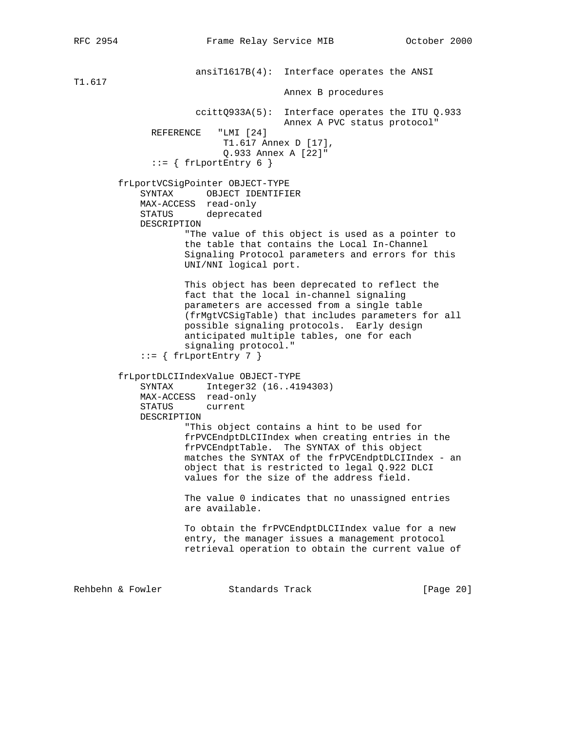ansiT1617B(4): Interface operates the ANSI T1.617 Annex B procedures ccittQ933A(5): Interface operates the ITU Q.933 Annex A PVC status protocol"<br>"LMI [24] REFERENCE T1.617 Annex D [17], Q.933 Annex A [22]"  $::=$  { frLportEntry 6 } frLportVCSigPointer OBJECT-TYPE SYNTAX OBJECT IDENTIFIER MAX-ACCESS read-only STATUS deprecated DESCRIPTION "The value of this object is used as a pointer to the table that contains the Local In-Channel Signaling Protocol parameters and errors for this UNI/NNI logical port. This object has been deprecated to reflect the fact that the local in-channel signaling parameters are accessed from a single table (frMgtVCSigTable) that includes parameters for all possible signaling protocols. Early design anticipated multiple tables, one for each signaling protocol."  $::=$  { frLportEntry 7 } frLportDLCIIndexValue OBJECT-TYPE SYNTAX Integer32 (16..4194303) MAX-ACCESS read-only STATUS current DESCRIPTION "This object contains a hint to be used for frPVCEndptDLCIIndex when creating entries in the frPVCEndptTable. The SYNTAX of this object matches the SYNTAX of the frPVCEndptDLCIIndex - an object that is restricted to legal Q.922 DLCI values for the size of the address field. The value 0 indicates that no unassigned entries are available. To obtain the frPVCEndptDLCIIndex value for a new entry, the manager issues a management protocol retrieval operation to obtain the current value of Rehbehn & Fowler Standards Track [Page 20]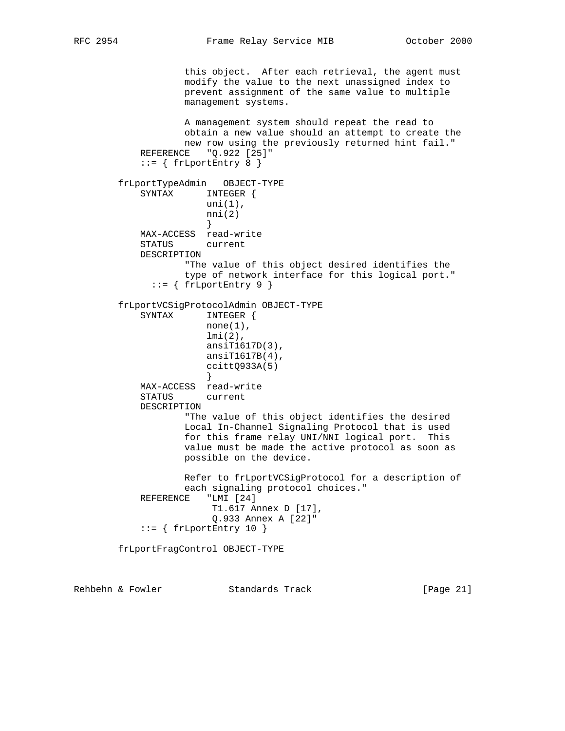this object. After each retrieval, the agent must modify the value to the next unassigned index to prevent assignment of the same value to multiple management systems. A management system should repeat the read to obtain a new value should an attempt to create the new row using the previously returned hint fail." REFERENCE "Q.922 [25]"  $::=$  { frLportEntry 8 } frLportTypeAdmin OBJECT-TYPE SYNTAX INTEGER { uni(1),  $nni(2)$  } MAX-ACCESS read-write STATUS current DESCRIPTION "The value of this object desired identifies the type of network interface for this logical port."  $::=$  { frLportEntry 9 } frLportVCSigProtocolAdmin OBJECT-TYPE SYNTAX INTEGER {  $none(1)$ , lmi(2), ansiT1617D(3), ansiT1617B(4), ccittQ933A(5) } MAX-ACCESS read-write STATUS current DESCRIPTION "The value of this object identifies the desired Local In-Channel Signaling Protocol that is used for this frame relay UNI/NNI logical port. This value must be made the active protocol as soon as possible on the device. Refer to frLportVCSigProtocol for a description of each signaling protocol choices." REFERENCE "LMI [24] T1.617 Annex D [17], Q.933 Annex A [22]"  $::=$  { frLportEntry 10 } frLportFragControl OBJECT-TYPE

Rehbehn & Fowler Standards Track [Page 21]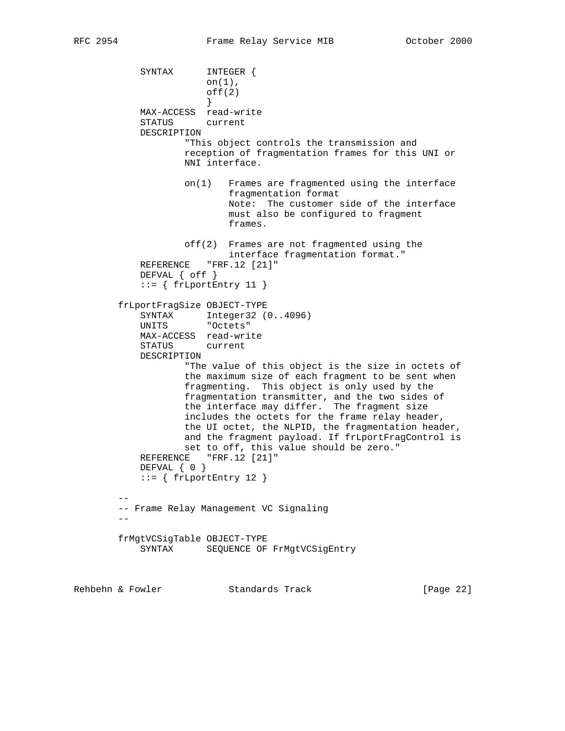```
 SYNTAX INTEGER {
                       on(1),
                      off(2) }
            MAX-ACCESS read-write
            STATUS current
            DESCRIPTION
                   "This object controls the transmission and
                   reception of fragmentation frames for this UNI or
                   NNI interface.
                   on(1) Frames are fragmented using the interface
                           fragmentation format
                           Note: The customer side of the interface
                           must also be configured to fragment
                           frames.
                   off(2) Frames are not fragmented using the
                           interface fragmentation format."
           REFERENCE "FRF.12 [21]"
            DEFVAL { off }
           ::= { frLportEntry 11 }
        frLportFragSize OBJECT-TYPE
SYNTAX Integer32 (0..4096)
 UNITS "Octets"
            MAX-ACCESS read-write
            STATUS current
            DESCRIPTION
                    "The value of this object is the size in octets of
                   the maximum size of each fragment to be sent when
                   fragmenting. This object is only used by the
                   fragmentation transmitter, and the two sides of
                   the interface may differ. The fragment size
                   includes the octets for the frame relay header,
                   the UI octet, the NLPID, the fragmentation header,
                   and the fragment payload. If frLportFragControl is
                   set to off, this value should be zero."
           REFERENCE "FRF.12 [21]"
            DEFVAL { 0 }
           ::= { frLportEntry 12 }
 --
        -- Frame Relay Management VC Signaling
       - - frMgtVCSigTable OBJECT-TYPE
            SYNTAX SEQUENCE OF FrMgtVCSigEntry
```
Rehbehn & Fowler Standards Track [Page 22]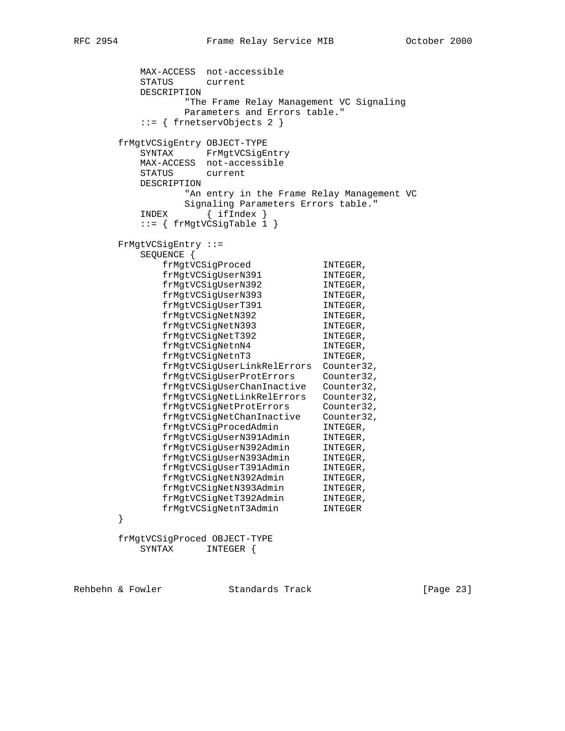```
 MAX-ACCESS not-accessible
         STATUS current
         DESCRIPTION
               "The Frame Relay Management VC Signaling
               Parameters and Errors table."
         ::= { frnetservObjects 2 }
      frMgtVCSigEntry OBJECT-TYPE
         SYNTAX FrMgtVCSigEntry
         MAX-ACCESS not-accessible
         STATUS current
         DESCRIPTION
               "An entry in the Frame Relay Management VC
               Signaling Parameters Errors table."
         INDEX { ifIndex }
         ::= { frMgtVCSigTable 1 }
      FrMgtVCSigEntry ::=
         SEQUENCE {
frMgtVCSigProced INTEGER,
frMgtVCSigUserN391 INTEGER,
 frMgtVCSigUserN392 INTEGER,
frMgtVCSigUserN393 INTEGER,
frMgtVCSigUserT391 INTEGER,
 frMgtVCSigNetN392 INTEGER,
frMgtVCSigNetN393 INTEGER,
frMgtVCSigNetT392 INTEGER,
frMgtVCSigNetnN4 INTEGER,
frMgtVCSigNetnT3 INTEGER,
            frMgtVCSigUserLinkRelErrors Counter32,
            frMgtVCSigUserProtErrors Counter32,
            frMgtVCSigUserChanInactive Counter32,
            frMgtVCSigNetLinkRelErrors Counter32,
 frMgtVCSigNetProtErrors Counter32,
 frMgtVCSigNetChanInactive Counter32,
frMgtVCSigProcedAdmin INTEGER,
 frMgtVCSigUserN391Admin INTEGER,
 frMgtVCSigUserN392Admin INTEGER,
 frMgtVCSigUserN393Admin INTEGER,
 frMgtVCSigUserT391Admin INTEGER,
 frMgtVCSigNetN392Admin INTEGER,
frMgtVCSigNetN393Admin INTEGER,
 frMgtVCSigNetT392Admin INTEGER,
 frMgtVCSigNetnT3Admin INTEGER
      }
      frMgtVCSigProced OBJECT-TYPE
         SYNTAX INTEGER {
```
Rehbehn & Fowler Standards Track [Page 23]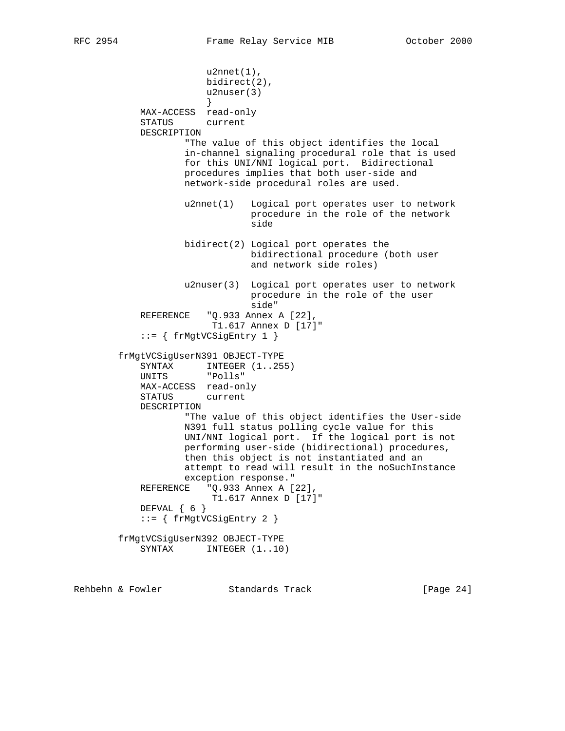u2nnet(1), bidirect(2), u2nuser(3) } MAX-ACCESS read-only STATUS current DESCRIPTION "The value of this object identifies the local in-channel signaling procedural role that is used for this UNI/NNI logical port. Bidirectional procedures implies that both user-side and network-side procedural roles are used. u2nnet(1) Logical port operates user to network procedure in the role of the network side in the state of the state of the state of the state of the state of the state of the state of the state o bidirect(2) Logical port operates the bidirectional procedure (both user and network side roles) u2nuser(3) Logical port operates user to network procedure in the role of the user side" REFERENCE "Q.933 Annex A [22], T1.617 Annex D [17]" ::= { frMgtVCSigEntry 1 } frMgtVCSigUserN391 OBJECT-TYPE SYNTAX INTEGER (1..255)<br>UNITS "Polls" "Polls" MAX-ACCESS read-only STATUS current DESCRIPTION "The value of this object identifies the User-side N391 full status polling cycle value for this UNI/NNI logical port. If the logical port is not performing user-side (bidirectional) procedures, then this object is not instantiated and an attempt to read will result in the noSuchInstance exception response." REFERENCE "Q.933 Annex A [22], T1.617 Annex D [17]" DEFVAL { 6 } ::= { frMgtVCSigEntry 2 } frMgtVCSigUserN392 OBJECT-TYPE SYNTAX INTEGER  $(1.10)$ 

Rehbehn & Fowler Standards Track [Page 24]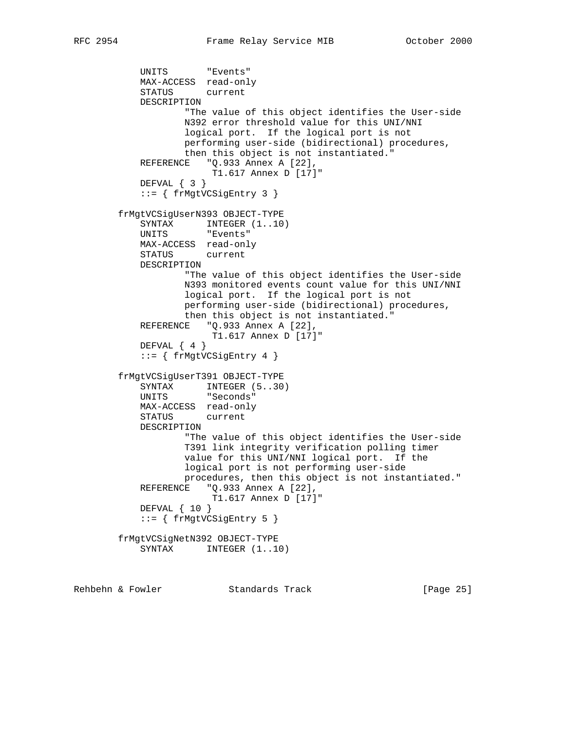```
 UNITS "Events"
    MAX-ACCESS read-only
    STATUS current
    DESCRIPTION
            "The value of this object identifies the User-side
            N392 error threshold value for this UNI/NNI
            logical port. If the logical port is not
            performing user-side (bidirectional) procedures,
            then this object is not instantiated."
    REFERENCE "Q.933 Annex A [22],
                T1.617 Annex D [17]"
    DEFVAL { 3 }
    ::= { frMgtVCSigEntry 3 }
 frMgtVCSigUserN393 OBJECT-TYPE
   SYNTAX INTEGER (1..10) UNITS "Events"
    MAX-ACCESS read-only
    STATUS current
    DESCRIPTION
            "The value of this object identifies the User-side
            N393 monitored events count value for this UNI/NNI
            logical port. If the logical port is not
            performing user-side (bidirectional) procedures,
            then this object is not instantiated."
   REFERENCE "Q.933 Annex A [22],
                 T1.617 Annex D [17]"
   DEFVAL { 4 }
    ::= { frMgtVCSigEntry 4 }
 frMgtVCSigUserT391 OBJECT-TYPE
   SYNTAX INTEGER (5..30)
    UNITS "Seconds"
    MAX-ACCESS read-only
    STATUS current
    DESCRIPTION
            "The value of this object identifies the User-side
            T391 link integrity verification polling timer
            value for this UNI/NNI logical port. If the
            logical port is not performing user-side
            procedures, then this object is not instantiated."
    REFERENCE "Q.933 Annex A [22],
                 T1.617 Annex D [17]"
    DEFVAL { 10 }
    ::= { frMgtVCSigEntry 5 }
 frMgtVCSigNetN392 OBJECT-TYPE
   SYNTAX INTEGER (1..10)
```
Rehbehn & Fowler Standards Track [Page 25]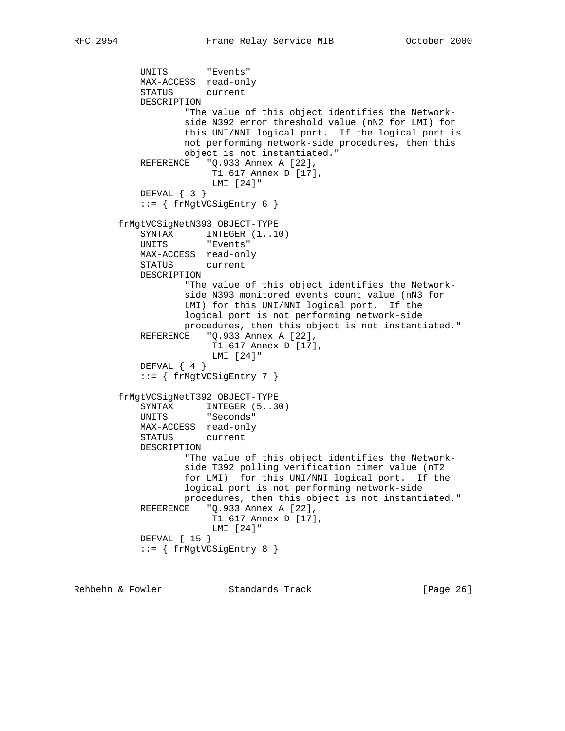```
 UNITS "Events"
            MAX-ACCESS read-only
            STATUS current
            DESCRIPTION
                    "The value of this object identifies the Network-
                    side N392 error threshold value (nN2 for LMI) for
                    this UNI/NNI logical port. If the logical port is
                    not performing network-side procedures, then this
                    object is not instantiated."
           REFERENCE "Q.933 Annex A [22],
                        T1.617 Annex D [17],
                         LMI [24]"
            DEFVAL { 3 }
            ::= { frMgtVCSigEntry 6 }
        frMgtVCSigNetN393 OBJECT-TYPE
           SYNTAX INTEGER (1..10) UNITS "Events"
            MAX-ACCESS read-only
            STATUS current
            DESCRIPTION
                    "The value of this object identifies the Network-
                    side N393 monitored events count value (nN3 for
                    LMI) for this UNI/NNI logical port. If the
                    logical port is not performing network-side
                    procedures, then this object is not instantiated."
           REFERENCE "Q.933 Annex A [22],
                         T1.617 Annex D [17],
                        LMI [24]"
           DEFVAL { 4 }
            ::= { frMgtVCSigEntry 7 }
        frMgtVCSigNetT392 OBJECT-TYPE
SYNTAX INTEGER (5..30)
 UNITS "Seconds"
            MAX-ACCESS read-only
            STATUS current
            DESCRIPTION
                   "The value of this object identifies the Network-
                    side T392 polling verification timer value (nT2
                    for LMI) for this UNI/NNI logical port. If the
                    logical port is not performing network-side
                   procedures, then this object is not instantiated."
           REFERENCE "Q.933 Annex A [22],
                        T1.617 Annex D [17],
                         LMI [24]"
            DEFVAL { 15 }
            ::= { frMgtVCSigEntry 8 }
```
Rehbehn & Fowler Standards Track [Page 26]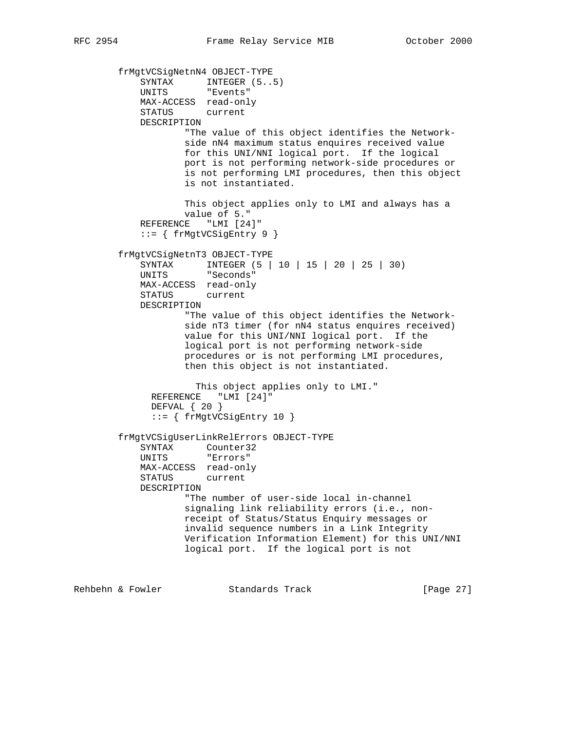```
 frMgtVCSigNetnN4 OBJECT-TYPE
SYNTAX INTEGER (5..5) UNITS "Events"
            MAX-ACCESS read-only
            STATUS current
            DESCRIPTION
                    "The value of this object identifies the Network-
                    side nN4 maximum status enquires received value
                    for this UNI/NNI logical port. If the logical
                    port is not performing network-side procedures or
                    is not performing LMI procedures, then this object
                    is not instantiated.
                    This object applies only to LMI and always has a
                    value of 5."
            REFERENCE "LMI [24]"
            ::= { frMgtVCSigEntry 9 }
        frMgtVCSigNetnT3 OBJECT-TYPE
            SYNTAX INTEGER (5 | 10 | 15 | 20 | 25 | 30)
            UNITS "Seconds"
            MAX-ACCESS read-only
            STATUS current
            DESCRIPTION
                    "The value of this object identifies the Network-
                    side nT3 timer (for nN4 status enquires received)
                    value for this UNI/NNI logical port. If the
                    logical port is not performing network-side
                    procedures or is not performing LMI procedures,
                    then this object is not instantiated.
                      This object applies only to LMI."
              REFERENCE "LMI [24]"
              DEFVAL { 20 }
              ::= { frMgtVCSigEntry 10 }
        frMgtVCSigUserLinkRelErrors OBJECT-TYPE
            SYNTAX Counter32
            UNITS "Errors"
           MAX-ACCESS read-only<br>STATUS current
           STATUS
            DESCRIPTION
                    "The number of user-side local in-channel
                    signaling link reliability errors (i.e., non-
                    receipt of Status/Status Enquiry messages or
                    invalid sequence numbers in a Link Integrity
                    Verification Information Element) for this UNI/NNI
                    logical port. If the logical port is not
```
Rehbehn & Fowler Standards Track [Page 27]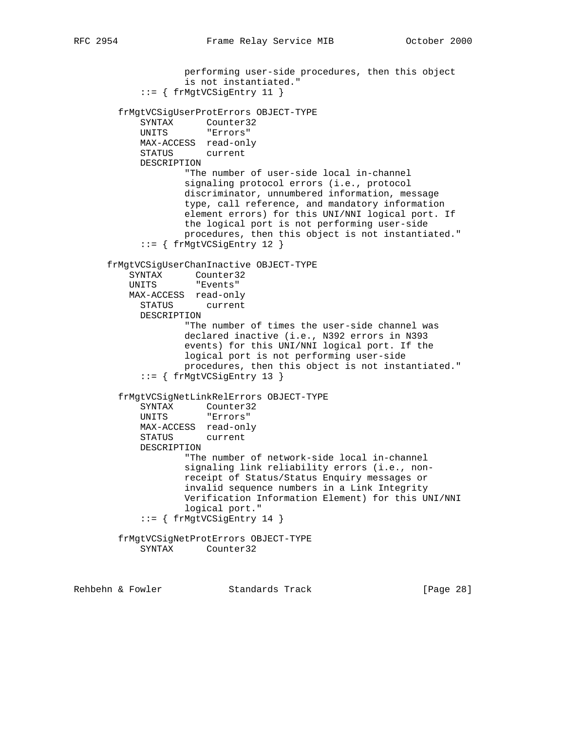```
 performing user-side procedures, then this object
               is not instantiated."
       ::= { frMgtVCSigEntry 11 }
   frMgtVCSigUserProtErrors OBJECT-TYPE
     SYNTAX Counter32<br>
UNITS "Errors"
                 "Errors"
      MAX-ACCESS read-only
      STATUS current
      DESCRIPTION
               "The number of user-side local in-channel
               signaling protocol errors (i.e., protocol
              discriminator, unnumbered information, message
               type, call reference, and mandatory information
               element errors) for this UNI/NNI logical port. If
               the logical port is not performing user-side
              procedures, then this object is not instantiated."
       ::= { frMgtVCSigEntry 12 }
 frMgtVCSigUserChanInactive OBJECT-TYPE
    SYNTAX Counter32
    UNITS "Events"
    MAX-ACCESS read-only
      STATUS current
      DESCRIPTION
              "The number of times the user-side channel was
               declared inactive (i.e., N392 errors in N393
               events) for this UNI/NNI logical port. If the
               logical port is not performing user-side
              procedures, then this object is not instantiated."
       ::= { frMgtVCSigEntry 13 }
   frMgtVCSigNetLinkRelErrors OBJECT-TYPE
      SYNTAX Counter32
      UNITS "Errors"
      MAX-ACCESS read-only
      STATUS current
      DESCRIPTION
              "The number of network-side local in-channel
               signaling link reliability errors (i.e., non-
               receipt of Status/Status Enquiry messages or
               invalid sequence numbers in a Link Integrity
              Verification Information Element) for this UNI/NNI
               logical port."
       ::= { frMgtVCSigEntry 14 }
  frMgtVCSigNetProtErrors OBJECT-TYPE
      SYNTAX Counter32
```
Rehbehn & Fowler Standards Track [Page 28]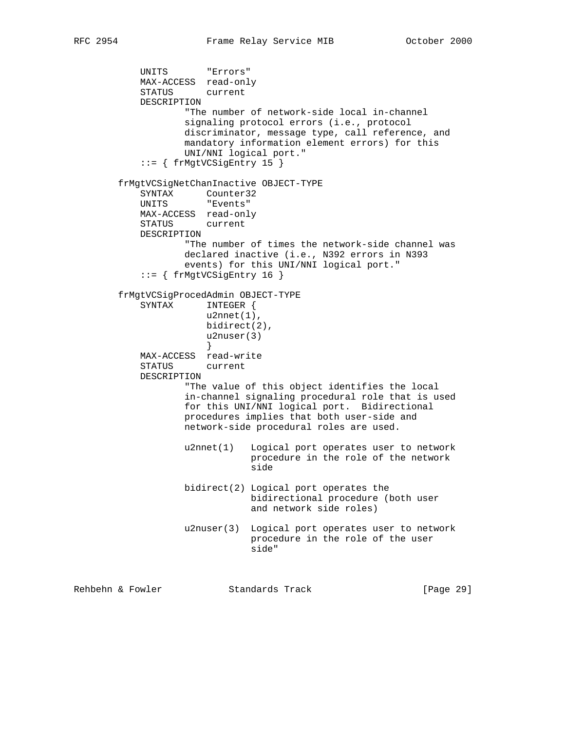UNITS "Errors" MAX-ACCESS read-only STATUS current DESCRIPTION "The number of network-side local in-channel signaling protocol errors (i.e., protocol discriminator, message type, call reference, and mandatory information element errors) for this UNI/NNI logical port." ::= { frMgtVCSigEntry 15 } frMgtVCSigNetChanInactive OBJECT-TYPE SYNTAX Counter32 UNITS "Events" MAX-ACCESS read-only STATUS current DESCRIPTION "The number of times the network-side channel was declared inactive (i.e., N392 errors in N393 events) for this UNI/NNI logical port." ::= { frMgtVCSigEntry 16 } frMgtVCSigProcedAdmin OBJECT-TYPE SYNTAX INTEGER { u2nnet(1), bidirect(2), u2nuser(3) } MAX-ACCESS read-write STATUS current DESCRIPTION "The value of this object identifies the local in-channel signaling procedural role that is used for this UNI/NNI logical port. Bidirectional procedures implies that both user-side and network-side procedural roles are used. u2nnet(1) Logical port operates user to network procedure in the role of the network side bidirect(2) Logical port operates the bidirectional procedure (both user and network side roles) u2nuser(3) Logical port operates user to network procedure in the role of the user side"

Rehbehn & Fowler Standards Track [Page 29]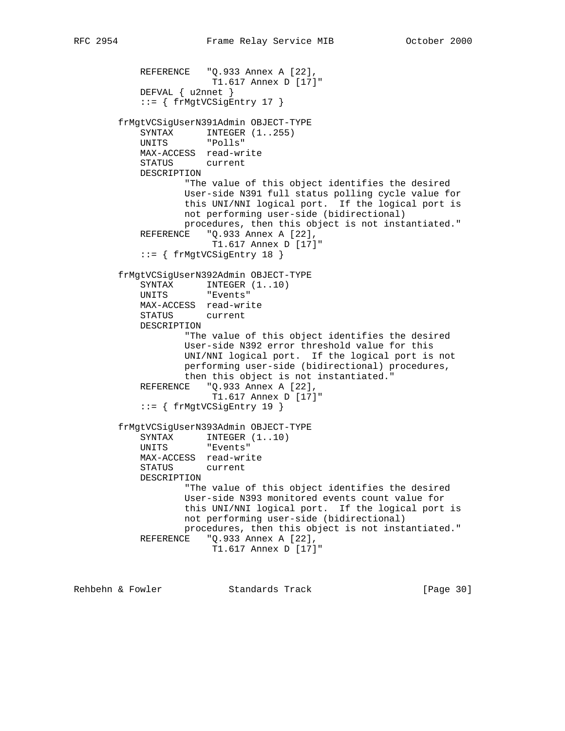```
REFERENCE "Q.933 Annex A [22],
                         T1.617 Annex D [17]"
            DEFVAL { u2nnet }
            ::= { frMgtVCSigEntry 17 }
        frMgtVCSigUserN391Admin OBJECT-TYPE
           SYNTAX INTEGER (1..255) UNITS "Polls"
            MAX-ACCESS read-write
            STATUS current
            DESCRIPTION
                    "The value of this object identifies the desired
                    User-side N391 full status polling cycle value for
                    this UNI/NNI logical port. If the logical port is
                    not performing user-side (bidirectional)
                    procedures, then this object is not instantiated."
           REFERENCE "Q.933 Annex A [22],
                         T1.617 Annex D [17]"
            ::= { frMgtVCSigEntry 18 }
        frMgtVCSigUserN392Admin OBJECT-TYPE
           SYNTAX INTEGER (1..10) UNITS "Events"
            MAX-ACCESS read-write
            STATUS current
            DESCRIPTION
                    "The value of this object identifies the desired
                    User-side N392 error threshold value for this
                    UNI/NNI logical port. If the logical port is not
                    performing user-side (bidirectional) procedures,
                    then this object is not instantiated."
            REFERENCE "Q.933 Annex A [22],
                        T1.617 Annex D [17]"
            ::= { frMgtVCSigEntry 19 }
        frMgtVCSigUserN393Admin OBJECT-TYPE
SYNTAX INTEGER (1..10) UNITS "Events"
            MAX-ACCESS read-write
            STATUS current
            DESCRIPTION
                    "The value of this object identifies the desired
                    User-side N393 monitored events count value for
                    this UNI/NNI logical port. If the logical port is
                    not performing user-side (bidirectional)
                    procedures, then this object is not instantiated."
            REFERENCE "Q.933 Annex A [22],
                        T1.617 Annex D [17]"
```
Rehbehn & Fowler Standards Track [Page 30]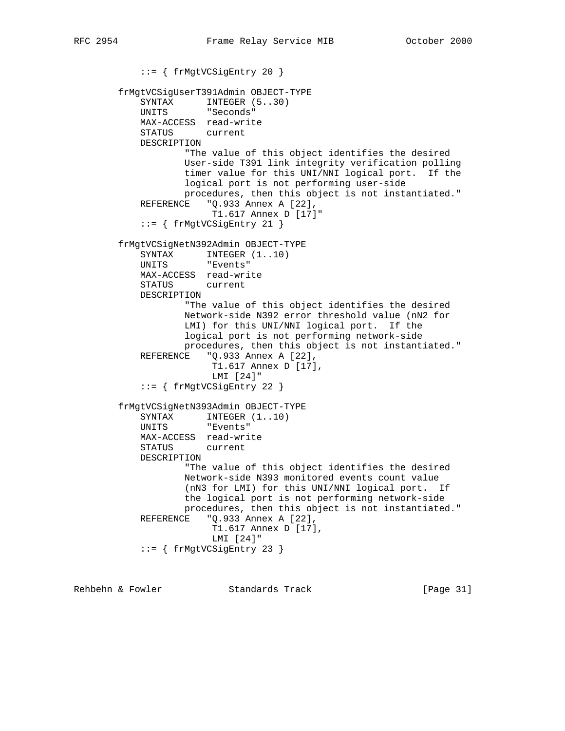::= { frMgtVCSigEntry 20 } frMgtVCSigUserT391Admin OBJECT-TYPE SYNTAX INTEGER (5..30) UNITS "Seconds" MAX-ACCESS read-write STATUS current DESCRIPTION "The value of this object identifies the desired User-side T391 link integrity verification polling timer value for this UNI/NNI logical port. If the logical port is not performing user-side procedures, then this object is not instantiated." REFERENCE "Q.933 Annex A [22], T1.617 Annex D [17]" ::= { frMgtVCSigEntry 21 } frMgtVCSigNetN392Admin OBJECT-TYPE SYNTAX INTEGER  $(1..10)$  UNITS "Events" MAX-ACCESS read-write STATUS current DESCRIPTION "The value of this object identifies the desired Network-side N392 error threshold value (nN2 for LMI) for this UNI/NNI logical port. If the logical port is not performing network-side procedures, then this object is not instantiated." REFERENCE "Q.933 Annex A [22], T1.617 Annex D [17], LMI [24]" ::= { frMgtVCSigEntry 22 } frMgtVCSigNetN393Admin OBJECT-TYPE SYNTAX INTEGER  $(1..10)$  UNITS "Events" MAX-ACCESS read-write STATUS current DESCRIPTION "The value of this object identifies the desired Network-side N393 monitored events count value (nN3 for LMI) for this UNI/NNI logical port. If the logical port is not performing network-side procedures, then this object is not instantiated." REFERENCE "Q.933 Annex A [22], T1.617 Annex D [17], LMI [24]" ::= { frMgtVCSigEntry 23 }

Rehbehn & Fowler Standards Track [Page 31]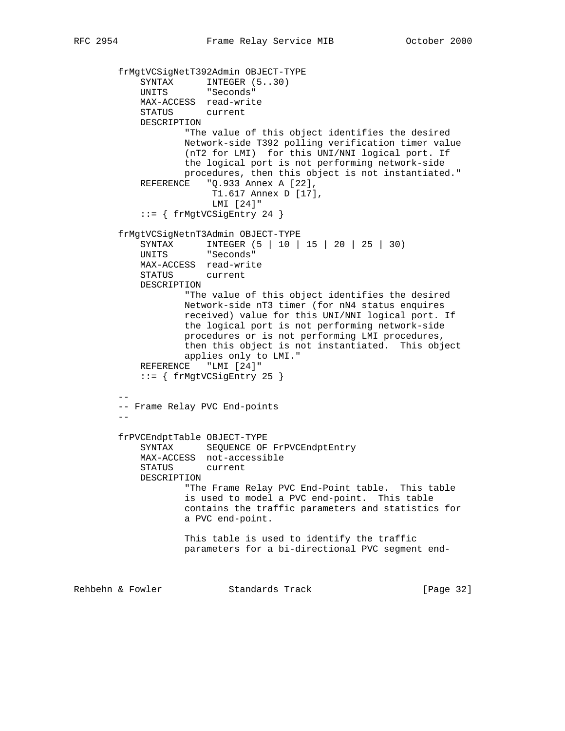```
 frMgtVCSigNetT392Admin OBJECT-TYPE
SYNTAX INTEGER (5..30)
 UNITS "Seconds"
            MAX-ACCESS read-write
            STATUS current
            DESCRIPTION
                   "The value of this object identifies the desired
                   Network-side T392 polling verification timer value
                   (nT2 for LMI) for this UNI/NNI logical port. If
                   the logical port is not performing network-side
                   procedures, then this object is not instantiated."
            REFERENCE "Q.933 Annex A [22],
                       T1.617 Annex D [17],
                        LMI [24]"
            ::= { frMgtVCSigEntry 24 }
        frMgtVCSigNetnT3Admin OBJECT-TYPE
            SYNTAX INTEGER (5 | 10 | 15 | 20 | 25 | 30)
            UNITS "Seconds"
            MAX-ACCESS read-write
            STATUS current
            DESCRIPTION
                    "The value of this object identifies the desired
                   Network-side nT3 timer (for nN4 status enquires
                   received) value for this UNI/NNI logical port. If
                   the logical port is not performing network-side
                   procedures or is not performing LMI procedures,
                   then this object is not instantiated. This object
                   applies only to LMI."
            REFERENCE "LMI [24]"
            ::= { frMgtVCSigEntry 25 }
 --
        -- Frame Relay PVC End-points
 --
        frPVCEndptTable OBJECT-TYPE
           SYNTAX SEQUENCE OF FrPVCEndptEntry
            MAX-ACCESS not-accessible
            STATUS current
            DESCRIPTION
                    "The Frame Relay PVC End-Point table. This table
                    is used to model a PVC end-point. This table
                   contains the traffic parameters and statistics for
                   a PVC end-point.
                   This table is used to identify the traffic
                   parameters for a bi-directional PVC segment end-
Rehbehn & Fowler Standards Track [Page 32]
```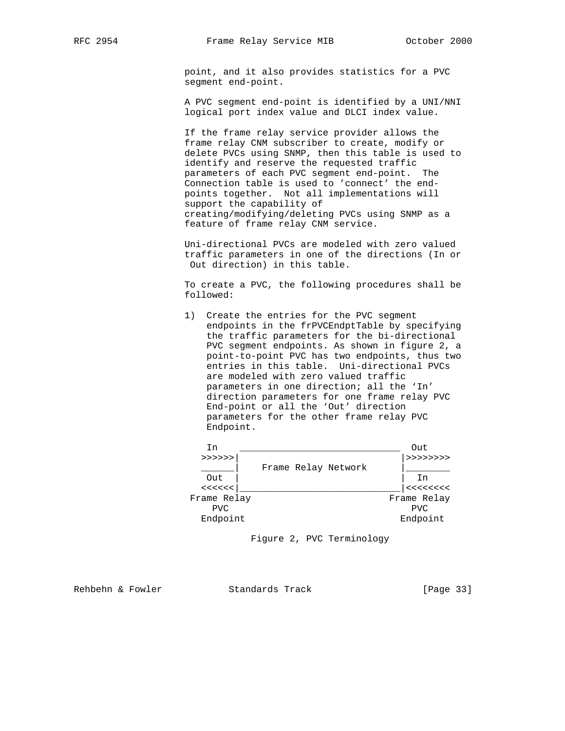point, and it also provides statistics for a PVC segment end-point.

 A PVC segment end-point is identified by a UNI/NNI logical port index value and DLCI index value.

 If the frame relay service provider allows the frame relay CNM subscriber to create, modify or delete PVCs using SNMP, then this table is used to identify and reserve the requested traffic parameters of each PVC segment end-point. The Connection table is used to 'connect' the end points together. Not all implementations will support the capability of creating/modifying/deleting PVCs using SNMP as a feature of frame relay CNM service.

 Uni-directional PVCs are modeled with zero valued traffic parameters in one of the directions (In or Out direction) in this table.

 To create a PVC, the following procedures shall be followed:

 1) Create the entries for the PVC segment endpoints in the frPVCEndptTable by specifying the traffic parameters for the bi-directional PVC segment endpoints. As shown in figure 2, a point-to-point PVC has two endpoints, thus two entries in this table. Uni-directional PVCs are modeled with zero valued traffic parameters in one direction; all the 'In' direction parameters for one frame relay PVC End-point or all the 'Out' direction parameters for the other frame relay PVC Endpoint.

| In          |                     | Out                                                                                      |
|-------------|---------------------|------------------------------------------------------------------------------------------|
| >>>>>       |                     | > >> >> >> > >                                                                           |
|             | Frame Relay Network |                                                                                          |
| Out         |                     | In                                                                                       |
| <<<<        |                     | $\begin{array}{c} < \, < \, < \, < \, < \, < \\ \, < \, < \, < \, < \, < \, \end{array}$ |
| Frame Relay |                     | Frame Relay                                                                              |
| <b>PVC</b>  |                     | <b>PVC</b>                                                                               |
| Endpoint    |                     | Endpoint                                                                                 |

Figure 2, PVC Terminology

Rehbehn & Fowler Standards Track [Page 33]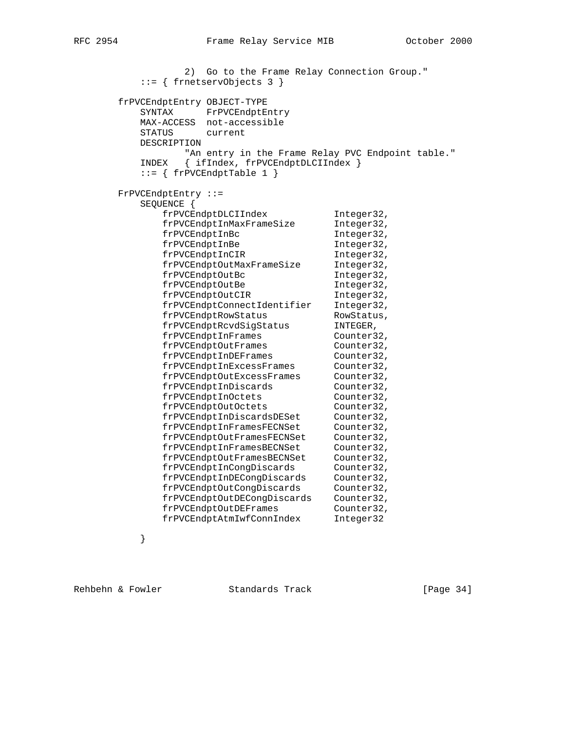2) Go to the Frame Relay Connection Group." ::= { frnetservObjects 3 } frPVCEndptEntry OBJECT-TYPE SYNTAX FrPVCEndptEntry MAX-ACCESS not-accessible STATUS current DESCRIPTION "An entry in the Frame Relay PVC Endpoint table." INDEX { ifIndex, frPVCEndptDLCIIndex }  $::= \{$  frPVCEndptTable 1  $\}$  FrPVCEndptEntry ::= SEQUENCE { frPVCEndptDLCIIndex Integer32, frPVCEndptInMaxFrameSize Integer32, frPVCEndptInBc 5.1 Integer32, frPVCEndptInBe The Integer32, frPVCEndptInCIR 1nteger32, frPVCEndptOutMaxFrameSize Integer32, frPVCEndptOutBc integer32, frPVCEndptOutBe Theger32, frPVCEndptOutCIR 1nteger32, frPVCEndptConnectIdentifier Integer32, frPVCEndptRowStatus RowStatus, frPVCEndptRcvdSigStatus INTEGER, frPVCEndptInFrames Counter32, frPVCEndptOutFrames Counter32, frPVCEndptInDEFrames Counter32, frPVCEndptInExcessFrames Counter32, frPVCEndptOutExcessFrames Counter32, frPVCEndptInDiscards Counter32, frPVCEndptInOctets Counter32, frPVCEndptOutOctets Counter32, frPVCEndptInDiscardsDESet Counter32, frPVCEndptInFramesFECNSet Counter32, frPVCEndptOutFramesFECNSet Counter32, frPVCEndptInFramesBECNSet Counter32, frPVCEndptOutFramesBECNSet Counter32, frPVCEndptInCongDiscards Counter32, frPVCEndptInDECongDiscards Counter32, frPVCEndptOutCongDiscards Counter32, frPVCEndptOutDECongDiscards Counter32, frPVCEndptOutDEFrames Counter32, frPVCEndptAtmIwfConnIndex Integer32

}

Rehbehn & Fowler Standards Track [Page 34]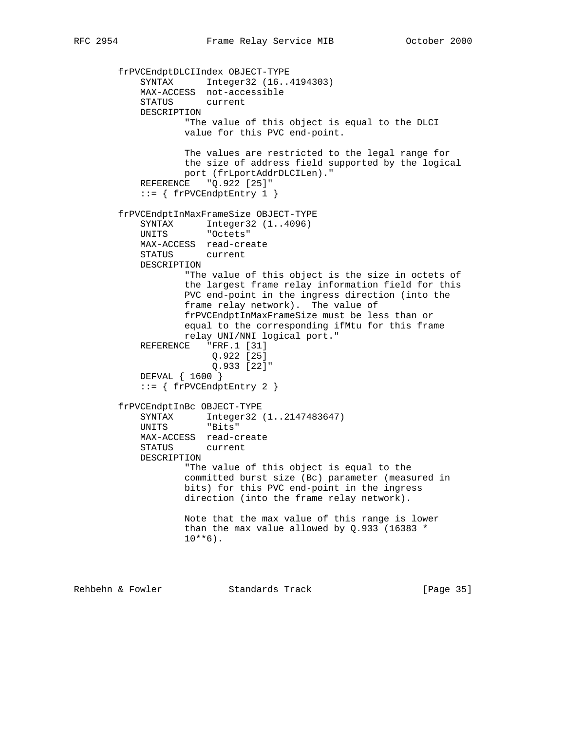```
 frPVCEndptDLCIIndex OBJECT-TYPE
            SYNTAX Integer32 (16..4194303)
            MAX-ACCESS not-accessible
            STATUS current
            DESCRIPTION
                    "The value of this object is equal to the DLCI
                    value for this PVC end-point.
                    The values are restricted to the legal range for
                    the size of address field supported by the logical
                    port (frLportAddrDLCILen)."
           REFERENCE "Q.922 [25]"
            ::= { frPVCEndptEntry 1 }
        frPVCEndptInMaxFrameSize OBJECT-TYPE
           SYNTAX Integer32 (1..4096)
            UNITS "Octets"
           MAX-ACCESS read-create<br>STATUS current
           STATUS
            DESCRIPTION
                    "The value of this object is the size in octets of
                    the largest frame relay information field for this
                    PVC end-point in the ingress direction (into the
                    frame relay network). The value of
                    frPVCEndptInMaxFrameSize must be less than or
                    equal to the corresponding ifMtu for this frame
                    relay UNI/NNI logical port."
            REFERENCE "FRF.1 [31]
                         Q.922 [25]
                         Q.933 [22]"
            DEFVAL { 1600 }
           ::= { frPVCEndptEntry 2 }
        frPVCEndptInBc OBJECT-TYPE
 SYNTAX Integer32 (1..2147483647)
 UNITS "Bits"
            MAX-ACCESS read-create
            STATUS current
            DESCRIPTION
                    "The value of this object is equal to the
                    committed burst size (Bc) parameter (measured in
                    bits) for this PVC end-point in the ingress
                    direction (into the frame relay network).
                    Note that the max value of this range is lower
                    than the max value allowed by Q.933 (16383 *
                   10***6).
```
Rehbehn & Fowler Standards Track [Page 35]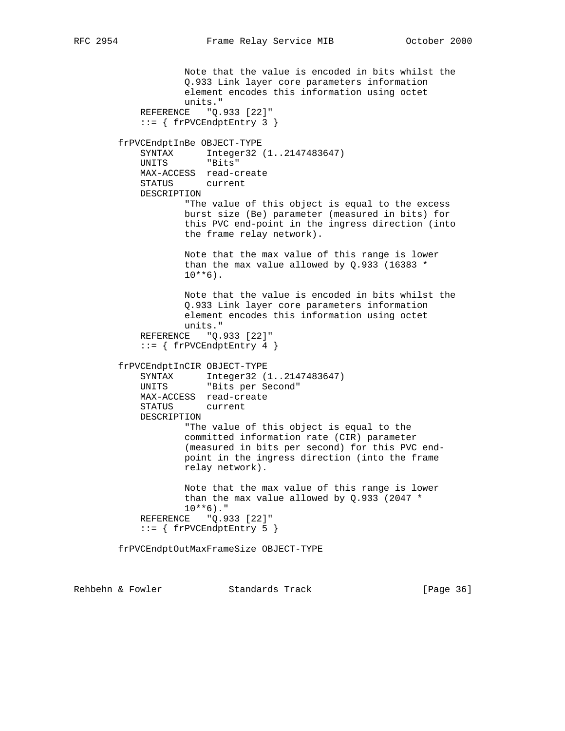```
 Note that the value is encoded in bits whilst the
             Q.933 Link layer core parameters information
            element encodes this information using octet
   units."<br>REFERENCE "O.
                "Q.933 [22]"::= { frPVCEndptEntry 3 }
 frPVCEndptInBe OBJECT-TYPE
    SYNTAX Integer32 (1..2147483647)
    UNITS "Bits"
    MAX-ACCESS read-create
    STATUS current
    DESCRIPTION
            "The value of this object is equal to the excess
            burst size (Be) parameter (measured in bits) for
             this PVC end-point in the ingress direction (into
            the frame relay network).
            Note that the max value of this range is lower
            than the max value allowed by Q.933 (16383 *
           10***6).
            Note that the value is encoded in bits whilst the
            Q.933 Link layer core parameters information
            element encodes this information using octet
            units."
    REFERENCE "Q.933 [22]"
    ::= { frPVCEndptEntry 4 }
 frPVCEndptInCIR OBJECT-TYPE
    SYNTAX Integer32 (1..2147483647)
    UNITS "Bits per Second"
    MAX-ACCESS read-create
    STATUS current
    DESCRIPTION
             "The value of this object is equal to the
             committed information rate (CIR) parameter
             (measured in bits per second) for this PVC end-
            point in the ingress direction (into the frame
            relay network).
            Note that the max value of this range is lower
            than the max value allowed by Q.933 (2047 *
           10***6)."
    REFERENCE "Q.933 [22]"
     ::= { frPVCEndptEntry 5 }
 frPVCEndptOutMaxFrameSize OBJECT-TYPE
```
Rehbehn & Fowler Standards Track [Page 36]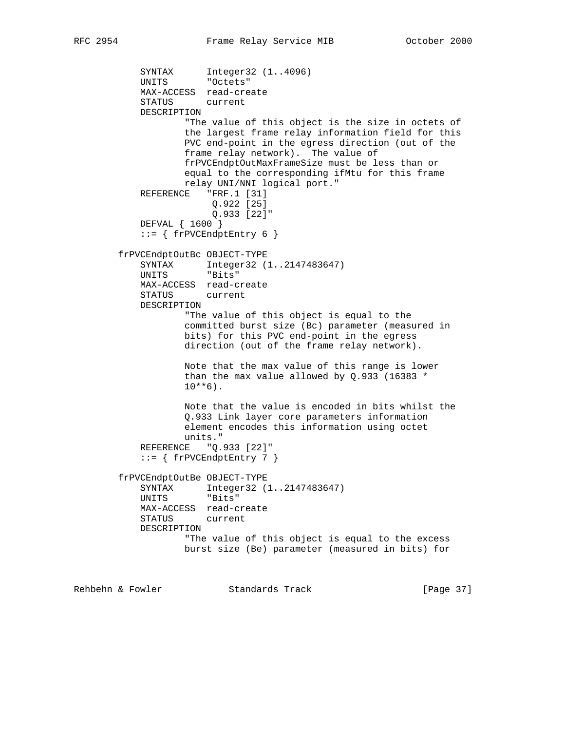```
SYNTAX Integer32 (1..4096)
 UNITS "Octets"
            MAX-ACCESS read-create
            STATUS current
            DESCRIPTION
                    "The value of this object is the size in octets of
                    the largest frame relay information field for this
                    PVC end-point in the egress direction (out of the
                    frame relay network). The value of
                    frPVCEndptOutMaxFrameSize must be less than or
                    equal to the corresponding ifMtu for this frame
                    relay UNI/NNI logical port."
           REFERENCE "FRF.1 [31]
                        Q.922 [25]
                         Q.933 [22]"
            DEFVAL { 1600 }
           ::= { frPVCEndptEntry 6 }
        frPVCEndptOutBc OBJECT-TYPE
            SYNTAX Integer32 (1..2147483647)
            UNITS "Bits"
            MAX-ACCESS read-create
            STATUS current
            DESCRIPTION
                    "The value of this object is equal to the
                    committed burst size (Bc) parameter (measured in
                    bits) for this PVC end-point in the egress
                    direction (out of the frame relay network).
                    Note that the max value of this range is lower
                    than the max value allowed by Q.933 (16383 *
                   10***6).
                    Note that the value is encoded in bits whilst the
                    Q.933 Link layer core parameters information
                    element encodes this information using octet
                    units."
            REFERENCE "Q.933 [22]"
            ::= { frPVCEndptEntry 7 }
        frPVCEndptOutBe OBJECT-TYPE
            SYNTAX Integer32 (1..2147483647)
            UNITS "Bits"
            MAX-ACCESS read-create
            STATUS current
            DESCRIPTION
                    "The value of this object is equal to the excess
                    burst size (Be) parameter (measured in bits) for
```
Rehbehn & Fowler Standards Track [Page 37]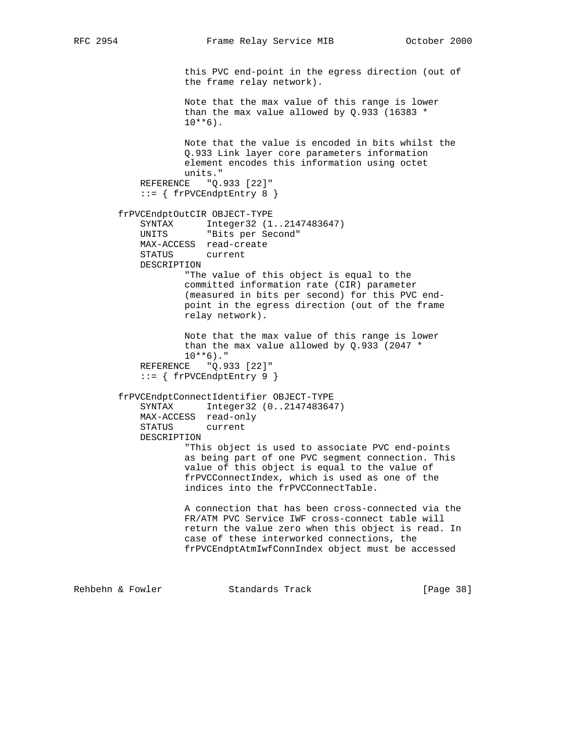this PVC end-point in the egress direction (out of the frame relay network). Note that the max value of this range is lower than the max value allowed by Q.933 (16383 \*  $10***6$ ). Note that the value is encoded in bits whilst the Q.933 Link layer core parameters information element encodes this information using octet units." REFERENCE "Q.933 [22]" ::= { frPVCEndptEntry 8 } frPVCEndptOutCIR OBJECT-TYPE SYNTAX Integer32 (1..2147483647) UNITS "Bits per Second" MAX-ACCESS read-create<br>STATUS current STATUS DESCRIPTION "The value of this object is equal to the committed information rate (CIR) parameter (measured in bits per second) for this PVC end point in the egress direction (out of the frame relay network). Note that the max value of this range is lower than the max value allowed by Q.933 (2047 \*  $10***6)$ ." REFERENCE "Q.933 [22]"  $::=$  { frPVCEndptEntry 9 } frPVCEndptConnectIdentifier OBJECT-TYPE SYNTAX Integer32 (0..2147483647) MAX-ACCESS read-only STATUS current DESCRIPTION "This object is used to associate PVC end-points as being part of one PVC segment connection. This value of this object is equal to the value of frPVCConnectIndex, which is used as one of the indices into the frPVCConnectTable. A connection that has been cross-connected via the FR/ATM PVC Service IWF cross-connect table will return the value zero when this object is read. In case of these interworked connections, the frPVCEndptAtmIwfConnIndex object must be accessed Rehbehn & Fowler Standards Track [Page 38]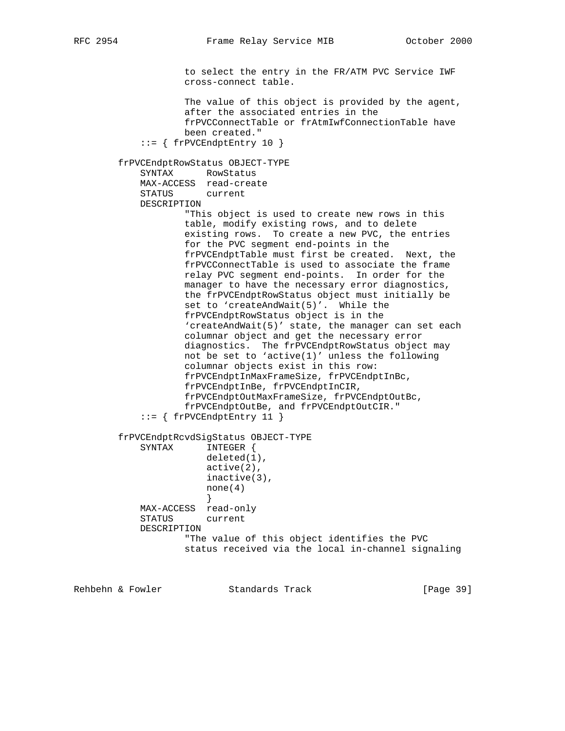to select the entry in the FR/ATM PVC Service IWF cross-connect table. The value of this object is provided by the agent, after the associated entries in the frPVCConnectTable or frAtmIwfConnectionTable have been created."  $::=$  { frPVCEndptEntry 10 } frPVCEndptRowStatus OBJECT-TYPE SYNTAX RowStatus MAX-ACCESS read-create STATUS current DESCRIPTION "This object is used to create new rows in this table, modify existing rows, and to delete existing rows. To create a new PVC, the entries for the PVC segment end-points in the frPVCEndptTable must first be created. Next, the frPVCConnectTable is used to associate the frame relay PVC segment end-points. In order for the manager to have the necessary error diagnostics, the frPVCEndptRowStatus object must initially be set to 'createAndWait(5)'. While the frPVCEndptRowStatus object is in the 'createAndWait(5)' state, the manager can set each columnar object and get the necessary error diagnostics. The frPVCEndptRowStatus object may not be set to 'active(1)' unless the following columnar objects exist in this row: frPVCEndptInMaxFrameSize, frPVCEndptInBc, frPVCEndptInBe, frPVCEndptInCIR, frPVCEndptOutMaxFrameSize, frPVCEndptOutBc, frPVCEndptOutBe, and frPVCEndptOutCIR." ::= { frPVCEndptEntry 11 } frPVCEndptRcvdSigStatus OBJECT-TYPE SYNTAX INTEGER { deleted(1), active(2), inactive(3), none(4) } MAX-ACCESS read-only STATUS current DESCRIPTION "The value of this object identifies the PVC status received via the local in-channel signaling

Rehbehn & Fowler Standards Track [Page 39]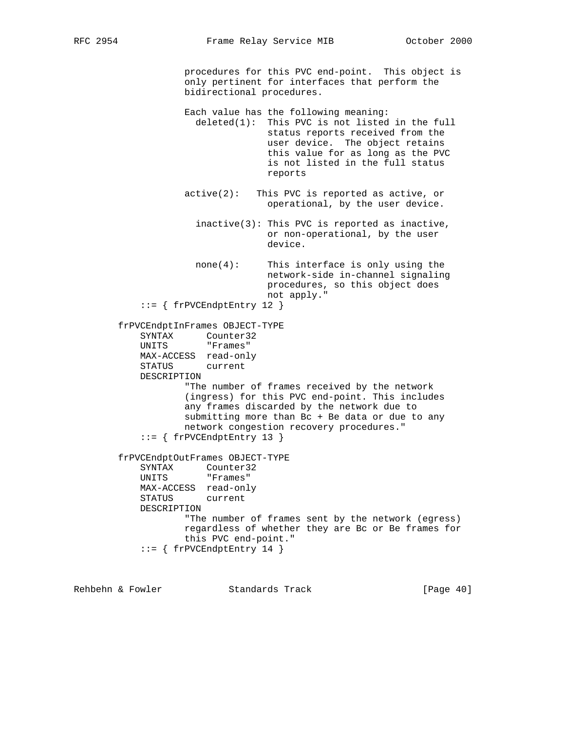procedures for this PVC end-point. This object is only pertinent for interfaces that perform the bidirectional procedures.

 Each value has the following meaning: deleted(1): This PVC is not listed in the full status reports received from the user device. The object retains this value for as long as the PVC is not listed in the full status reports

- active(2): This PVC is reported as active, or operational, by the user device.
	- inactive(3): This PVC is reported as inactive, or non-operational, by the user device.
	- none(4): This interface is only using the network-side in-channel signaling procedures, so this object does not apply."

::= { frPVCEndptEntry 12 }

 frPVCEndptInFrames OBJECT-TYPE SYNTAX Counter32 UNITS "Frames"

```
 MAX-ACCESS read-only
```
STATUS current

DESCRIPTION

 "The number of frames received by the network (ingress) for this PVC end-point. This includes any frames discarded by the network due to submitting more than Bc + Be data or due to any network congestion recovery procedures." ::= { frPVCEndptEntry 13 }

```
 frPVCEndptOutFrames OBJECT-TYPE
    SYNTAX Counter32
    UNITS "Frames"
    MAX-ACCESS read-only
    STATUS current
    DESCRIPTION
            "The number of frames sent by the network (egress)
            regardless of whether they are Bc or Be frames for
            this PVC end-point."
    ::= { frPVCEndptEntry 14 }
```
Rehbehn & Fowler Standards Track [Page 40]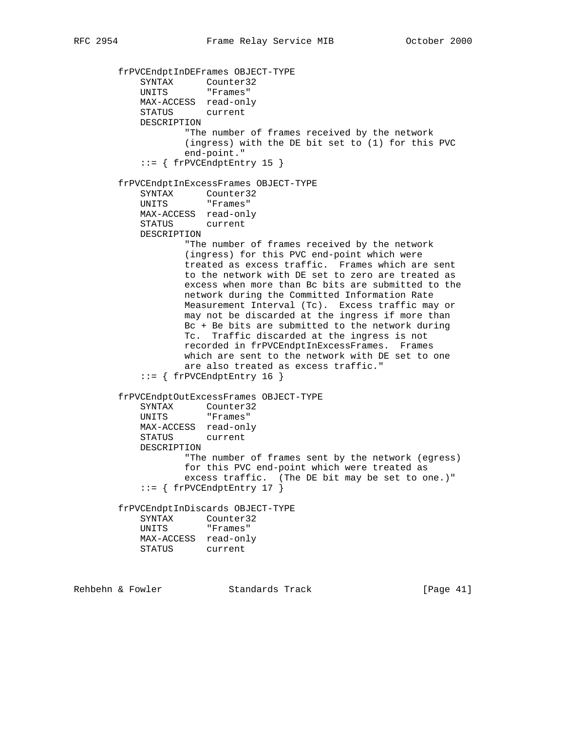frPVCEndptInDEFrames OBJECT-TYPE SYNTAX Counter32 UNITS "Frames" MAX-ACCESS read-only STATUS current DESCRIPTION "The number of frames received by the network (ingress) with the DE bit set to (1) for this PVC end-point."  $::=$  { frPVCEndptEntry 15 } frPVCEndptInExcessFrames OBJECT-TYPE SYNTAX Counter32 UNITS "Frames" MAX-ACCESS read-only STATUS current DESCRIPTION "The number of frames received by the network (ingress) for this PVC end-point which were treated as excess traffic. Frames which are sent to the network with DE set to zero are treated as excess when more than Bc bits are submitted to the network during the Committed Information Rate Measurement Interval (Tc). Excess traffic may or may not be discarded at the ingress if more than Bc + Be bits are submitted to the network during Tc. Traffic discarded at the ingress is not recorded in frPVCEndptInExcessFrames. Frames which are sent to the network with DE set to one are also treated as excess traffic." ::= { frPVCEndptEntry 16 } frPVCEndptOutExcessFrames OBJECT-TYPE SYNTAX Counter32 UNITS "Frames" MAX-ACCESS read-only STATUS current DESCRIPTION "The number of frames sent by the network (egress) for this PVC end-point which were treated as excess traffic. (The DE bit may be set to one.)" ::= { frPVCEndptEntry 17 } frPVCEndptInDiscards OBJECT-TYPE SYNTAX Counter32 UNITS "Frames" MAX-ACCESS read-only STATUS current

Rehbehn & Fowler Standards Track [Page 41]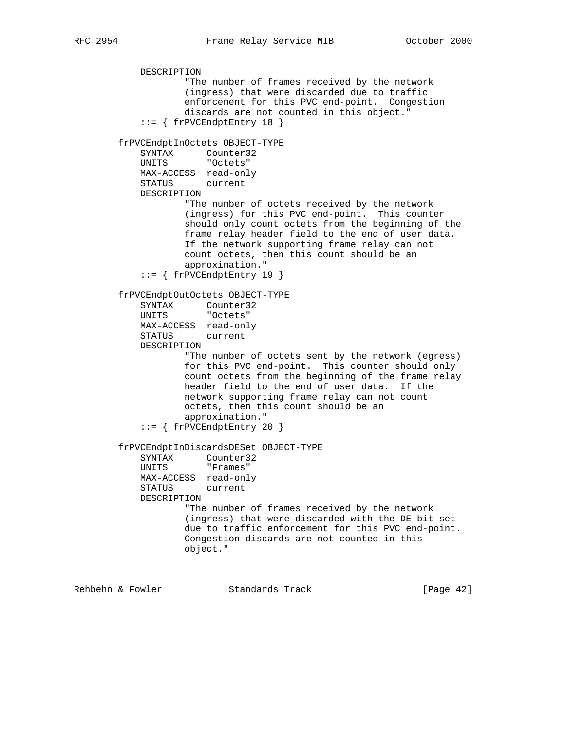```
 DESCRIPTION
                    "The number of frames received by the network
                    (ingress) that were discarded due to traffic
                    enforcement for this PVC end-point. Congestion
                    discards are not counted in this object."
            ::= { frPVCEndptEntry 18 }
        frPVCEndptInOctets OBJECT-TYPE
            SYNTAX Counter32
            UNITS "Octets"
            MAX-ACCESS read-only
            STATUS current
            DESCRIPTION
                   "The number of octets received by the network
                    (ingress) for this PVC end-point. This counter
                    should only count octets from the beginning of the
                    frame relay header field to the end of user data.
                    If the network supporting frame relay can not
                    count octets, then this count should be an
                    approximation."
            ::= { frPVCEndptEntry 19 }
        frPVCEndptOutOctets OBJECT-TYPE
SYNTAX Counter32
 UNITS "Octets"
            MAX-ACCESS read-only
            STATUS current
            DESCRIPTION
                    "The number of octets sent by the network (egress)
                    for this PVC end-point. This counter should only
                   count octets from the beginning of the frame relay
                   header field to the end of user data. If the
                    network supporting frame relay can not count
                   octets, then this count should be an
                   approximation."
            ::= { frPVCEndptEntry 20 }
        frPVCEndptInDiscardsDESet OBJECT-TYPE
SYNTAX Counter32
 UNITS "Frames"
            MAX-ACCESS read-only
            STATUS current
            DESCRIPTION
                    "The number of frames received by the network
                    (ingress) that were discarded with the DE bit set
                    due to traffic enforcement for this PVC end-point.
                    Congestion discards are not counted in this
                    object."
```
Rehbehn & Fowler Standards Track [Page 42]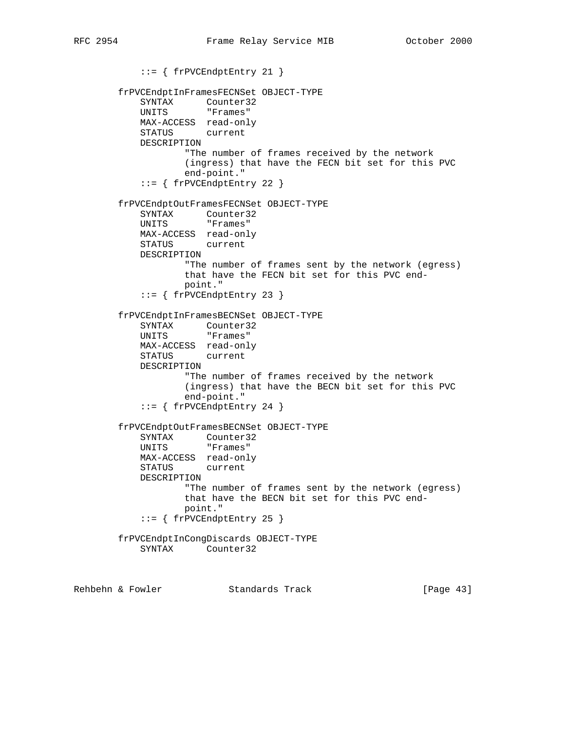::= { frPVCEndptEntry 21 } frPVCEndptInFramesFECNSet OBJECT-TYPE SYNTAX Counter32<br>UNITS "Frames" "Frames" MAX-ACCESS read-only STATUS current DESCRIPTION "The number of frames received by the network (ingress) that have the FECN bit set for this PVC end-point." ::= { frPVCEndptEntry 22 } frPVCEndptOutFramesFECNSet OBJECT-TYPE SYNTAX Counter32 UNITS "Frames" MAX-ACCESS read-only STATUS current DESCRIPTION "The number of frames sent by the network (egress) that have the FECN bit set for this PVC end point." ::= { frPVCEndptEntry 23 } frPVCEndptInFramesBECNSet OBJECT-TYPE SYNTAX Counter32 UNITS "Frames" MAX-ACCESS read-only STATUS current DESCRIPTION "The number of frames received by the network (ingress) that have the BECN bit set for this PVC end-point."  $::=$  { frPVCEndptEntry 24 } frPVCEndptOutFramesBECNSet OBJECT-TYPE SYNTAX Counter32 UNITS "Frames" MAX-ACCESS read-only<br>STATUS current **STATUS**  DESCRIPTION "The number of frames sent by the network (egress) that have the BECN bit set for this PVC end point." ::= { frPVCEndptEntry 25 } frPVCEndptInCongDiscards OBJECT-TYPE SYNTAX Counter32

Rehbehn & Fowler Standards Track [Page 43]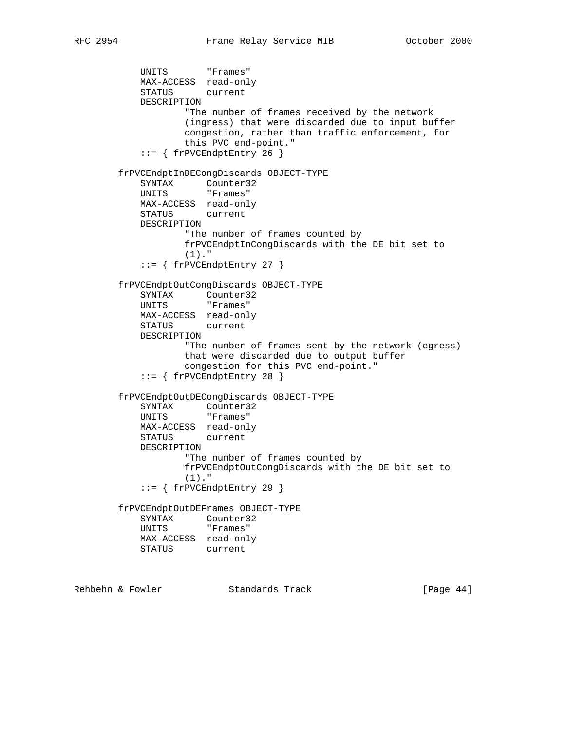UNITS "Frames" MAX-ACCESS read-only STATUS current DESCRIPTION "The number of frames received by the network (ingress) that were discarded due to input buffer congestion, rather than traffic enforcement, for this PVC end-point." ::= { frPVCEndptEntry 26 } frPVCEndptInDECongDiscards OBJECT-TYPE SYNTAX Counter32 UNITS "Frames" MAX-ACCESS read-only STATUS current DESCRIPTION "The number of frames counted by frPVCEndptInCongDiscards with the DE bit set to (1)."  $::=$  { frPVCEndptEntry 27 } frPVCEndptOutCongDiscards OBJECT-TYPE SYNTAX Counter32 UNITS "Frames" MAX-ACCESS read-only STATUS current DESCRIPTION "The number of frames sent by the network (egress) that were discarded due to output buffer congestion for this PVC end-point." ::= { frPVCEndptEntry 28 } frPVCEndptOutDECongDiscards OBJECT-TYPE SYNTAX Counter32 UNITS "Frames" MAX-ACCESS read-only STATUS current DESCRIPTION "The number of frames counted by frPVCEndptOutCongDiscards with the DE bit set to (1)." ::= { frPVCEndptEntry 29 } frPVCEndptOutDEFrames OBJECT-TYPE SYNTAX Counter32 UNITS "Frames" MAX-ACCESS read-only STATUS current Rehbehn & Fowler Standards Track [Page 44]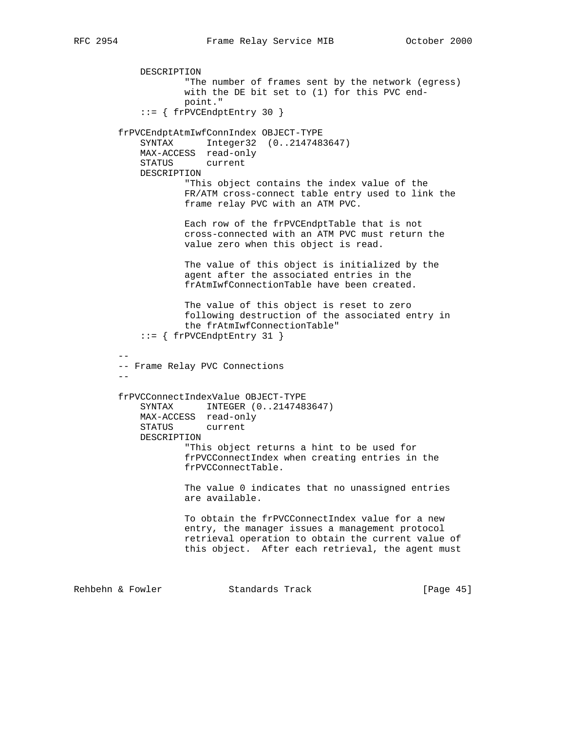```
 DESCRIPTION
                    "The number of frames sent by the network (egress)
                    with the DE bit set to (1) for this PVC end-
                    point."
             ::= { frPVCEndptEntry 30 }
         frPVCEndptAtmIwfConnIndex OBJECT-TYPE
            SYNTAX Integer32 (0..2147483647)
            MAX-ACCESS read-only
            STATUS current
            DESCRIPTION
                    "This object contains the index value of the
                    FR/ATM cross-connect table entry used to link the
                    frame relay PVC with an ATM PVC.
                    Each row of the frPVCEndptTable that is not
                    cross-connected with an ATM PVC must return the
                    value zero when this object is read.
                    The value of this object is initialized by the
                    agent after the associated entries in the
                    frAtmIwfConnectionTable have been created.
                    The value of this object is reset to zero
                    following destruction of the associated entry in
                    the frAtmIwfConnectionTable"
            ::= { frPVCEndptEntry 31 }
 --
        -- Frame Relay PVC Connections
        - - frPVCConnectIndexValue OBJECT-TYPE
            SYNTAX INTEGER (0..2147483647)
            MAX-ACCESS read-only
            STATUS current
            DESCRIPTION
                    "This object returns a hint to be used for
                    frPVCConnectIndex when creating entries in the
                    frPVCConnectTable.
                    The value 0 indicates that no unassigned entries
                    are available.
                    To obtain the frPVCConnectIndex value for a new
                    entry, the manager issues a management protocol
                    retrieval operation to obtain the current value of
                    this object. After each retrieval, the agent must
Rehbehn & Fowler Standards Track [Page 45]
```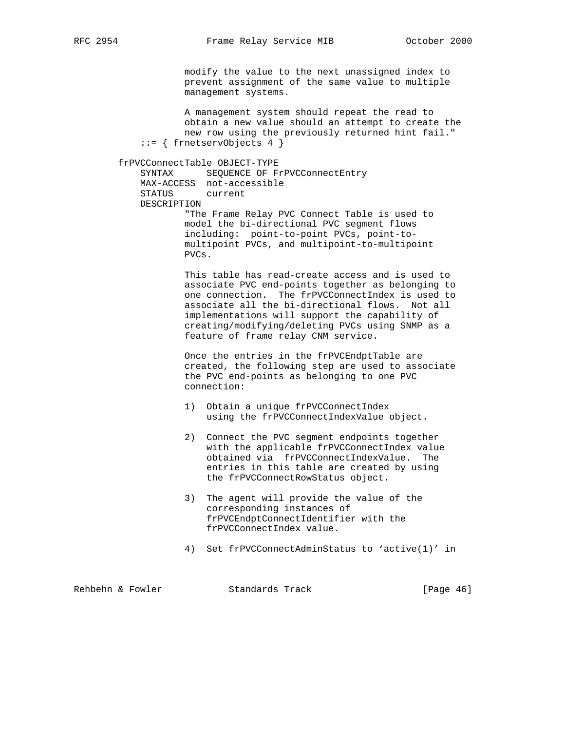modify the value to the next unassigned index to prevent assignment of the same value to multiple management systems.

 A management system should repeat the read to obtain a new value should an attempt to create the new row using the previously returned hint fail." ::= { frnetservObjects 4 }

 frPVCConnectTable OBJECT-TYPE SYNTAX SEQUENCE OF FrPVCConnectEntry MAX-ACCESS not-accessible STATUS current DESCRIPTION "The Frame Relay PVC Connect Table is used to model the bi-directional PVC segment flows including: point-to-point PVCs, point-to multipoint PVCs, and multipoint-to-multipoint

PVCs.

 This table has read-create access and is used to associate PVC end-points together as belonging to one connection. The frPVCConnectIndex is used to associate all the bi-directional flows. Not all implementations will support the capability of creating/modifying/deleting PVCs using SNMP as a feature of frame relay CNM service.

 Once the entries in the frPVCEndptTable are created, the following step are used to associate the PVC end-points as belonging to one PVC connection:

- 1) Obtain a unique frPVCConnectIndex using the frPVCConnectIndexValue object.
- 2) Connect the PVC segment endpoints together with the applicable frPVCConnectIndex value obtained via frPVCConnectIndexValue. The entries in this table are created by using the frPVCConnectRowStatus object.
- 3) The agent will provide the value of the corresponding instances of frPVCEndptConnectIdentifier with the frPVCConnectIndex value.
- 4) Set frPVCConnectAdminStatus to 'active(1)' in

Rehbehn & Fowler Standards Track [Page 46]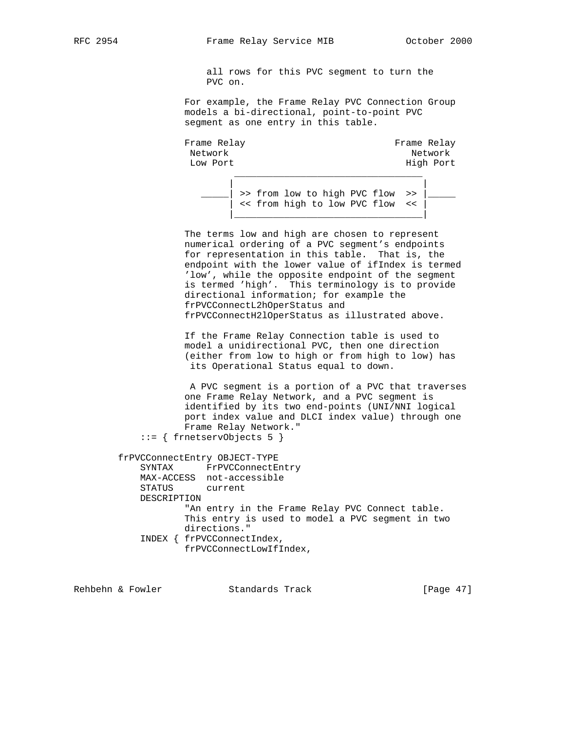all rows for this PVC segment to turn the PVC on.

 For example, the Frame Relay PVC Connection Group models a bi-directional, point-to-point PVC segment as one entry in this table.

Frame Relay **Frame** Relay Network and the set of the set of the set of the set of the set of the set of the set of the set of the set of the set of the set of the set of the set of the set of the set of the set of the set of the set of the set of t Low Port **High Port**  $\mathcal{L}_\text{max}$  , and the state of the state of the state of the state of the state of the state of the state of the state of the state of the state of the state of the state of the state of the state of the state of the st

 | |  $\vert$  >> from low to high PVC flow >> << from high to low PVC flow << |\_\_\_\_\_\_\_\_\_\_\_\_\_\_\_\_\_\_\_\_\_\_\_\_\_\_\_\_\_\_\_\_\_\_|

> The terms low and high are chosen to represent numerical ordering of a PVC segment's endpoints for representation in this table. That is, the endpoint with the lower value of ifIndex is termed 'low', while the opposite endpoint of the segment is termed 'high'. This terminology is to provide directional information; for example the frPVCConnectL2hOperStatus and frPVCConnectH2lOperStatus as illustrated above.

 If the Frame Relay Connection table is used to model a unidirectional PVC, then one direction (either from low to high or from high to low) has its Operational Status equal to down.

 A PVC segment is a portion of a PVC that traverses one Frame Relay Network, and a PVC segment is identified by its two end-points (UNI/NNI logical port index value and DLCI index value) through one Frame Relay Network."

::= { frnetservObjects 5 }

 frPVCConnectEntry OBJECT-TYPE SYNTAX FrPVCConnectEntry MAX-ACCESS not-accessible STATUS current DESCRIPTION "An entry in the Frame Relay PVC Connect table. This entry is used to model a PVC segment in two directions." INDEX { frPVCConnectIndex, frPVCConnectLowIfIndex,

Rehbehn & Fowler Standards Track [Page 47]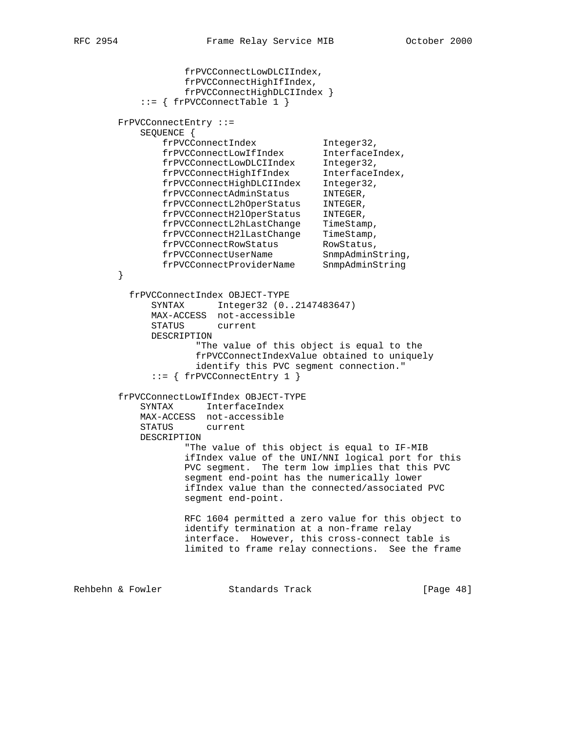```
 frPVCConnectLowDLCIIndex,
                  frPVCConnectHighIfIndex,
                  frPVCConnectHighDLCIIndex }
           ::= { frPVCConnectTable 1 }
       FrPVCConnectEntry ::=
           SEQUENCE {
 frPVCConnectIndex Integer32,
 frPVCConnectLowIfIndex InterfaceIndex,
 frPVCConnectLowDLCIIndex Integer32,
 frPVCConnectHighIfIndex InterfaceIndex,
 frPVCConnectHighDLCIIndex Integer32,
 frPVCConnectAdminStatus INTEGER,
 frPVCConnectL2hOperStatus INTEGER,
 frPVCConnectH2lOperStatus INTEGER,
 frPVCConnectL2hLastChange TimeStamp,
 frPVCConnectH2lLastChange TimeStamp,
frPVCConnectRowStatus RowStatus,
 frPVCConnectUserName SnmpAdminString,
 frPVCConnectProviderName SnmpAdminString
       }
         frPVCConnectIndex OBJECT-TYPE
            SYNTAX Integer32 (0..2147483647)
            MAX-ACCESS not-accessible
            STATUS current
            DESCRIPTION
                   "The value of this object is equal to the
                   frPVCConnectIndexValue obtained to uniquely
                   identify this PVC segment connection."
             ::= { frPVCConnectEntry 1 }
       frPVCConnectLowIfIndex OBJECT-TYPE
           SYNTAX InterfaceIndex
           MAX-ACCESS not-accessible
           STATUS current
           DESCRIPTION
                  "The value of this object is equal to IF-MIB
                  ifIndex value of the UNI/NNI logical port for this
                  PVC segment. The term low implies that this PVC
                  segment end-point has the numerically lower
                  ifIndex value than the connected/associated PVC
                  segment end-point.
                 RFC 1604 permitted a zero value for this object to
                  identify termination at a non-frame relay
                  interface. However, this cross-connect table is
                  limited to frame relay connections. See the frame
Rehbehn & Fowler Standards Track [Page 48]
```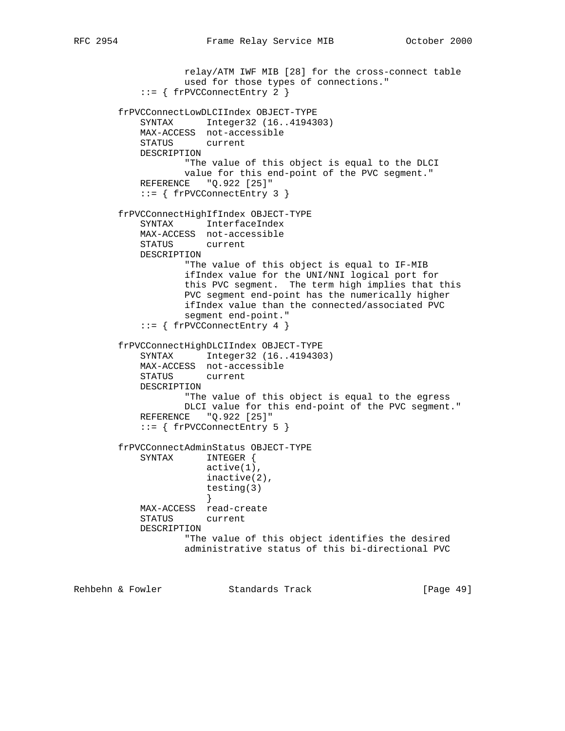```
 relay/ATM IWF MIB [28] for the cross-connect table
                    used for those types of connections."
            ::= { frPVCConnectEntry 2 }
        frPVCConnectLowDLCIIndex OBJECT-TYPE
            SYNTAX Integer32 (16..4194303)
            MAX-ACCESS not-accessible
            STATUS current
            DESCRIPTION
                    "The value of this object is equal to the DLCI
                   value for this end-point of the PVC segment."
            REFERENCE "Q.922 [25]"
            ::= { frPVCConnectEntry 3 }
        frPVCConnectHighIfIndex OBJECT-TYPE
            SYNTAX InterfaceIndex
            MAX-ACCESS not-accessible
           STATUS
            DESCRIPTION
                    "The value of this object is equal to IF-MIB
                    ifIndex value for the UNI/NNI logical port for
                    this PVC segment. The term high implies that this
                    PVC segment end-point has the numerically higher
                    ifIndex value than the connected/associated PVC
                    segment end-point."
            ::= { frPVCConnectEntry 4 }
        frPVCConnectHighDLCIIndex OBJECT-TYPE
            SYNTAX Integer32 (16..4194303)
            MAX-ACCESS not-accessible
            STATUS current
            DESCRIPTION
                    "The value of this object is equal to the egress
                   DLCI value for this end-point of the PVC segment."
           REFERENCE "Q.922 [25]"
            ::= { frPVCConnectEntry 5 }
        frPVCConnectAdminStatus OBJECT-TYPE
            SYNTAX INTEGER {
                        active(1),
                        inactive(2),
                        testing(3)
 }
            MAX-ACCESS read-create
            STATUS current
            DESCRIPTION
                    "The value of this object identifies the desired
                    administrative status of this bi-directional PVC
```
Rehbehn & Fowler Standards Track [Page 49]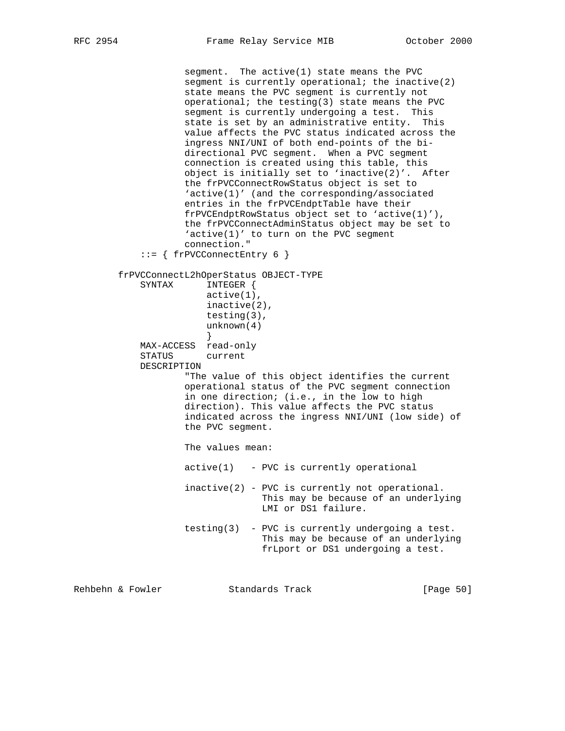segment. The active(1) state means the PVC segment is currently operational; the inactive $(2)$  state means the PVC segment is currently not operational; the testing(3) state means the PVC segment is currently undergoing a test. This state is set by an administrative entity. This value affects the PVC status indicated across the ingress NNI/UNI of both end-points of the bi directional PVC segment. When a PVC segment connection is created using this table, this object is initially set to 'inactive(2)'. After the frPVCConnectRowStatus object is set to 'active(1)' (and the corresponding/associated entries in the frPVCEndptTable have their frPVCEndptRowStatus object set to 'active(1)'), the frPVCConnectAdminStatus object may be set to 'active(1)' to turn on the PVC segment connection." ::= { frPVCConnectEntry 6 } frPVCConnectL2hOperStatus OBJECT-TYPE SYNTAX INTEGER { active(1), inactive(2), testing(3), unknown(4) } MAX-ACCESS read-only STATUS current DESCRIPTION "The value of this object identifies the current operational status of the PVC segment connection in one direction; (i.e., in the low to high direction). This value affects the PVC status indicated across the ingress NNI/UNI (low side) of the PVC segment. The values mean: active(1) - PVC is currently operational inactive(2) - PVC is currently not operational. This may be because of an underlying LMI or DS1 failure. testing(3) - PVC is currently undergoing a test. This may be because of an underlying frLport or DS1 undergoing a test.

Rehbehn & Fowler Standards Track [Page 50]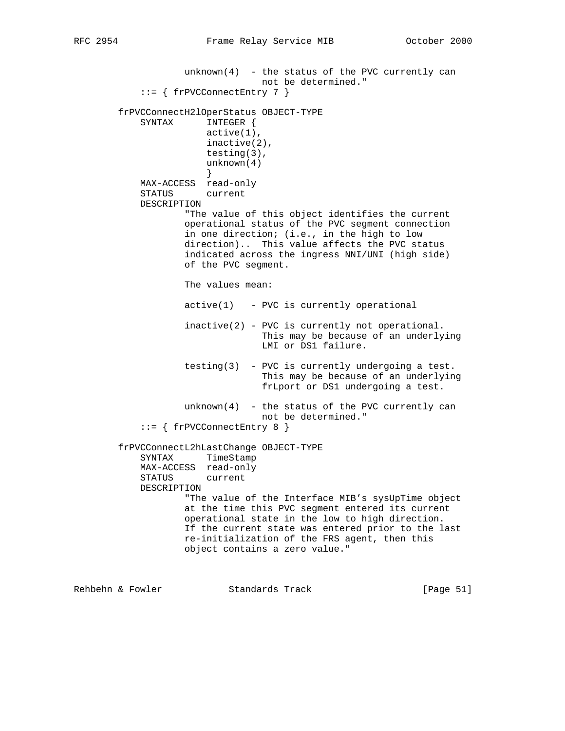$unknown(4)$  - the status of the PVC currently can not be determined." ::= { frPVCConnectEntry 7 } frPVCConnectH2lOperStatus OBJECT-TYPE SYNTAX INTEGER { active(1), inactive(2), testing(3), unknown(4) } MAX-ACCESS read-only STATUS current DESCRIPTION "The value of this object identifies the current operational status of the PVC segment connection in one direction; (i.e., in the high to low direction).. This value affects the PVC status indicated across the ingress NNI/UNI (high side) of the PVC segment. The values mean:  $active(1)$  - PVC is currently operational inactive(2) - PVC is currently not operational. This may be because of an underlying LMI or DS1 failure. testing(3) - PVC is currently undergoing a test. This may be because of an underlying frLport or DS1 undergoing a test.  $unknown(4)$  - the status of the PVC currently can not be determined." ::= { frPVCConnectEntry 8 } frPVCConnectL2hLastChange OBJECT-TYPE SYNTAX TimeStamp MAX-ACCESS read-only STATUS current DESCRIPTION "The value of the Interface MIB's sysUpTime object at the time this PVC segment entered its current operational state in the low to high direction. If the current state was entered prior to the last re-initialization of the FRS agent, then this object contains a zero value."

Rehbehn & Fowler Standards Track [Page 51]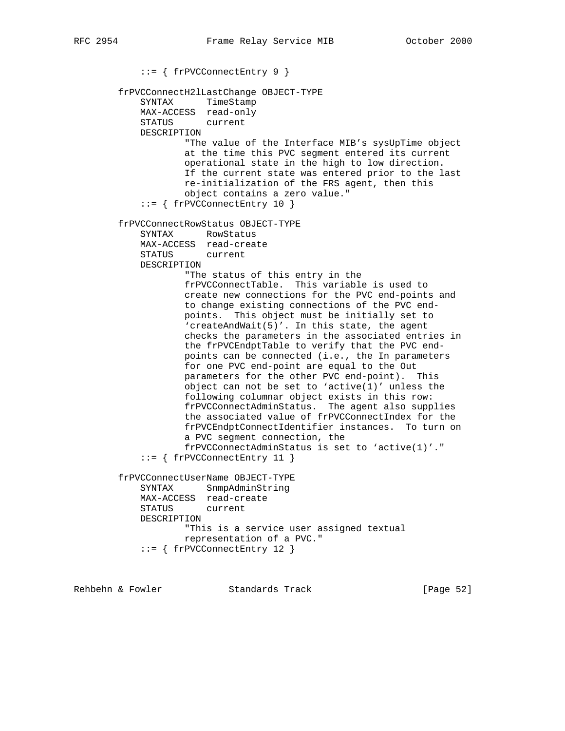::= { frPVCConnectEntry 9 } frPVCConnectH2lLastChange OBJECT-TYPE SYNTAX TimeStamp MAX-ACCESS read-only STATUS current DESCRIPTION "The value of the Interface MIB's sysUpTime object at the time this PVC segment entered its current operational state in the high to low direction. If the current state was entered prior to the last re-initialization of the FRS agent, then this object contains a zero value." ::= { frPVCConnectEntry 10 } frPVCConnectRowStatus OBJECT-TYPE SYNTAX RowStatus MAX-ACCESS read-create STATUS DESCRIPTION "The status of this entry in the frPVCConnectTable. This variable is used to create new connections for the PVC end-points and to change existing connections of the PVC end points. This object must be initially set to 'createAndWait(5)'. In this state, the agent checks the parameters in the associated entries in the frPVCEndptTable to verify that the PVC end points can be connected (i.e., the In parameters for one PVC end-point are equal to the Out parameters for the other PVC end-point). This object can not be set to 'active(1)' unless the following columnar object exists in this row: frPVCConnectAdminStatus. The agent also supplies the associated value of frPVCConnectIndex for the frPVCEndptConnectIdentifier instances. To turn on a PVC segment connection, the frPVCConnectAdminStatus is set to 'active(1)'." ::= { frPVCConnectEntry 11 } frPVCConnectUserName OBJECT-TYPE SYNTAX SnmpAdminString MAX-ACCESS read-create STATUS current DESCRIPTION "This is a service user assigned textual representation of a PVC." ::= { frPVCConnectEntry 12 }

Rehbehn & Fowler Standards Track [Page 52]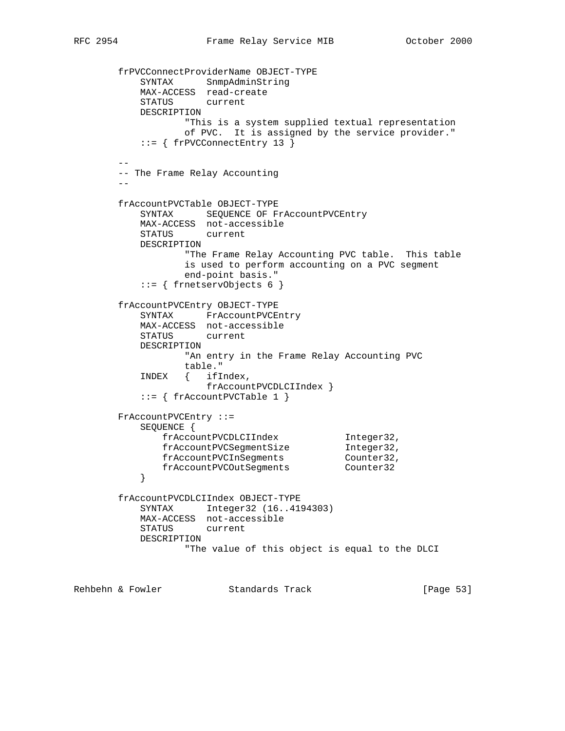```
 frPVCConnectProviderName OBJECT-TYPE
 SYNTAX SnmpAdminString
 MAX-ACCESS read-create
           STATUS current
           DESCRIPTION
                  "This is a system supplied textual representation
                  of PVC. It is assigned by the service provider."
           ::= { frPVCConnectEntry 13 }
 --
       -- The Frame Relay Accounting
 --
       frAccountPVCTable OBJECT-TYPE
          SYNTAX SEQUENCE OF FrAccountPVCEntry
           MAX-ACCESS not-accessible
          STATUS
           DESCRIPTION
                  "The Frame Relay Accounting PVC table. This table
                  is used to perform accounting on a PVC segment
                 end-point basis."
           ::= { frnetservObjects 6 }
       frAccountPVCEntry OBJECT-TYPE
           SYNTAX FrAccountPVCEntry
           MAX-ACCESS not-accessible
           STATUS current
           DESCRIPTION
                  "An entry in the Frame Relay Accounting PVC
                 table."
           INDEX { ifIndex,
                     frAccountPVCDLCIIndex }
           ::= { frAccountPVCTable 1 }
       FrAccountPVCEntry ::=
           SEQUENCE {
 frAccountPVCDLCIIndex Integer32,
frAccountPVCSegmentSize Integer32,
frAccountPVCInSegments Counter32,
 frAccountPVCOutSegments Counter32
 }
        frAccountPVCDLCIIndex OBJECT-TYPE
           SYNTAX Integer32 (16..4194303)
           MAX-ACCESS not-accessible
           STATUS current
           DESCRIPTION
                  "The value of this object is equal to the DLCI
Rehbehn & Fowler Standards Track [Page 53]
```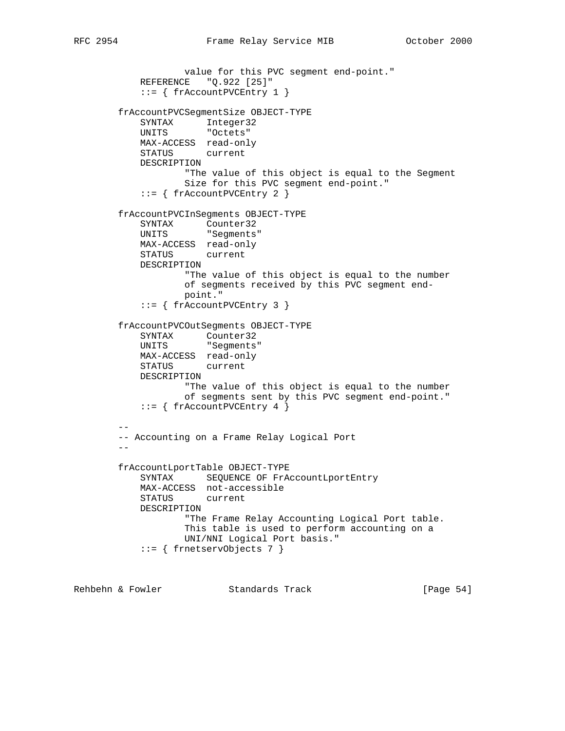```
 value for this PVC segment end-point."
          REFERENCE "Q.922 [25]"
           ::= { frAccountPVCEntry 1 }
        frAccountPVCSegmentSize OBJECT-TYPE
 SYNTAX Integer32
 UNITS "Octets"
           MAX-ACCESS read-only
           STATUS current
           DESCRIPTION
                   "The value of this object is equal to the Segment
                   Size for this PVC segment end-point."
           ::= { frAccountPVCEntry 2 }
        frAccountPVCInSegments OBJECT-TYPE
SYNTAX Counter32
UNITS "Segments"
           MAX-ACCESS read-only
           STATUS current
           DESCRIPTION
                   "The value of this object is equal to the number
                   of segments received by this PVC segment end-
                  point."
           ::= { frAccountPVCEntry 3 }
        frAccountPVCOutSegments OBJECT-TYPE
SYNTAX Counter32
UNITS "Segments"
           MAX-ACCESS read-only
           STATUS current
           DESCRIPTION
                  "The value of this object is equal to the number
                   of segments sent by this PVC segment end-point."
           ::= { frAccountPVCEntry 4 }
 --
        -- Accounting on a Frame Relay Logical Port
 --
        frAccountLportTable OBJECT-TYPE
          SYNTAX SEQUENCE OF FrAccountLportEntry
           MAX-ACCESS not-accessible
           STATUS current
           DESCRIPTION
                   "The Frame Relay Accounting Logical Port table.
                   This table is used to perform accounting on a
                  UNI/NNI Logical Port basis."
           ::= { frnetservObjects 7 }
```
Rehbehn & Fowler Standards Track [Page 54]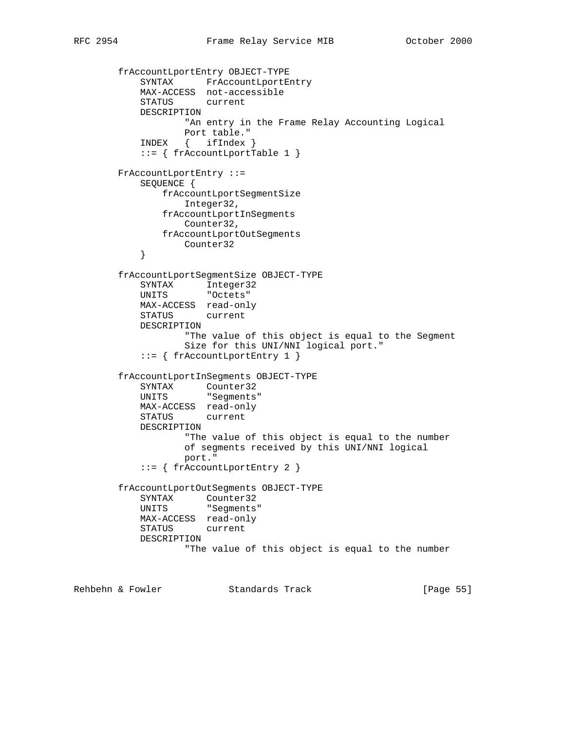```
 frAccountLportEntry OBJECT-TYPE
 SYNTAX FrAccountLportEntry
 MAX-ACCESS not-accessible
           STATUS current
           DESCRIPTION
                  "An entry in the Frame Relay Accounting Logical
                  Port table."
           INDEX { ifIndex }
           ::= { frAccountLportTable 1 }
        FrAccountLportEntry ::=
           SEQUENCE {
               frAccountLportSegmentSize
                  Integer32,
               frAccountLportInSegments
                  Counter32,
               frAccountLportOutSegments
           Counter32
 }
        frAccountLportSegmentSize OBJECT-TYPE
 SYNTAX Integer32
 UNITS "Octets"
           MAX-ACCESS read-only
           STATUS current
           DESCRIPTION
                   "The value of this object is equal to the Segment
                   Size for this UNI/NNI logical port."
           ::= { frAccountLportEntry 1 }
        frAccountLportInSegments OBJECT-TYPE
SYNTAX Counter32
 UNITS "Segments"
           MAX-ACCESS read-only
           STATUS current
           DESCRIPTION
                  "The value of this object is equal to the number
                  of segments received by this UNI/NNI logical
                  port."
           ::= { frAccountLportEntry 2 }
        frAccountLportOutSegments OBJECT-TYPE
           SYNTAX Counter32
           UNITS "Segments"
           MAX-ACCESS read-only
           STATUS current
           DESCRIPTION
                   "The value of this object is equal to the number
```
Rehbehn & Fowler Standards Track [Page 55]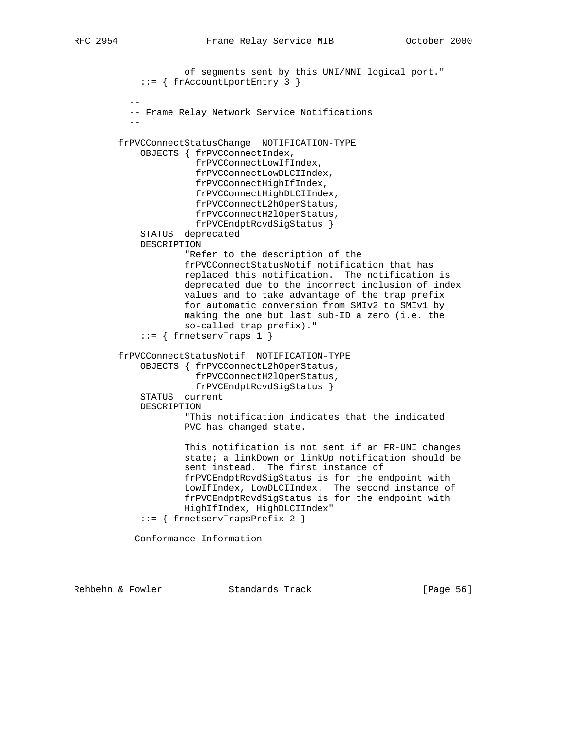```
 of segments sent by this UNI/NNI logical port."
             ::= { frAccountLportEntry 3 }
 --
           -- Frame Relay Network Service Notifications
 --
        frPVCConnectStatusChange NOTIFICATION-TYPE
            OBJECTS { frPVCConnectIndex,
                       frPVCConnectLowIfIndex,
                       frPVCConnectLowDLCIIndex,
                       frPVCConnectHighIfIndex,
                       frPVCConnectHighDLCIIndex,
                       frPVCConnectL2hOperStatus,
                       frPVCConnectH2lOperStatus,
                      frPVCEndptRcvdSigStatus }
            STATUS deprecated
            DESCRIPTION
                     "Refer to the description of the
                     frPVCConnectStatusNotif notification that has
                     replaced this notification. The notification is
                     deprecated due to the incorrect inclusion of index
                     values and to take advantage of the trap prefix
                    for automatic conversion from SMIv2 to SMIv1 by
                     making the one but last sub-ID a zero (i.e. the
                     so-called trap prefix)."
            ::= { frnetservTraps 1 }
        frPVCConnectStatusNotif NOTIFICATION-TYPE
             OBJECTS { frPVCConnectL2hOperStatus,
                      frPVCConnectH2lOperStatus,
                      frPVCEndptRcvdSigStatus }
            STATUS current
            DESCRIPTION
                     "This notification indicates that the indicated
                     PVC has changed state.
                     This notification is not sent if an FR-UNI changes
                     state; a linkDown or linkUp notification should be
                     sent instead. The first instance of
                     frPVCEndptRcvdSigStatus is for the endpoint with
                     LowIfIndex, LowDLCIIndex. The second instance of
                     frPVCEndptRcvdSigStatus is for the endpoint with
                     HighIfIndex, HighDLCIIndex"
             ::= { frnetservTrapsPrefix 2 }
        -- Conformance Information
```
Rehbehn & Fowler Standards Track [Page 56]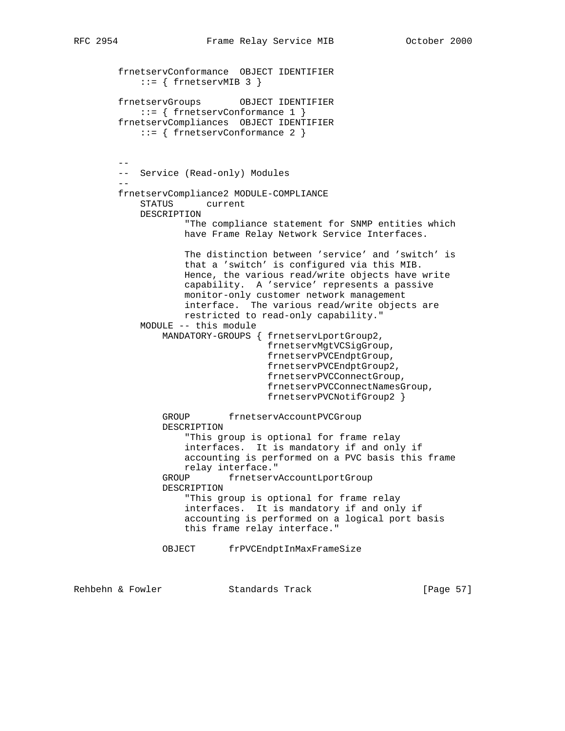```
 frnetservConformance OBJECT IDENTIFIER
           ::= { frnetservMIB 3 }
        frnetservGroups OBJECT IDENTIFIER
            ::= { frnetservConformance 1 }
        frnetservCompliances OBJECT IDENTIFIER
            ::= { frnetservConformance 2 }
         --
        -- Service (Read-only) Modules
 --
        frnetservCompliance2 MODULE-COMPLIANCE
            STATUS current
            DESCRIPTION
                    "The compliance statement for SNMP entities which
                    have Frame Relay Network Service Interfaces.
                    The distinction between 'service' and 'switch' is
                    that a 'switch' is configured via this MIB.
                    Hence, the various read/write objects have write
                    capability. A 'service' represents a passive
                    monitor-only customer network management
                    interface. The various read/write objects are
                    restricted to read-only capability."
            MODULE -- this module
                MANDATORY-GROUPS { frnetservLportGroup2,
                                    frnetservMgtVCSigGroup,
                                   frnetservPVCEndptGroup,
                                   frnetservPVCEndptGroup2,
                                   frnetservPVCConnectGroup,
                                    frnetservPVCConnectNamesGroup,
                                    frnetservPVCNotifGroup2 }
                GROUP frnetservAccountPVCGroup
                DESCRIPTION
                     "This group is optional for frame relay
                    interfaces. It is mandatory if and only if
                    accounting is performed on a PVC basis this frame
                    relay interface."
                GROUP frnetservAccountLportGroup
                DESCRIPTION
                     "This group is optional for frame relay
                     interfaces. It is mandatory if and only if
                    accounting is performed on a logical port basis
                    this frame relay interface."
                OBJECT frPVCEndptInMaxFrameSize
```
Rehbehn & Fowler Standards Track [Page 57]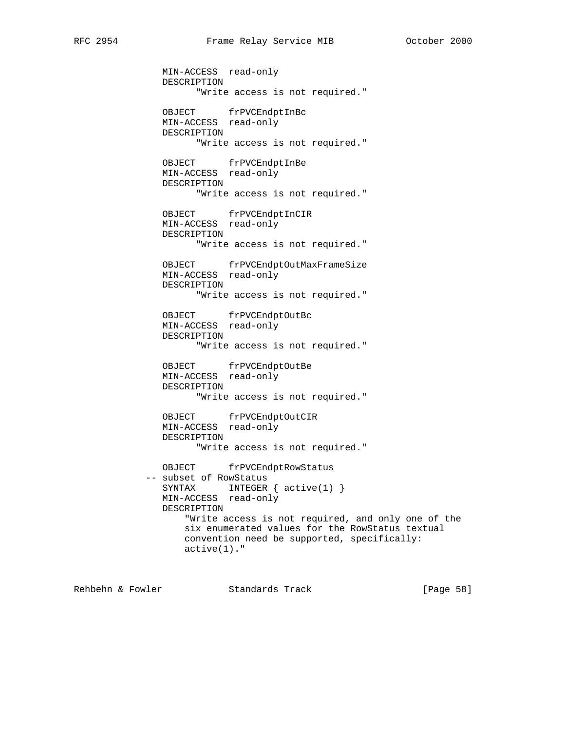MIN-ACCESS read-only DESCRIPTION "Write access is not required." OBJECT frPVCEndptInBc MIN-ACCESS read-only DESCRIPTION "Write access is not required." OBJECT frPVCEndptInBe MIN-ACCESS read-only DESCRIPTION "Write access is not required." OBJECT frPVCEndptInCIR MIN-ACCESS read-only DESCRIPTION "Write access is not required." OBJECT frPVCEndptOutMaxFrameSize MIN-ACCESS read-only DESCRIPTION "Write access is not required." OBJECT frPVCEndptOutBc MIN-ACCESS read-only DESCRIPTION "Write access is not required." OBJECT frPVCEndptOutBe MIN-ACCESS read-only DESCRIPTION "Write access is not required." OBJECT frPVCEndptOutCIR MIN-ACCESS read-only DESCRIPTION "Write access is not required." OBJECT frPVCEndptRowStatus -- subset of RowStatus SYNTAX INTEGER {  $active(1)$  } MIN-ACCESS read-only DESCRIPTION "Write access is not required, and only one of the six enumerated values for the RowStatus textual convention need be supported, specifically: active(1)."

Rehbehn & Fowler Standards Track [Page 58]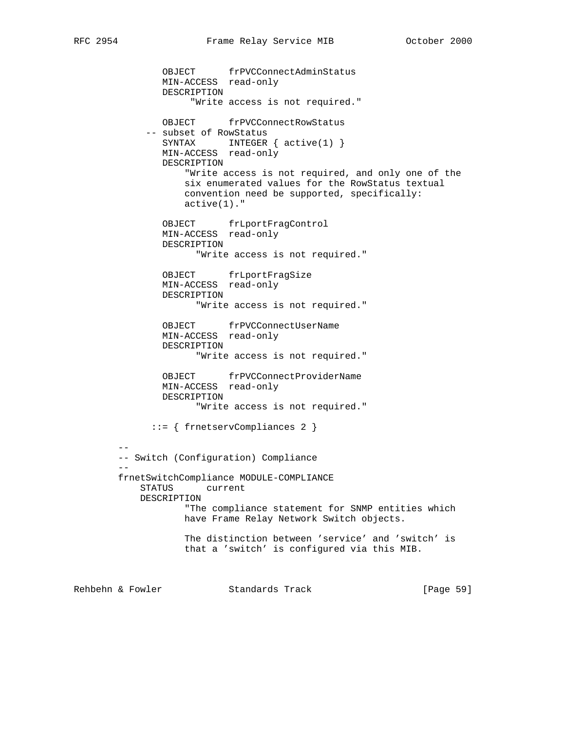OBJECT frPVCConnectAdminStatus MIN-ACCESS read-only DESCRIPTION "Write access is not required." OBJECT frPVCConnectRowStatus -- subset of RowStatus SYNTAX INTEGER {  $active(1)$  } MIN-ACCESS read-only DESCRIPTION "Write access is not required, and only one of the six enumerated values for the RowStatus textual convention need be supported, specifically: active(1)." OBJECT frLportFragControl MIN-ACCESS read-only DESCRIPTION "Write access is not required." OBJECT frLportFragSize MIN-ACCESS read-only DESCRIPTION "Write access is not required." OBJECT frPVCConnectUserName MIN-ACCESS read-only DESCRIPTION "Write access is not required." OBJECT frPVCConnectProviderName MIN-ACCESS read-only DESCRIPTION "Write access is not required." ::= { frnetservCompliances 2 } -- -- Switch (Configuration) Compliance - frnetSwitchCompliance MODULE-COMPLIANCE STATUS current DESCRIPTION "The compliance statement for SNMP entities which have Frame Relay Network Switch objects. The distinction between 'service' and 'switch' is that a 'switch' is configured via this MIB. Rehbehn & Fowler Standards Track [Page 59]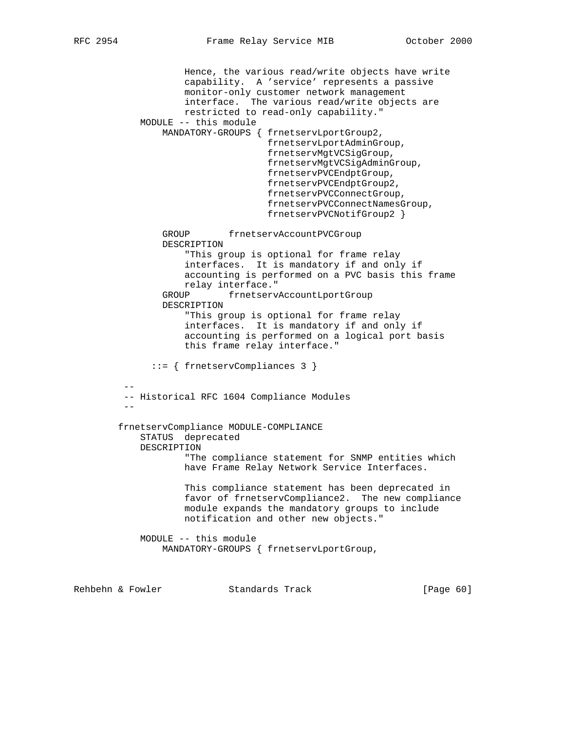Hence, the various read/write objects have write capability. A 'service' represents a passive monitor-only customer network management interface. The various read/write objects are restricted to read-only capability." MODULE -- this module MANDATORY-GROUPS { frnetservLportGroup2, frnetservLportAdminGroup, frnetservMgtVCSigGroup, frnetservMgtVCSigAdminGroup, frnetservPVCEndptGroup, frnetservPVCEndptGroup2, frnetservPVCConnectGroup, frnetservPVCConnectNamesGroup, frnetservPVCNotifGroup2 } GROUP frnetservAccountPVCGroup DESCRIPTION "This group is optional for frame relay interfaces. It is mandatory if and only if accounting is performed on a PVC basis this frame relay interface." GROUP frnetservAccountLportGroup DESCRIPTION "This group is optional for frame relay interfaces. It is mandatory if and only if accounting is performed on a logical port basis this frame relay interface." ::= { frnetservCompliances 3 } -- -- Historical RFC 1604 Compliance Modules - frnetservCompliance MODULE-COMPLIANCE STATUS deprecated DESCRIPTION "The compliance statement for SNMP entities which have Frame Relay Network Service Interfaces. This compliance statement has been deprecated in favor of frnetservCompliance2. The new compliance module expands the mandatory groups to include notification and other new objects." MODULE -- this module MANDATORY-GROUPS { frnetservLportGroup, Rehbehn & Fowler Standards Track [Page 60]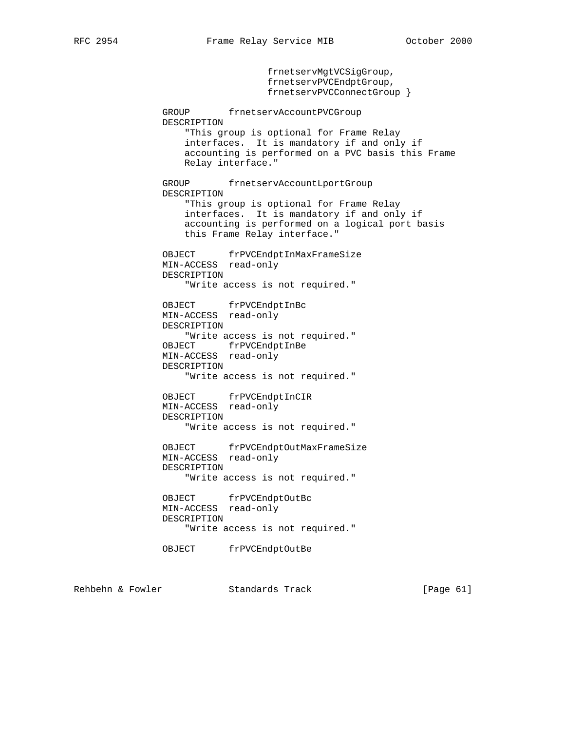frnetservMgtVCSigGroup,

 frnetservPVCEndptGroup, frnetservPVCConnectGroup } GROUP frnetservAccountPVCGroup DESCRIPTION "This group is optional for Frame Relay interfaces. It is mandatory if and only if accounting is performed on a PVC basis this Frame Relay interface." GROUP frnetservAccountLportGroup DESCRIPTION "This group is optional for Frame Relay interfaces. It is mandatory if and only if accounting is performed on a logical port basis this Frame Relay interface." OBJECT frPVCEndptInMaxFrameSize MIN-ACCESS read-only DESCRIPTION "Write access is not required." OBJECT frPVCEndptInBc MIN-ACCESS read-only DESCRIPTION "Write access is not required." OBJECT frPVCEndptInBe MIN-ACCESS read-only DESCRIPTION "Write access is not required." OBJECT frPVCEndptInCIR MIN-ACCESS read-only DESCRIPTION "Write access is not required." OBJECT frPVCEndptOutMaxFrameSize MIN-ACCESS read-only DESCRIPTION "Write access is not required." OBJECT frPVCEndptOutBc MIN-ACCESS read-only DESCRIPTION "Write access is not required." OBJECT frPVCEndptOutBe

Rehbehn & Fowler Standards Track [Page 61]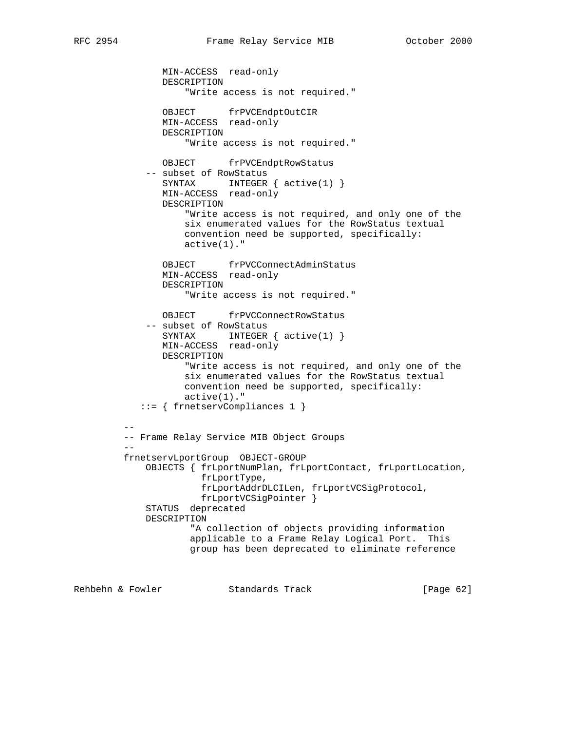MIN-ACCESS read-only DESCRIPTION "Write access is not required." OBJECT frPVCEndptOutCIR MIN-ACCESS read-only DESCRIPTION "Write access is not required." OBJECT frPVCEndptRowStatus -- subset of RowStatus SYNTAX INTEGER {  $active(1)$  } MIN-ACCESS read-only DESCRIPTION "Write access is not required, and only one of the six enumerated values for the RowStatus textual convention need be supported, specifically: active(1)." OBJECT frPVCConnectAdminStatus MIN-ACCESS read-only DESCRIPTION "Write access is not required." OBJECT frPVCConnectRowStatus -- subset of RowStatus SYNTAX INTEGER { active(1) } MIN-ACCESS read-only DESCRIPTION "Write access is not required, and only one of the six enumerated values for the RowStatus textual convention need be supported, specifically: active(1)." ::= { frnetservCompliances 1 } -- -- Frame Relay Service MIB Object Groups - frnetservLportGroup OBJECT-GROUP OBJECTS { frLportNumPlan, frLportContact, frLportLocation, frLportType, frLportAddrDLCILen, frLportVCSigProtocol, frLportVCSigPointer } STATUS deprecated DESCRIPTION "A collection of objects providing information applicable to a Frame Relay Logical Port. This group has been deprecated to eliminate reference

Rehbehn & Fowler Standards Track [Page 62]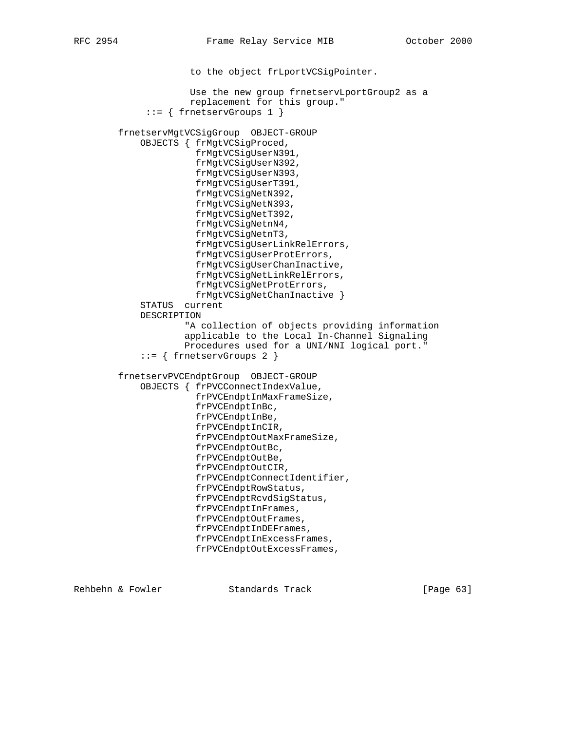to the object frLportVCSigPointer. Use the new group frnetservLportGroup2 as a replacement for this group." ::= { frnetservGroups 1 } frnetservMgtVCSigGroup OBJECT-GROUP OBJECTS { frMgtVCSigProced, frMgtVCSigUserN391, frMgtVCSigUserN392, frMgtVCSigUserN393, frMgtVCSigUserT391, frMgtVCSigNetN392, frMgtVCSigNetN393, frMgtVCSigNetT392, frMgtVCSigNetnN4, frMgtVCSigNetnT3, frMgtVCSigUserLinkRelErrors, frMgtVCSigUserProtErrors, frMgtVCSigUserChanInactive, frMgtVCSigNetLinkRelErrors, frMgtVCSigNetProtErrors, frMgtVCSigNetChanInactive } STATUS current DESCRIPTION "A collection of objects providing information applicable to the Local In-Channel Signaling Procedures used for a UNI/NNI logical port." ::= { frnetservGroups 2 } frnetservPVCEndptGroup OBJECT-GROUP OBJECTS { frPVCConnectIndexValue, frPVCEndptInMaxFrameSize, frPVCEndptInBc, frPVCEndptInBe, frPVCEndptInCIR, frPVCEndptOutMaxFrameSize, frPVCEndptOutBc, frPVCEndptOutBe, frPVCEndptOutCIR, frPVCEndptConnectIdentifier, frPVCEndptRowStatus, frPVCEndptRcvdSigStatus, frPVCEndptInFrames, frPVCEndptOutFrames, frPVCEndptInDEFrames, frPVCEndptInExcessFrames, frPVCEndptOutExcessFrames,

Rehbehn & Fowler Standards Track [Page 63]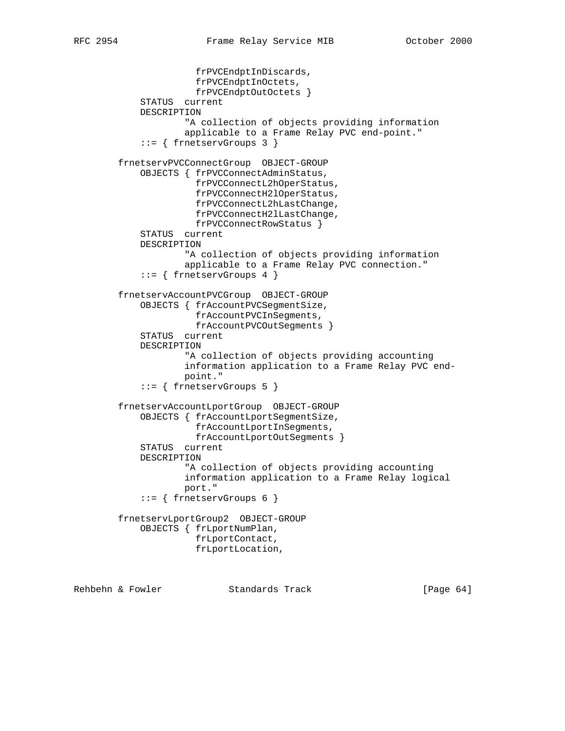```
 frPVCEndptInDiscards,
               frPVCEndptInOctets,
               frPVCEndptOutOctets }
     STATUS current
     DESCRIPTION
             "A collection of objects providing information
             applicable to a Frame Relay PVC end-point."
     ::= { frnetservGroups 3 }
 frnetservPVCConnectGroup OBJECT-GROUP
     OBJECTS { frPVCConnectAdminStatus,
               frPVCConnectL2hOperStatus,
               frPVCConnectH2lOperStatus,
               frPVCConnectL2hLastChange,
               frPVCConnectH2lLastChange,
               frPVCConnectRowStatus }
     STATUS current
     DESCRIPTION
             "A collection of objects providing information
             applicable to a Frame Relay PVC connection."
     ::= { frnetservGroups 4 }
 frnetservAccountPVCGroup OBJECT-GROUP
     OBJECTS { frAccountPVCSegmentSize,
               frAccountPVCInSegments,
               frAccountPVCOutSegments }
     STATUS current
     DESCRIPTION
             "A collection of objects providing accounting
             information application to a Frame Relay PVC end-
             point."
     ::= { frnetservGroups 5 }
 frnetservAccountLportGroup OBJECT-GROUP
     OBJECTS { frAccountLportSegmentSize,
               frAccountLportInSegments,
               frAccountLportOutSegments }
     STATUS current
     DESCRIPTION
             "A collection of objects providing accounting
             information application to a Frame Relay logical
             port."
     ::= { frnetservGroups 6 }
 frnetservLportGroup2 OBJECT-GROUP
     OBJECTS { frLportNumPlan,
               frLportContact,
               frLportLocation,
```
Rehbehn & Fowler Standards Track [Page 64]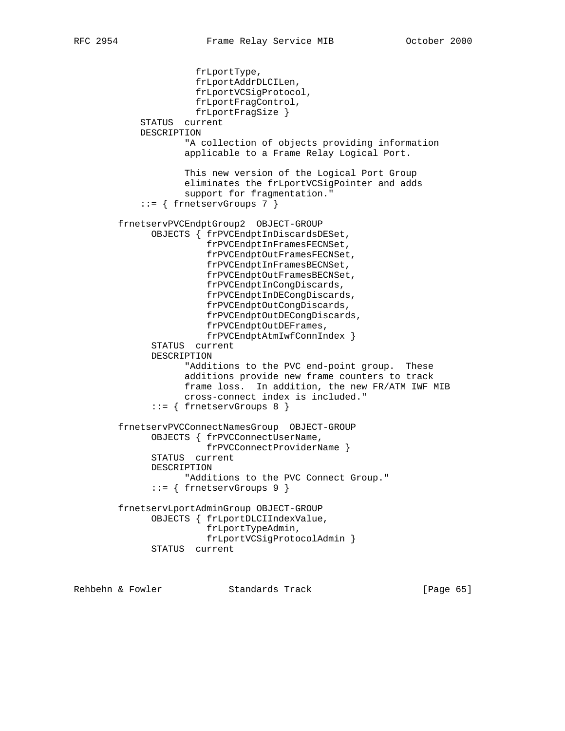frLportType, frLportAddrDLCILen, frLportVCSigProtocol, frLportFragControl, frLportFragSize } STATUS current DESCRIPTION "A collection of objects providing information applicable to a Frame Relay Logical Port. This new version of the Logical Port Group eliminates the frLportVCSigPointer and adds support for fragmentation." ::= { frnetservGroups 7 } frnetservPVCEndptGroup2 OBJECT-GROUP OBJECTS { frPVCEndptInDiscardsDESet, frPVCEndptInFramesFECNSet, frPVCEndptOutFramesFECNSet, frPVCEndptInFramesBECNSet, frPVCEndptOutFramesBECNSet, frPVCEndptInCongDiscards, frPVCEndptInDECongDiscards, frPVCEndptOutCongDiscards, frPVCEndptOutDECongDiscards, frPVCEndptOutDEFrames, frPVCEndptAtmIwfConnIndex } STATUS current DESCRIPTION "Additions to the PVC end-point group. These additions provide new frame counters to track frame loss. In addition, the new FR/ATM IWF MIB cross-connect index is included." ::= { frnetservGroups 8 } frnetservPVCConnectNamesGroup OBJECT-GROUP OBJECTS { frPVCConnectUserName, frPVCConnectProviderName } STATUS current DESCRIPTION "Additions to the PVC Connect Group." ::= { frnetservGroups 9 } frnetservLportAdminGroup OBJECT-GROUP OBJECTS { frLportDLCIIndexValue, frLportTypeAdmin, frLportVCSigProtocolAdmin } STATUS current

Rehbehn & Fowler Standards Track [Page 65]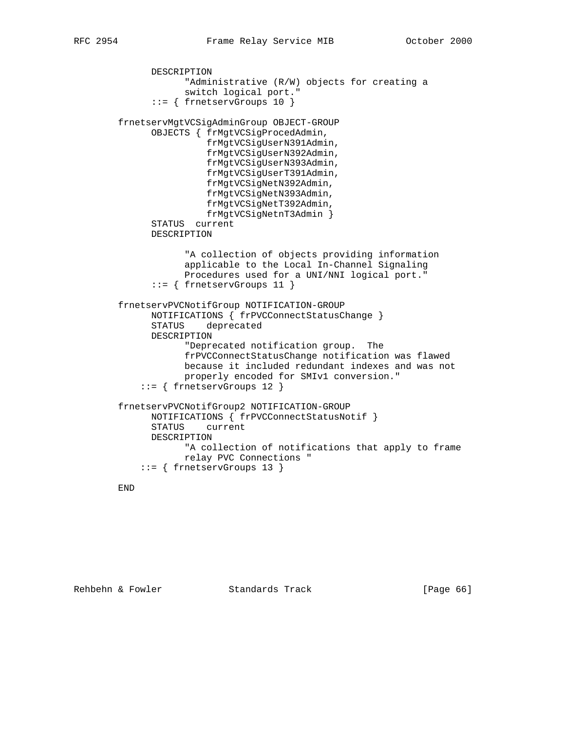```
 DESCRIPTION
             "Administrative (R/W) objects for creating a
             switch logical port."
       ::= { frnetservGroups 10 }
 frnetservMgtVCSigAdminGroup OBJECT-GROUP
       OBJECTS { frMgtVCSigProcedAdmin,
                 frMgtVCSigUserN391Admin,
                 frMgtVCSigUserN392Admin,
                 frMgtVCSigUserN393Admin,
                 frMgtVCSigUserT391Admin,
                 frMgtVCSigNetN392Admin,
                 frMgtVCSigNetN393Admin,
                 frMgtVCSigNetT392Admin,
                 frMgtVCSigNetnT3Admin }
       STATUS current
       DESCRIPTION
             "A collection of objects providing information
             applicable to the Local In-Channel Signaling
             Procedures used for a UNI/NNI logical port."
       ::= { frnetservGroups 11 }
 frnetservPVCNotifGroup NOTIFICATION-GROUP
       NOTIFICATIONS { frPVCConnectStatusChange }
       STATUS deprecated
       DESCRIPTION
             "Deprecated notification group. The
             frPVCConnectStatusChange notification was flawed
             because it included redundant indexes and was not
             properly encoded for SMIv1 conversion."
     ::= { frnetservGroups 12 }
 frnetservPVCNotifGroup2 NOTIFICATION-GROUP
      NOTIFICATIONS { frPVCConnectStatusNotif }
       STATUS current
      DESCRIPTION
             "A collection of notifications that apply to frame
             relay PVC Connections "
     ::= { frnetservGroups 13 }
```
## END

Rehbehn & Fowler Standards Track [Page 66]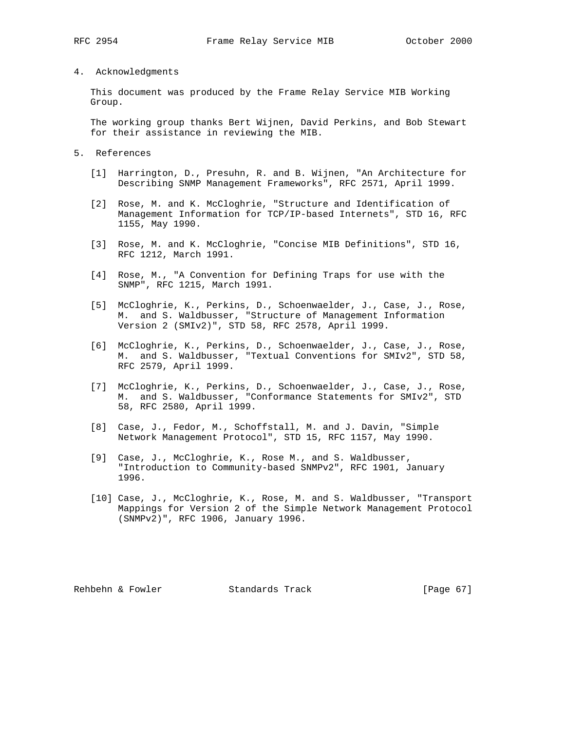## 4. Acknowledgments

 This document was produced by the Frame Relay Service MIB Working Group.

 The working group thanks Bert Wijnen, David Perkins, and Bob Stewart for their assistance in reviewing the MIB.

- 5. References
	- [1] Harrington, D., Presuhn, R. and B. Wijnen, "An Architecture for Describing SNMP Management Frameworks", RFC 2571, April 1999.
	- [2] Rose, M. and K. McCloghrie, "Structure and Identification of Management Information for TCP/IP-based Internets", STD 16, RFC 1155, May 1990.
	- [3] Rose, M. and K. McCloghrie, "Concise MIB Definitions", STD 16, RFC 1212, March 1991.
	- [4] Rose, M., "A Convention for Defining Traps for use with the SNMP", RFC 1215, March 1991.
	- [5] McCloghrie, K., Perkins, D., Schoenwaelder, J., Case, J., Rose, M. and S. Waldbusser, "Structure of Management Information Version 2 (SMIv2)", STD 58, RFC 2578, April 1999.
	- [6] McCloghrie, K., Perkins, D., Schoenwaelder, J., Case, J., Rose, M. and S. Waldbusser, "Textual Conventions for SMIv2", STD 58, RFC 2579, April 1999.
	- [7] McCloghrie, K., Perkins, D., Schoenwaelder, J., Case, J., Rose, M. and S. Waldbusser, "Conformance Statements for SMIv2", STD 58, RFC 2580, April 1999.
	- [8] Case, J., Fedor, M., Schoffstall, M. and J. Davin, "Simple Network Management Protocol", STD 15, RFC 1157, May 1990.
	- [9] Case, J., McCloghrie, K., Rose M., and S. Waldbusser, "Introduction to Community-based SNMPv2", RFC 1901, January 1996.
	- [10] Case, J., McCloghrie, K., Rose, M. and S. Waldbusser, "Transport Mappings for Version 2 of the Simple Network Management Protocol (SNMPv2)", RFC 1906, January 1996.

Rehbehn & Fowler Standards Track [Page 67]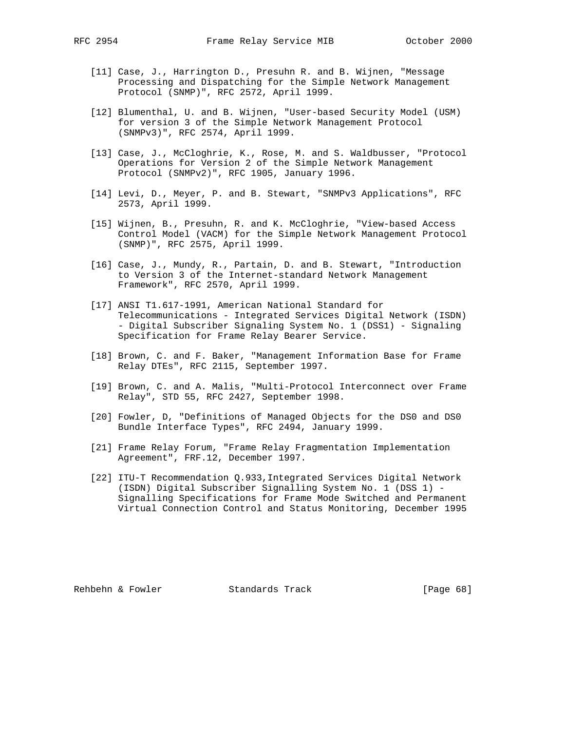- [11] Case, J., Harrington D., Presuhn R. and B. Wijnen, "Message
	- Processing and Dispatching for the Simple Network Management Protocol (SNMP)", RFC 2572, April 1999.
- [12] Blumenthal, U. and B. Wijnen, "User-based Security Model (USM) for version 3 of the Simple Network Management Protocol (SNMPv3)", RFC 2574, April 1999.
- [13] Case, J., McCloghrie, K., Rose, M. and S. Waldbusser, "Protocol Operations for Version 2 of the Simple Network Management Protocol (SNMPv2)", RFC 1905, January 1996.
- [14] Levi, D., Meyer, P. and B. Stewart, "SNMPv3 Applications", RFC 2573, April 1999.
- [15] Wijnen, B., Presuhn, R. and K. McCloghrie, "View-based Access Control Model (VACM) for the Simple Network Management Protocol (SNMP)", RFC 2575, April 1999.
- [16] Case, J., Mundy, R., Partain, D. and B. Stewart, "Introduction to Version 3 of the Internet-standard Network Management Framework", RFC 2570, April 1999.
- [17] ANSI T1.617-1991, American National Standard for Telecommunications - Integrated Services Digital Network (ISDN) - Digital Subscriber Signaling System No. 1 (DSS1) - Signaling Specification for Frame Relay Bearer Service.
- [18] Brown, C. and F. Baker, "Management Information Base for Frame Relay DTEs", RFC 2115, September 1997.
- [19] Brown, C. and A. Malis, "Multi-Protocol Interconnect over Frame Relay", STD 55, RFC 2427, September 1998.
- [20] Fowler, D, "Definitions of Managed Objects for the DS0 and DS0 Bundle Interface Types", RFC 2494, January 1999.
- [21] Frame Relay Forum, "Frame Relay Fragmentation Implementation Agreement", FRF.12, December 1997.
	- [22] ITU-T Recommendation Q.933,Integrated Services Digital Network (ISDN) Digital Subscriber Signalling System No. 1 (DSS 1) - Signalling Specifications for Frame Mode Switched and Permanent Virtual Connection Control and Status Monitoring, December 1995

Rehbehn & Fowler Standards Track [Page 68]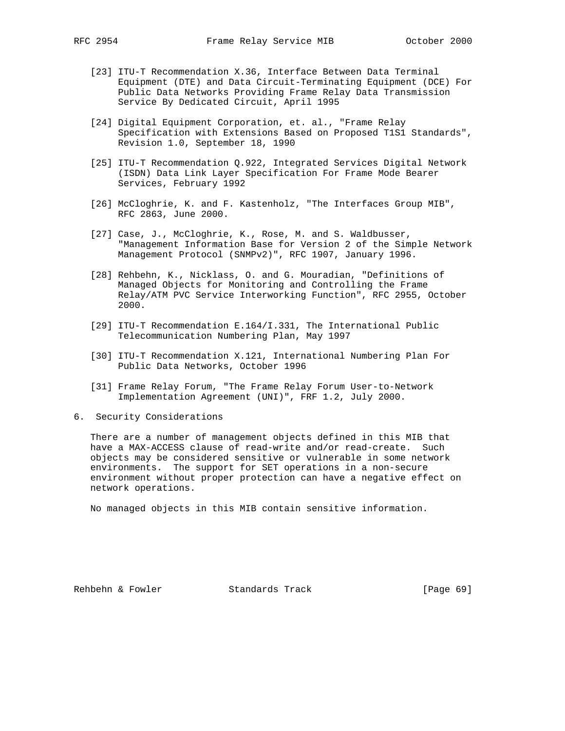- [23] ITU-T Recommendation X.36, Interface Between Data Terminal Equipment (DTE) and Data Circuit-Terminating Equipment (DCE) For Public Data Networks Providing Frame Relay Data Transmission Service By Dedicated Circuit, April 1995
- [24] Digital Equipment Corporation, et. al., "Frame Relay Specification with Extensions Based on Proposed T1S1 Standards", Revision 1.0, September 18, 1990
- [25] ITU-T Recommendation Q.922, Integrated Services Digital Network (ISDN) Data Link Layer Specification For Frame Mode Bearer Services, February 1992
- [26] McCloghrie, K. and F. Kastenholz, "The Interfaces Group MIB", RFC 2863, June 2000.
- [27] Case, J., McCloghrie, K., Rose, M. and S. Waldbusser, "Management Information Base for Version 2 of the Simple Network Management Protocol (SNMPv2)", RFC 1907, January 1996.
- [28] Rehbehn, K., Nicklass, O. and G. Mouradian, "Definitions of Managed Objects for Monitoring and Controlling the Frame Relay/ATM PVC Service Interworking Function", RFC 2955, October 2000.
- [29] ITU-T Recommendation E.164/I.331, The International Public Telecommunication Numbering Plan, May 1997
- [30] ITU-T Recommendation X.121, International Numbering Plan For Public Data Networks, October 1996
- [31] Frame Relay Forum, "The Frame Relay Forum User-to-Network Implementation Agreement (UNI)", FRF 1.2, July 2000.
- 6. Security Considerations

 There are a number of management objects defined in this MIB that have a MAX-ACCESS clause of read-write and/or read-create. Such objects may be considered sensitive or vulnerable in some network environments. The support for SET operations in a non-secure environment without proper protection can have a negative effect on network operations.

No managed objects in this MIB contain sensitive information.

Rehbehn & Fowler Standards Track [Page 69]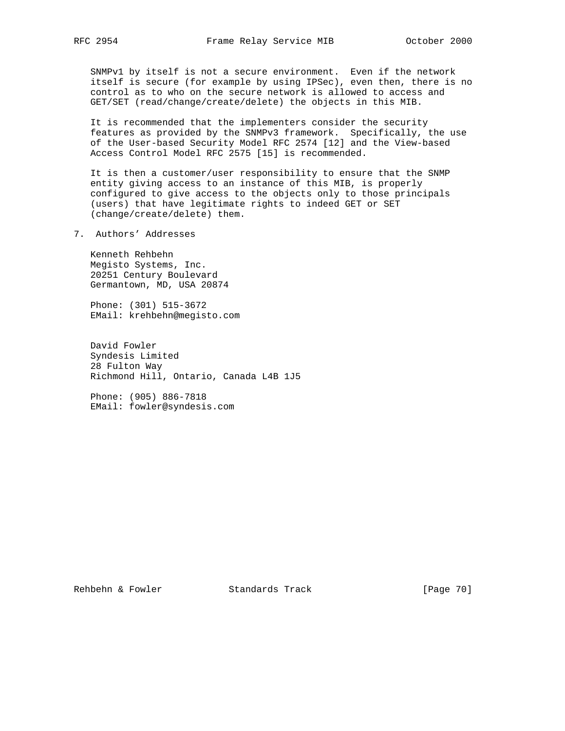SNMPv1 by itself is not a secure environment. Even if the network itself is secure (for example by using IPSec), even then, there is no control as to who on the secure network is allowed to access and GET/SET (read/change/create/delete) the objects in this MIB.

 It is recommended that the implementers consider the security features as provided by the SNMPv3 framework. Specifically, the use of the User-based Security Model RFC 2574 [12] and the View-based Access Control Model RFC 2575 [15] is recommended.

 It is then a customer/user responsibility to ensure that the SNMP entity giving access to an instance of this MIB, is properly configured to give access to the objects only to those principals (users) that have legitimate rights to indeed GET or SET (change/create/delete) them.

7. Authors' Addresses

 Kenneth Rehbehn Megisto Systems, Inc. 20251 Century Boulevard Germantown, MD, USA 20874

 Phone: (301) 515-3672 EMail: krehbehn@megisto.com

 David Fowler Syndesis Limited 28 Fulton Way Richmond Hill, Ontario, Canada L4B 1J5

 Phone: (905) 886-7818 EMail: fowler@syndesis.com

Rehbehn & Fowler Standards Track [Page 70]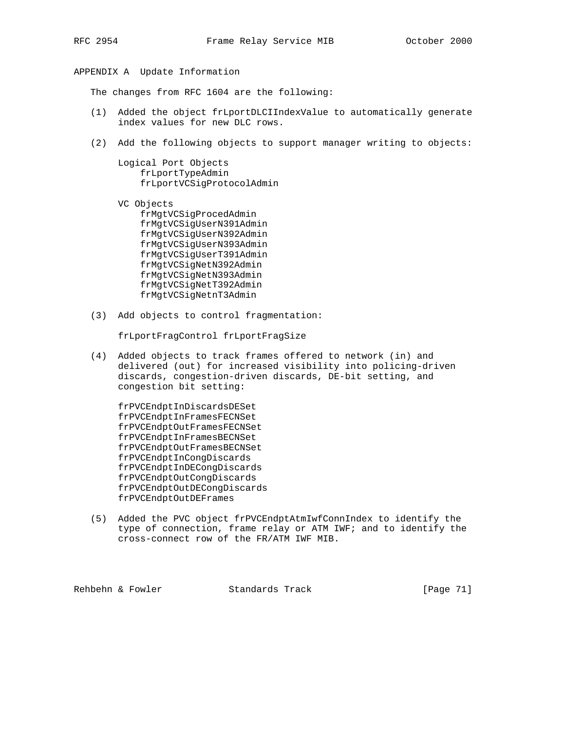## APPENDIX A Update Information

The changes from RFC 1604 are the following:

- (1) Added the object frLportDLCIIndexValue to automatically generate index values for new DLC rows.
- (2) Add the following objects to support manager writing to objects:

 Logical Port Objects frLportTypeAdmin frLportVCSigProtocolAdmin

- VC Objects frMgtVCSigProcedAdmin frMgtVCSigUserN391Admin frMgtVCSigUserN392Admin frMgtVCSigUserN393Admin frMgtVCSigUserT391Admin frMgtVCSigNetN392Admin frMgtVCSigNetN393Admin frMgtVCSigNetT392Admin frMgtVCSigNetnT3Admin
- (3) Add objects to control fragmentation:

frLportFragControl frLportFragSize

 (4) Added objects to track frames offered to network (in) and delivered (out) for increased visibility into policing-driven discards, congestion-driven discards, DE-bit setting, and congestion bit setting:

 frPVCEndptInDiscardsDESet frPVCEndptInFramesFECNSet frPVCEndptOutFramesFECNSet frPVCEndptInFramesBECNSet frPVCEndptOutFramesBECNSet frPVCEndptInCongDiscards frPVCEndptInDECongDiscards frPVCEndptOutCongDiscards frPVCEndptOutDECongDiscards frPVCEndptOutDEFrames

 (5) Added the PVC object frPVCEndptAtmIwfConnIndex to identify the type of connection, frame relay or ATM IWF; and to identify the cross-connect row of the FR/ATM IWF MIB.

Rehbehn & Fowler Standards Track [Page 71]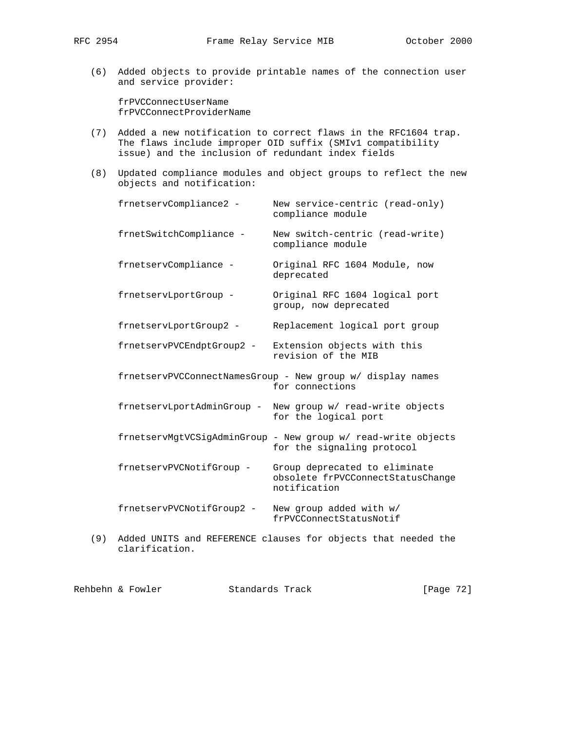(6) Added objects to provide printable names of the connection user and service provider:

 frPVCConnectUserName frPVCConnectProviderName

- (7) Added a new notification to correct flaws in the RFC1604 trap. The flaws include improper OID suffix (SMIv1 compatibility issue) and the inclusion of redundant index fields
- (8) Updated compliance modules and object groups to reflect the new objects and notification:

| frnetservCompliance2 -    | New service-centric (read-only)<br>compliance module                                        |
|---------------------------|---------------------------------------------------------------------------------------------|
| frnetSwitchCompliance -   | New switch-centric (read-write)<br>compliance module                                        |
| frnetservCompliance -     | Original RFC 1604 Module, now<br>deprecated                                                 |
| frnetservLportGroup -     | Original RFC 1604 logical port<br>group, now deprecated                                     |
| frnetservLportGroup2 -    | Replacement logical port group                                                              |
|                           | frnetservPVCEndptGroup2 - Extension objects with this<br>revision of the MIB                |
|                           | frnetservPVCConnectNamesGroup - New group w/ display names<br>for connections               |
|                           | frnetservLportAdminGroup - New group w/ read-write objects<br>for the logical port          |
|                           | frnetservMgtVCSigAdminGroup - New group w/ read-write objects<br>for the signaling protocol |
| frnetservPVCNotifGroup -  | Group deprecated to eliminate<br>obsolete frPVCConnectStatusChange<br>notification          |
| frnetservPVCNotifGroup2 - | New group added with w/<br>frPVCConnectStatusNotif                                          |
|                           |                                                                                             |

 (9) Added UNITS and REFERENCE clauses for objects that needed the clarification.

| Rehbehn & Fowler<br>Standards Track | [Page 72] |
|-------------------------------------|-----------|
|-------------------------------------|-----------|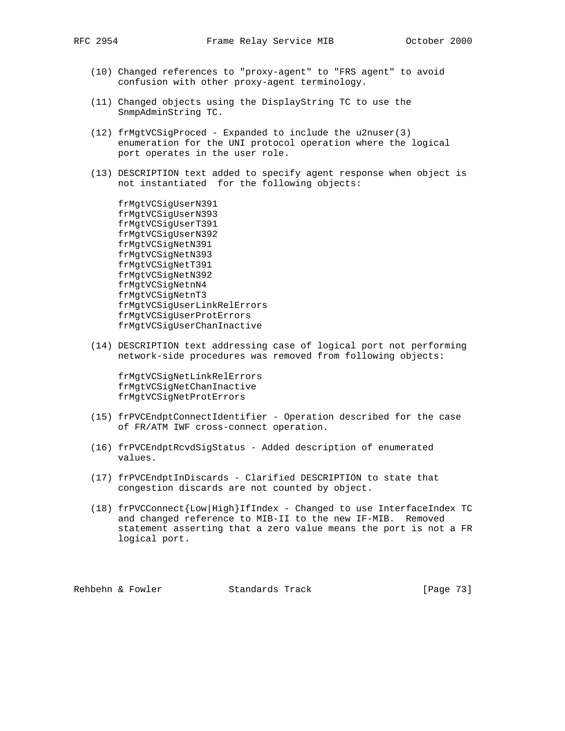- (10) Changed references to "proxy-agent" to "FRS agent" to avoid confusion with other proxy-agent terminology.
- (11) Changed objects using the DisplayString TC to use the SnmpAdminString TC.
- (12) frMgtVCSigProced Expanded to include the u2nuser(3) enumeration for the UNI protocol operation where the logical port operates in the user role.
- (13) DESCRIPTION text added to specify agent response when object is not instantiated for the following objects:

 frMgtVCSigUserN391 frMgtVCSigUserN393 frMgtVCSigUserT391 frMgtVCSigUserN392 frMgtVCSigNetN391 frMgtVCSigNetN393 frMgtVCSigNetT391 frMgtVCSigNetN392 frMgtVCSigNetnN4 frMgtVCSigNetnT3 frMgtVCSigUserLinkRelErrors frMgtVCSigUserProtErrors frMgtVCSigUserChanInactive

 (14) DESCRIPTION text addressing case of logical port not performing network-side procedures was removed from following objects:

 frMgtVCSigNetLinkRelErrors frMgtVCSigNetChanInactive frMgtVCSigNetProtErrors

- (15) frPVCEndptConnectIdentifier Operation described for the case of FR/ATM IWF cross-connect operation.
- (16) frPVCEndptRcvdSigStatus Added description of enumerated values.
- (17) frPVCEndptInDiscards Clarified DESCRIPTION to state that congestion discards are not counted by object.
- (18) frPVCConnect{Low|High}IfIndex Changed to use InterfaceIndex TC and changed reference to MIB-II to the new IF-MIB. Removed statement asserting that a zero value means the port is not a FR logical port.

Rehbehn & Fowler Standards Track [Page 73]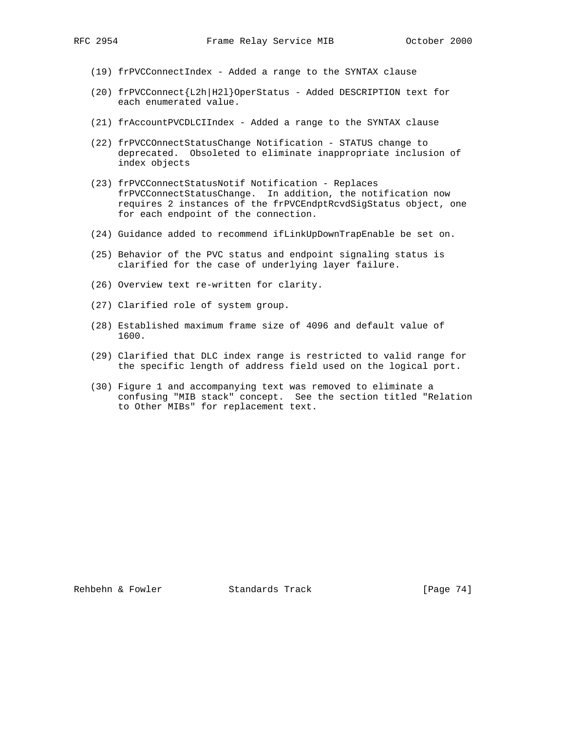- (19) frPVCConnectIndex Added a range to the SYNTAX clause
- (20) frPVCConnect{L2h|H2l}OperStatus Added DESCRIPTION text for each enumerated value.
- (21) frAccountPVCDLCIIndex Added a range to the SYNTAX clause
- (22) frPVCCOnnectStatusChange Notification STATUS change to deprecated. Obsoleted to eliminate inappropriate inclusion of index objects
- (23) frPVCConnectStatusNotif Notification Replaces frPVCConnectStatusChange. In addition, the notification now requires 2 instances of the frPVCEndptRcvdSigStatus object, one for each endpoint of the connection.
- (24) Guidance added to recommend ifLinkUpDownTrapEnable be set on.
- (25) Behavior of the PVC status and endpoint signaling status is clarified for the case of underlying layer failure.
- (26) Overview text re-written for clarity.
- (27) Clarified role of system group.
- (28) Established maximum frame size of 4096 and default value of 1600.
- (29) Clarified that DLC index range is restricted to valid range for the specific length of address field used on the logical port.
- (30) Figure 1 and accompanying text was removed to eliminate a confusing "MIB stack" concept. See the section titled "Relation to Other MIBs" for replacement text.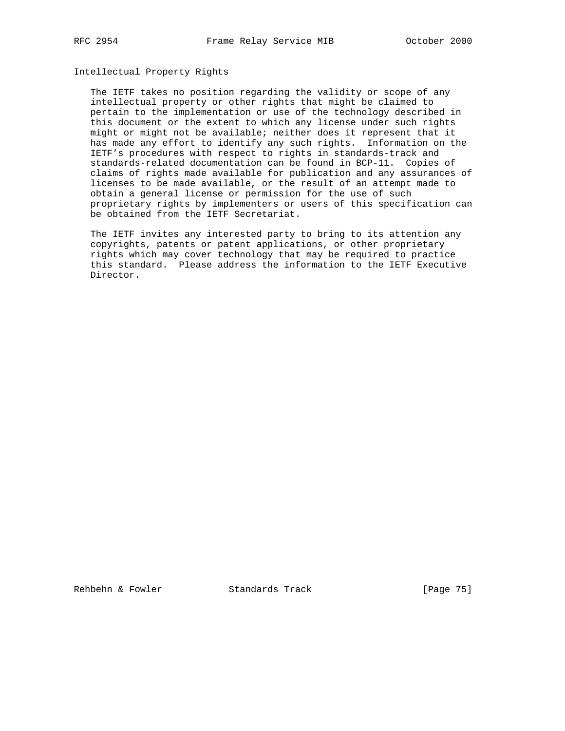## Intellectual Property Rights

 The IETF takes no position regarding the validity or scope of any intellectual property or other rights that might be claimed to pertain to the implementation or use of the technology described in this document or the extent to which any license under such rights might or might not be available; neither does it represent that it has made any effort to identify any such rights. Information on the IETF's procedures with respect to rights in standards-track and standards-related documentation can be found in BCP-11. Copies of claims of rights made available for publication and any assurances of licenses to be made available, or the result of an attempt made to obtain a general license or permission for the use of such proprietary rights by implementers or users of this specification can be obtained from the IETF Secretariat.

 The IETF invites any interested party to bring to its attention any copyrights, patents or patent applications, or other proprietary rights which may cover technology that may be required to practice this standard. Please address the information to the IETF Executive Director.